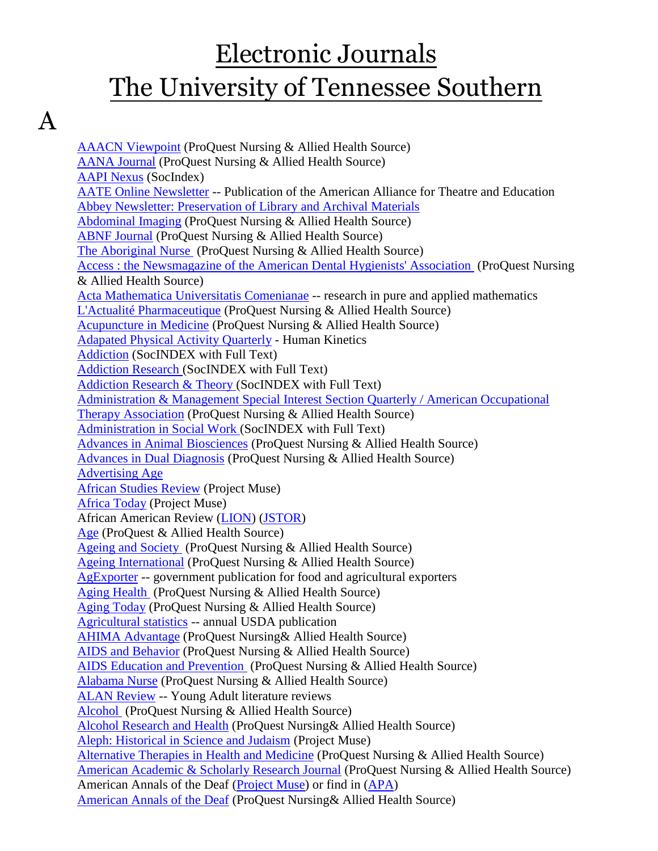# Electronic Journals The University of Tennessee Southern

## A

[AAACN Viewpoint](http://search.proquest.com/publication/46506/citation/13BA5F0F39E45673129/1?accountid=12291) (ProQuest Nursing & Allied Health Source) [AANA Journal](http://search.proquest.com/publication/41335/citation/13BA686B5187272FD7D/3?accountid=12291) (ProQuest Nursing & Allied Health Source) [AAPI Nexus](javascript:__doLinkPostBack() (SocIndex) [AATE Online Newsletter](http://www.aate.com/) -- Publication of the American Alliance for Theatre and Education [Abbey Newsletter: Preservation of Library and Archival Materials](http://palimpsest.stanford.edu/byorg/abbey/an/index.html) [Abdominal Imaging](http://search.proquest.com/publication/31175/citation/13BA686B5187272FD7D/4?accountid=12291) (ProQuest Nursing & Allied Health Source) [ABNF Journal](http://search.proquest.com/publication/32975/citation/13BA686B5187272FD7D/5?accountid=12291) (ProQuest Nursing & Allied Health Source) [The Aboriginal Nurse](http://search.proquest.com/publication/33090/citation/13BA6D40F3D40A2FB08/6?accountid=12291) (ProQuest Nursing & Allied Health Source) [Access : the Newsmagazine of the American Dental Hygienists' Association](http://search.proquest.com/publication/136190/citation/13BB8D5C71E432D5AB2/9?accountid=12291) (ProQuest Nursing & Allied Health Source) [Acta Mathematica Universitatis Comenianae](http://www.emis.ams.org/journals/AMUC/_amuc.html) -- research in pure and applied mathematics [L'Actualité Pharmaceutique](http://search.proquest.com/publication/25563/citation/13BCA46E734182C25F8/11?accountid=12291) (ProQuest Nursing & Allied Health Source) [Acupuncture in Medicine](http://search.proquest.com/publication/38462/citation/13BCA46E734182C25F8/12?accountid=12291) (ProQuest Nursing & Allied Health Source) [Adapated Physical Activity Quarterly](http://www.humankinetics.com/APAQ/journalAbout.cfm) - Human Kinetics [Addiction](http://web.ebscohost.com/ehost/detail?sid=fe19922c-3112-46d0-85a1-e5b27295fc8e%40sessionmgr4&vid=3&hid=11&bdata=JnNpdGU9ZWhvc3QtbGl2ZQ%3d%3d#db=sih&jid=AIO) (SocINDEX with Full Text) [Addiction Research \(](http://web.ebscohost.com/ehost/detail?sid=fe19922c-3112-46d0-85a1-e5b27295fc8e%40sessionmgr4&vid=3&hid=11&bdata=JnNpdGU9ZWhvc3QtbGl2ZQ%3d%3d#db=sih&jid=7V8)SocINDEX with Full Text) [Addiction Research & Theory \(](http://web.ebscohost.com/ehost/detail?sid=fe19922c-3112-46d0-85a1-e5b27295fc8e%40sessionmgr4&vid=3&hid=11&bdata=JnNpdGU9ZWhvc3QtbGl2ZQ%3d%3d#db=sih&jid=HB2)SocINDEX with Full Text) [Administration & Management Special Interest Section Quarterly / American Occupational](http://search.proquest.com/publication/28847/citation/13BE3392E751D8200FD/15?accountid=12291)  [Therapy Association](http://search.proquest.com/publication/28847/citation/13BE3392E751D8200FD/15?accountid=12291) (ProQuest Nursing & Allied Health Source) [Administration in Social Work \(](http://web.ebscohost.com/ehost/detail?sid=fe19922c-3112-46d0-85a1-e5b27295fc8e%40sessionmgr4&vid=3&hid=11&bdata=JnNpdGU9ZWhvc3QtbGl2ZQ%3d%3d#db=sih&jid=AWI)SocINDEX with Full Text) [Advances in Animal Biosciences](http://search.proquest.com/publication/1586365/citation/13BE3392E751D8200FD/23?accountid=12291) (ProQuest Nursing & Allied Health Source) [Advances in Dual Diagnosis](http://search.proquest.com/publication/1046394/citation/13BE35E29C825A3FDD6/24?accountid=12291) (ProQuest Nursing & Allied Health Source) [Advertising Age](http://www.adage.com/) [African Studies Review](http://muse.jhu.edu/journals/african_studies_review/) (Project Muse) [Africa Today](http://muse.jhu.edu/journals/at/) (Project Muse) African American Review [\(LION\)](http://lion.chadwyck.com/showPage.do?TEMPLATE=/contents/abl_toc/AfricanAmericanReviewIndianaSta/issues.htm) [\(JSTOR\)](http://www.jstor.org/journals/10624783.html) [Age](http://search.proquest.com/publication/326370/citation/13BE35E29C825A3FDD6/26?accountid=12291) (ProQuest & Allied Health Source) [Ageing and Society](http://search.proquest.com/publication/37022/citation/13BE35E29C825A3FDD6/28?accountid=12291) (ProQuest Nursing & Allied Health Source) [Ageing International](http://search.proquest.com/publication/60279/citation/13BE35E29C825A3FDD6/29?accountid=12291) (ProQuest Nursing & Allied Health Source) [AgExporter](http://www.fas.usda.gov/info/fasworldwide/maghome.htm) -- government publication for food and agricultural exporters [Aging Health](http://search.proquest.com/publication/54588/citation/13BE35E29C825A3FDD6/30?accountid=12291) (ProQuest Nursing & Allied Health Source) [Aging Today](http://search.proquest.com/publication/33559/citation/13BE35E29C825A3FDD6/31?accountid=12291) (ProQuest Nursing & Allied Health Source) [Agricultural statistics](http://www.fas.usda.gov/info/fasworldwide/maghome.htm) -- annual USDA publication [AHIMA Advantage](http://search.proquest.com/publication/27604/citation/13BE35E29C825A3FDD6/32?accountid=12291) (ProQuest Nursing& Allied Health Source) [AIDS and Behavior](http://search.proquest.com/publication/33605/citation/13BE35E29C825A3FDD6/34?accountid=12291) (ProQuest Nursing & Allied Health Source) [AIDS Education and Prevention](http://search.proquest.com/publication/32604/citation/13BE35E29C825A3FDD6/36?accountid=12291) (ProQuest Nursing & Allied Health Source) [Alabama Nurse](http://search.proquest.com/publication/33089/citation/13BE35E29C825A3FDD6/39?accountid=12291) (ProQuest Nursing & Allied Health Source) [ALAN Review](http://scholar.lib.vt.edu/ejournals/ALAN/alan-review.html) -- Young Adult literature reviews [Alcohol](http://search.proquest.com/publication/1216346/citation/13BE35E29C825A3FDD6/41?accountid=12291) (ProQuest Nursing & Allied Health Source) [Alcohol Research and Health](http://search.proquest.com/publication/48866/citation/13BE35E29C825A3FDD6/42?accountid=12291) (ProQuest Nursing& Allied Health Source) [Aleph: Historical in Science and Judaism](http://muse.jhu.edu/journals/aleph_historical_studies_in_science_and_judaism/) (Project Muse) [Alternative Therapies in Health and Medicine](http://search.proquest.com/publication/32528/citation/13BE35E29C825A3FDD6/43?accountid=12291) (ProQuest Nursing & Allied Health Source) [American Academic & Scholarly Research Journal](http://search.proquest.com/publication/1416344/citation/13BE35E29C825A3FDD6/45?accountid=12291) (ProQuest Nursing & Allied Health Source) American Annals of the Deaf [\(Project Muse\)](http://muse.jhu.edu/journals/american_annals_of_the_deaf/) or find in [\(APA\)](http://online.psycinfo.com/library/search) [American Annals of the Deaf](http://search.proquest.com/publication/25220/citation/13BE35E29C825A3FDD6/46?accountid=12291) (ProQuest Nursing& Allied Health Source)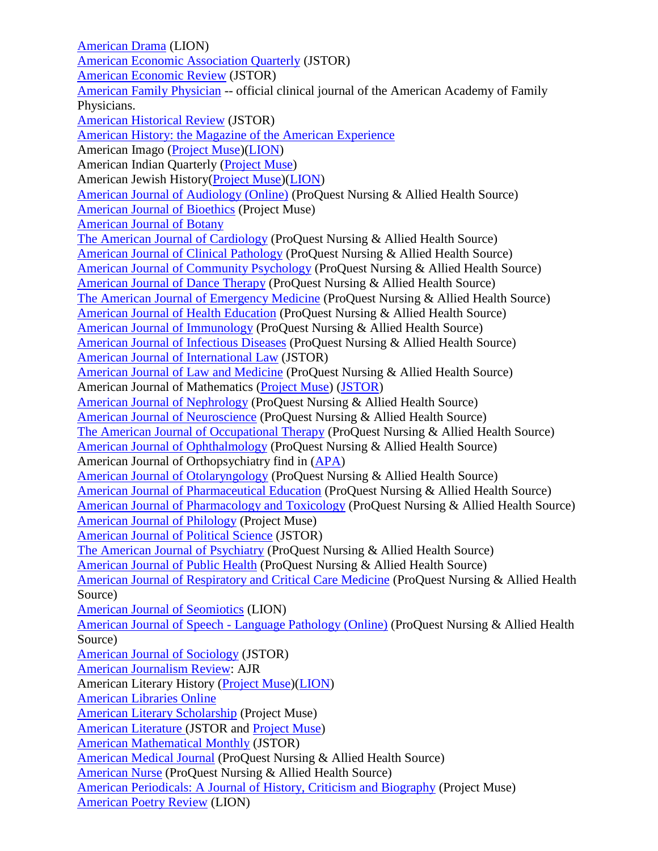[American Drama](http://lion.chadwyck.com/contents/abl_toc/AmericanDramaDeptofEnglishHelen/issues.jsp) (LION) [American Economic Association Quarterly](http://www.jstor.org/journals/15325059.html) (JSTOR) [American Economic Review](http://www.jstor.org/journals/00028282.html) (JSTOR) [American Family Physician](http://www.aafp.org/afp.xml) -- official clinical journal of the American Academy of Family Physicians. [American Historical Review](http://www.jstor.org/journals/00028762.html) (JSTOR) [American History: the Magazine of the American Experience](http://www.historynet.com/) American Imago [\(Project Muse\)](http://muse.jhu.edu/journals/american_imago/)[\(LION\)](http://lion.chadwyck.com/showPage.do?TEMPLATE=/contents/abl_toc/AmericanImagoAssnforAppliedPsyc/issues.htm) American Indian Quarterly [\(Project Muse\)](http://muse.jhu.edu/journals/american_indian_quarterly/) American Jewish History[\(Project Muse\)](http://muse.jhu.edu/journals/american_jewish_history/)[\(LION\)](http://lion.chadwyck.com/showPage.do?TEMPLATE=/contents/abl_toc/AmericanJewishHistoryanAmerican/issues.htm) [American Journal of Audiology \(Online\)](http://search.proquest.com/publication/135330/citation/13BE35E29C825A3FDD6/50?accountid=12291) (ProQuest Nursing & Allied Health Source) [American Journal of Bioethics](http://muse.jhu.edu/journals/american_journal_of_bioethics/) (Project Muse) [American Journal of Botany](http://www.amjbot.org/) [The American Journal of Cardiology](http://search.proquest.com/publication/41200/citation/13BE35E29C825A3FDD6/51?accountid=12291) (ProQuest Nursing & Allied Health Source) [American Journal of Clinical Pathology](http://search.proquest.com/publication/586299/citation/13BE35E29C825A3FDD6/53?accountid=12291) (ProQuest Nursing & Allied Health Source) [American Journal of Community Psychology](http://search.proquest.com/publication/47760/citation/13BE35E29C825A3FDD6/54?accountid=12291) (ProQuest Nursing & Allied Health Source) [American Journal of Dance Therapy](http://search.proquest.com/publication/54104/citation/13BE35E29C825A3FDD6/56?accountid=12291) (ProQuest Nursing & Allied Health Source) [The American Journal of Emergency Medicine](http://search.proquest.com/publication/1216387/citation/13BE35E29C825A3FDD6/57?accountid=12291) (ProQuest Nursing & Allied Health Source) [American Journal of Health Education](http://search.proquest.com/publication/44607/citation/13BE35E29C825A3FDD6/59?accountid=12291) (ProQuest Nursing & Allied Health Source) [American Journal of Immunology](http://search.proquest.com/publication/1246340/citation/13BE35E29C825A3FDD6/60?accountid=12291) (ProQuest Nursing & Allied Health Source) [American Journal of Infectious Diseases](http://search.proquest.com/publication/1246339/citation/13BEE0A14DB2F0D7B/61?accountid=12291) (ProQuest Nursing & Allied Health Source) [American Journal of International Law](http://www.jstor.org/journals/00029300.html) (JSTOR) [American Journal of Law and Medicine](http://search.proquest.com/publication/48702/citation/13BEE0A14DB2F0D7B/62?accountid=12291) (ProQuest Nursing & Allied Health Source) American Journal of Mathematics [\(Project Muse\)](http://muse.jhu.edu/journals/american_journal_of_mathematics/) [\(JSTOR\)](http://www.jstor.org/journals/00029327.html) [American Journal of Nephrology](http://search.proquest.com/publication/10951/citation/13BEE0A14DB2F0D7B/63?accountid=12291) (ProQuest Nursing & Allied Health Source) [American Journal of Neuroscience](http://search.proquest.com/publication/1246343/citation/13BEE0A14DB2F0D7B/64?accountid=12291) (ProQuest Nursing & Allied Health Source) [The American Journal of Occupational Therapy](http://search.proquest.com/publication/47935/citation/13BEE0A14DB2F0D7B/65?accountid=12291) (ProQuest Nursing & Allied Health Source) [American Journal of Ophthalmology](http://search.proquest.com/publication/41749/citation/13BEE0A14DB2F0D7B/66?accountid=12291) (ProQuest Nursing & Allied Health Source) American Journal of Orthopsychiatry find in [\(APA\)](http://online.psycinfo.com/library/search) [American Journal of Otolaryngology](http://search.proquest.com/publication/1226367/citation/13BEE0A14DB2F0D7B/67?accountid=12291) (ProQuest Nursing & Allied Health Source) [American Journal of Pharmaceutical Education](http://search.proquest.com/publication/41120/citation/13BEE0A14DB2F0D7B/68?accountid=12291) (ProQuest Nursing & Allied Health Source) [American Journal of Pharmacology and Toxicology](http://search.proquest.com/publication/1246338/citation/13BEE0A14DB2F0D7B/69?accountid=12291) (ProQuest Nursing & Allied Health Source) [American Journal of Philology](http://muse.jhu.edu/journals/american_journal_of_philology/) (Project Muse) [American Journal of Political Science](http://www.jstor.org/journals/00925853.html) (JSTOR) [The American Journal of Psychiatry](http://search.proquest.com/publication/40661/citation/13BEE0A14DB2F0D7B/70?accountid=12291) (ProQuest Nursing & Allied Health Source) [American Journal](http://search.proquest.com/publication/41804/citation/13BEE0A14DB2F0D7B/71?accountid=12291) of Public Health (ProQuest Nursing & Allied Health Source) [American Journal of Respiratory and Critical Care Medicine](http://search.proquest.com/publication/40575/citation/13BEF15216A4C2D9C84/72?accountid=12291) (ProQuest Nursing & Allied Health Source) [American Journal of Seomiotics](http://lion.chadwyck.com/contents/abl_toc/AmericanJournalofSemioticsaquar/issues.jsp) (LION) [American Journal of Speech -](http://search.proquest.com/publication/135353/citation/13C12BAF19C3413B6FD/74?accountid=12291) Language Pathology (Online) (ProQuest Nursing & Allied Health Source) [American Journal of Sociology](http://www.jstor.org/journals/00029602.html) (JSTOR) [American Journalism Review:](http://www.ajr.org/) AJR American Literary History [\(Project Muse\)](http://muse.jhu.edu/journals/alh/)[\(LION\)](http://lion.chadwyck.com/contents/abl_toc/AmericanLiteraryHistoryCaryNCOx/issues.jsp) [American Libraries Online](http://www.ala.org/al_onlineTemplate.cfm?Section=alonline&Template=/TaggedPage/TaggedPageDisplay.cfm&TPLID=14&ContentID=12155) [American Literary Scholarship](http://muse.jhu.edu/journals/american_literary_scholarship/) (Project Muse) [American Literature \(](http://www.jstor.org/action/showPublication?journalCode=amerlite)JSTOR and [Project Muse\)](http://muse.jhu.edu/journals/american_literature/) [American Mathematical Monthly](http://www.jstor.org/journals/00029890.html) (JSTOR) [American Medical Journal](http://search.proquest.com/publication/1246342/citation/13C12BAF19C3413B6FD/76?accountid=12291) (ProQuest Nursing & Allied Health Source) [American Nurse](http://search.proquest.com/publication/36389/citation/13C12BAF19C3413B6FD/77?accountid=12291) (ProQuest Nursing & Allied Health Source) [American Periodicals: A Journal of History, Criticism and Biography](http://muse.jhu.edu/journals/american_periodicals/) (Project Muse) [American Poetry Review](http://lion.chadwyck.com/showPage.do?TEMPLATE=/contents/abl_toc/AmericanPoetryReviewPhiladelphi/issues.htm) (LION)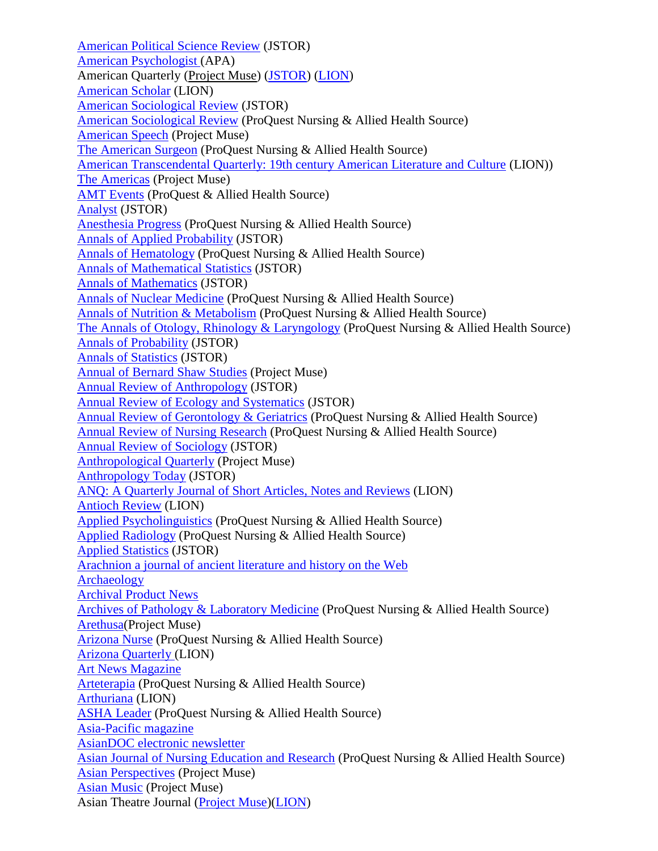[American Political Science Review](http://www.jstor.org/journals/00030554.html) (JSTOR) [American Psychologist \(](http://psycnet.apa.org/journals/amp/)APA) American Quarterly [\(Project Muse\)](http://www.jstor.org/browse/00030678?config=jstor&frame=noframe&userID=4477657d@martinmethodist.edu/018dd5533b005012bb90a&dpi=3) [\(JSTOR\)](http://www.jstor.org/browse/00030678?config=jstor&frame=noframe&userID=4477657d@martinmethodist.edu/018dd5533b005012bb90a&dpi=3) [\(LION\)](http://lion.chadwyck.com/showPage.do?TEMPLATE=/contents/abl_toc/AmericanQuarterlyAmericanStudie/issues.htm) [American Scholar](http://lion.chadwyck.com/showPage.do?TEMPLATE=/contents/abl_toc/AmericanScholarWashingtonDC/issues.htm) (LION) [American Sociological Review](http://www.jstor.org/journals/00031224.html) (JSTOR) [American Sociological Review](http://search.proquest.com/publication/41945/citation/13C12EED35D11DBF93C/79?accountid=12291) (ProQuest Nursing & Allied Health Source) [American Speech](http://muse.jhu.edu/journals/as/) (Project Muse) [The American Surgeon](http://search.proquest.com/publication/49079/citation/13C12EED35D11DBF93C/81?accountid=12291) (ProQuest Nursing & Allied Health Source) [American Transcendental Quarterly: 19th century American Literature and Culture](http://lion.chadwyck.com/showPage.do?TEMPLATE=/contents/abl_toc/AmericanTranscendentalQuarterly/issues.htm) (LION)) [The Americas](http://muse.jhu.edu/journals/the_americas/) (Project Muse) [AMT Events](http://search.proquest.com/publication/136113/citation/13C2579279F78D4F789/82?accountid=12291) (ProQuest & Allied Health Source) [Analyst](http://www.jstor.org/journals/07417918.html) (JSTOR) [Anesthesia Progress](http://search.proquest.com/publication/24112/citation/13C2579279F78D4F789/83?accountid=12291) (ProQuest Nursing & Allied Health Source) [Annals of Applied Probability](http://www.jstor.org/journals/10505164.html) (JSTOR) [Annals of Hematology](http://search.proquest.com/publication/54039/citation/13C2579279F78D4F789/84?accountid=12291) (ProQuest Nursing & Allied Health Source) [Annals of Mathematical Statistics](http://www.jstor.org/journals/00034851.html) (JSTOR) [Annals of Mathematics](http://www.jstor.org/journals/0003486X.html) (JSTOR) [Annals of Nuclear Medicine](http://search.proquest.com/publication/54108/citation/13C2579279F78D4F789/86?accountid=12291) (ProQuest Nursing & Allied Health Source) [Annals of Nutrition & Metabolism](http://search.proquest.com/publication/32607/citation/13C2579279F78D4F789/87?accountid=12291) (ProQuest Nursing & Allied Health Source) [The Annals of Otology, Rhinology & Laryngology](http://search.proquest.com/publication/35132/citation/13C2579279F78D4F789/88?accountid=12291) (ProQuest Nursing & Allied Health Source) [Annals of Probability](http://www.jstor.org/journals/10505164.html) (JSTOR) [Annals of Statistics](http://www.jstor.org/journals/00905364.html) (JSTOR) [Annual of Bernard Shaw Studies](http://muse.jhu.edu/journals/annual_of_bernard_shaw_studies/) (Project Muse) [Annual Review of Anthropology](http://www.jstor.org/journals/00846570.html) (JSTOR) [Annual Review of Ecology and Systematics](http://www.jstor.org/journals/00664162.html) (JSTOR) [Annual Review of Gerontology & Geriatrics](http://search.proquest.com/publication/28852/citation/13C2579279F78D4F789/90?accountid=12291) (ProQuest Nursing & Allied Health Source) [Annual Review of Nursing Research](http://search.proquest.com/publication/32615/citation/13C2579279F78D4F789/92?accountid=12291) (ProQuest Nursing & Allied Health Source) [Annual Review of Sociology](http://www.jstor.org/journals/03600572.html) (JSTOR) [Anthropological Quarterly](http://muse.jhu.edu/journals/anthropological_quarterly/) (Project Muse) [Anthropology Today](http://www.jstor.org/journals/0268540X.html) (JSTOR) [ANQ: A Quarterly Journal of Short Articles, Notes and Reviews](http://lion.chadwyck.com/showPage.do?TEMPLATE=/contents/abl_toc/ANQaquarterlyjournalofshortarti/issues.htm) (LION) [Antioch Review](http://lion.chadwyck.com/showPage.do?TEMPLATE=/contents/abl_toc/AntiochReviewYellowSpringsOH/issues.htm) (LION) [Applied Psycholinguistics](http://search.proquest.com/publication/47826/citation/13C2579279F78D4F789/98?accountid=12291) (ProQuest Nursing & Allied Health Source) [Applied Radiology](http://search.proquest.com/publication/32662/citation/13C2579279F78D4F789/99?accountid=12291) (ProQuest Nursing & Allied Health Source) [Applied Statistics](http://www.jstor.org/journals/00359254.html) (JSTOR) [Arachnion a journal of ancient literature and history on the Web](http://www.cisi.unito.it/arachne/arachne.html) [Archaeology](http://www.he.net/~archaeol/) [Archival Product News](http://www.archival.com/) [Archives of Pathology & Laboratory Medicine](http://search.proquest.com/publication/42082/citation/13C2579279F78D4F789/101?accountid=12291) (ProQuest Nursing & Allied Health Source) [Arethusa\(](http://muse.jhu.edu/journals/arethusa/)Project Muse) [Arizona Nurse](http://search.proquest.com/publication/35424/citation/13C2579279F78D4F789/102?accountid=12291) (ProQuest Nursing & Allied Health Source) [Arizona Quarterly \(](http://lion.chadwyck.com/contents/abl_toc/ArizonaQuarterlyajournalofAmeri/issues.jsp)LION) [Art News Magazine](http://www.artnewsonline.com/) [Arteterapia](http://search.proquest.com/publication/54821/citation/13C2579279F78D4F789/103?accountid=12291) (ProQuest Nursing & Allied Health Source) [Arthuriana](http://lion.chadwyck.com/contents/abl_toc/ArthurianaInternationalArthuria/issues.jsp) (LION) [ASHA Leader](http://search.proquest.com/publication/33952/citation/13C2579279F78D4F789/104?accountid=12291) (ProQuest Nursing & Allied Health Source) [Asia-Pacific magazine](http://coombs.anu.edu.au/asia-pacific-magazine) [AsianDOC electronic newsletter](http://asiandoc.lib.ohio-state.edu/v1n1/) [Asian Journal of Nursing Education and Research](http://search.proquest.com/publication/1096447/citation/13C2579279F78D4F789/105?accountid=12291) (ProQuest Nursing & Allied Health Source) [Asian Perspectives](http://muse.jhu.edu/journals/asian_perspectives/) (Project Muse) [Asian Music](http://muse.jhu.edu/journals/asian_music/) (Project Muse) Asian Theatre Journal [\(Project Muse\)](http://muse.jhu.edu/journals/atj/)[\(LION\)](http://lion.chadwyck.com/showPage.do?TEMPLATE=/contents/abl_toc/AsianTheaterJournalAssocforAsia/issues.htm)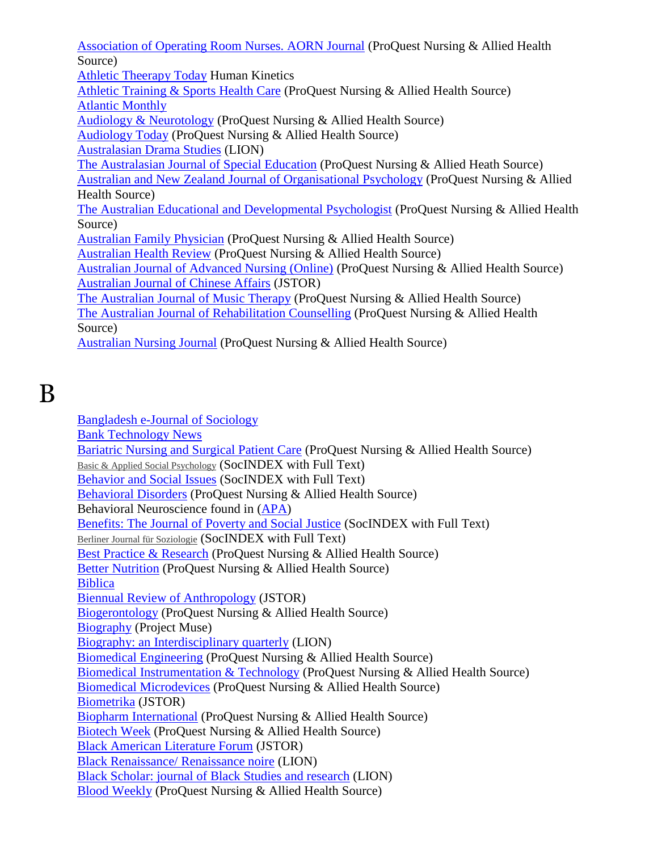[Association of Operating Room Nurses. AORN Journal](http://search.proquest.com/publication/47507/citation/13C2579279F78D4F789/106?accountid=12291) (ProQuest Nursing & Allied Health Source) [Athletic Theerapy Today](http://www.humankinetics.com/ATT/journalAbout.cfm) Human Kinetics [Athletic Training & Sports Health Care](http://search.proquest.com/publication/52166/citation/13C2579279F78D4F789/107?accountid=12291) (ProQuest Nursing & Allied Health Source) [Atlantic Monthly](http://www.theatlantic.com/) [Audiology & Neurotology](http://search.proquest.com/publication/33658/citation/13C2579279F78D4F789/108?accountid=12291) (ProQuest Nursing & Allied Health Source) [Audiology Today](http://search.proquest.com/publication/53112/citation/13C2579279F78D4F789/109?accountid=12291) (ProQuest Nursing & Allied Health Source) [Australasian Drama Studies](http://lion.chadwyck.com/contents/abl_toc/AustralasianDramaStudies/issues.jsp) (LION) [The Australasian Journal of Special Education](http://search.proquest.com/publication/1596390/citation/13C2579279F78D4F789/113?accountid=12291) (ProQuest Nursing & Allied Heath Source) Australian and New Zealand [Journal of Organisational Psychology](http://search.proquest.com/publication/1586362/citation/13C2579279F78D4F789/114?accountid=12291) (ProQuest Nursing & Allied Health Source) [The Australian Educational and Developmental Psychologist](http://search.proquest.com/publication/1586361/citation/13C2579279F78D4F789/117?accountid=12291) (ProQuest Nursing & Allied Health Source) [Australian Family Physician](http://search.proquest.com/publication/33668/citation/13C2579279F78D4F789/118?accountid=12291) (ProQuest Nursing & Allied Health Source) [Australian Health Review](http://search.proquest.com/publication/33961/citation/13C2579279F78D4F789/119?accountid=12291) (ProQuest Nursing & Allied Health Source) [Australian Journal of Advanced Nursing \(Online\)](http://search.proquest.com/publication/38687/citation/13C3614E5853CC52B63/122?accountid=12291) (ProQuest Nursing & Allied Health Source) [Australian Journal of Chinese Affairs](http://www.jstor.org/journals/01567365.html) (JSTOR) [The Australian Journal of Music Therapy](http://search.proquest.com/publication/28265/citation/13C3614E5853CC52B63/123?accountid=12291) (ProQuest Nursing & Allied Health Source) [The Australian Journal of Rehabilitation Counselling](http://search.proquest.com/publication/1586359/citation/13C3614E5853CC52B63/125?accountid=12291) (ProQuest Nursing & Allied Health Source)

[Australian Nursing Journal](http://search.proquest.com/publication/33490/citation/13C3614E5853CC52B63/126?accountid=12291) (ProQuest Nursing & Allied Health Source)

[Bangladesh e-Journal of Sociology](http://web.ebscohost.com/ehost/detail?sid=f4ae07b4-d0e0-44bd-9dc7-59e8f3471386%40sessionmgr15&vid=4&hid=15&bdata=JnNpdGU9ZWhvc3QtbGl2ZQ%3d%3d#db=sih&jid=1CGN) [Bank Technology News](http://web.ebscohost.com/ehost/detail?sid=f4ae07b4-d0e0-44bd-9dc7-59e8f3471386%40sessionmgr15&vid=4&hid=15&bdata=JnNpdGU9ZWhvc3QtbGl2ZQ%3d%3d#db=sih&jid=1CGN) [Bariatric Nursing and Surgical Patient Care](http://search.proquest.com/publication/29213/citation/13C405B5E774F3B09D2/128?accountid=12291) (ProQuest Nursing & Allied Health Source) [Basic & Applied Social Psychology](http://web.ebscohost.com/ehost/detail?sid=fe19922c-3112-46d0-85a1-e5b27295fc8e%40sessionmgr4&vid=4&hid=11&bdata=JnNpdGU9ZWhvc3QtbGl2ZQ%3d%3d#db=sih&jid=7LI) (SocINDEX with Full Text) [Behavior and Social Issues](http://web.ebscohost.com/ehost/detail?sid=fe19922c-3112-46d0-85a1-e5b27295fc8e%40sessionmgr4&vid=4&hid=11&bdata=JnNpdGU9ZWhvc3QtbGl2ZQ%3d%3d#db=sih&jid=G26) (SocINDEX with Full Text) [Behavioral Disorders](http://search.proquest.com/publication/48220/citation/13C405B5E774F3B09D2/129?accountid=12291) (ProQuest Nursing & Allied Health Source) Behavioral Neuroscience found in [\(APA\)](http://online.psycinfo.com/library/search) [Benefits: The Journal of Poverty and Social Justice](http://web.ebscohost.com/ehost/detail?sid=fe19922c-311246d085a1e5b27295fc8e%40sessionmgr4&vid=4&hid=11&bdata=JnNpdGU9ZWhvc3QtbGl2ZQ%3d%3d#db=sih&jid=N9T) (SocINDEX with Full Text) [Berliner Journal für Soziologie](http://web.ebscohost.com/ehost/detail?sid=fe19922c-3112-46d0-85a1-e5b27295fc8e%40sessionmgr4&vid=4&hid=11&bdata=JnNpdGU9ZWhvc3QtbGl2ZQ%3d%3d#db=sih&jid=BMQ) (SocINDEX with Full Text) [Best Practice & Research](http://search.proquest.com/publication/1226366/citation/13CEA27E75F739096A9/132?accountid=12291) (ProQuest Nursing & Allied Health Source) [Better Nutrition](http://search.proquest.com/publication/31681/citation/13CEA27E75F739096A9/133?accountid=12291) (ProQuest Nursing & Allied Health Source) **[Biblica](http://www.bsw.org/project/biblica/)** [Biennual Review of Anthropology](http://www.jstor.org/journals/00678503.html) (JSTOR) [Biogerontology](http://search.proquest.com/publication/55378/citation/13CEA27E75F739096A9/134?accountid=12291) (ProQuest Nursing & Allied Health Source) [Biography](http://muse.jhu.edu/journals/bio/) (Project Muse) [Biography: an Interdisciplinary quarterly](http://lion.chadwyck.com/showPage.do?TEMPLATE=/contents/abl_toc/Biographyaninterdisciplinaryqua/issues.htm) (LION) [Biomedical Engineering](http://search.proquest.com/publication/48540/citation/13CEA27E75F739096A9/136?accountid=12291) (ProQuest Nursing & Allied Health Source) [Biomedical Instrumentation & Technology](http://search.proquest.com/publication/38199/citation/13CEA27E75F739096A9/137?accountid=12291) (ProQuest Nursing & Allied Health Source) [Biomedical Microdevices](http://search.proquest.com/publication/42500/citation/13CEA27E75F739096A9/138?accountid=12291) (ProQuest Nursing & Allied Health Source) [Biometrika](http://www.jstor.org/journals/00063444.html) (JSTOR) [Biopharm International](http://search.proquest.com/publication/27334/citation/13CEA27E75F739096A9/139?accountid=12291) (ProQuest Nursing & Allied Health Source) [Biotech Week](http://search.proquest.com/publication/26388/citation/13CEA27E75F739096A9/140?accountid=12291) (ProQuest Nursing & Allied Health Source) [Black American Literature Forum](http://www.jstor.org/journals/01486179.html) (JSTOR) [Black Renaissance/ Renaissance noire](http://lion.chadwyck.com/contents/abl_toc/BlackRenaissanceRenaissancenoir/issues.jsp) (LION) [Black Scholar: journal of Black Studies and research](http://lion.chadwyck.com/showPage.do?TEMPLATE=/contents/abl_toc/BlackScholarjournalofBlackstudi/issues.htm) (LION) [Blood Weekly](http://search.proquest.com/publication/30630/citation/13CEA27E75F739096A9/141?accountid=12291) (ProQuest Nursing & Allied Health Source)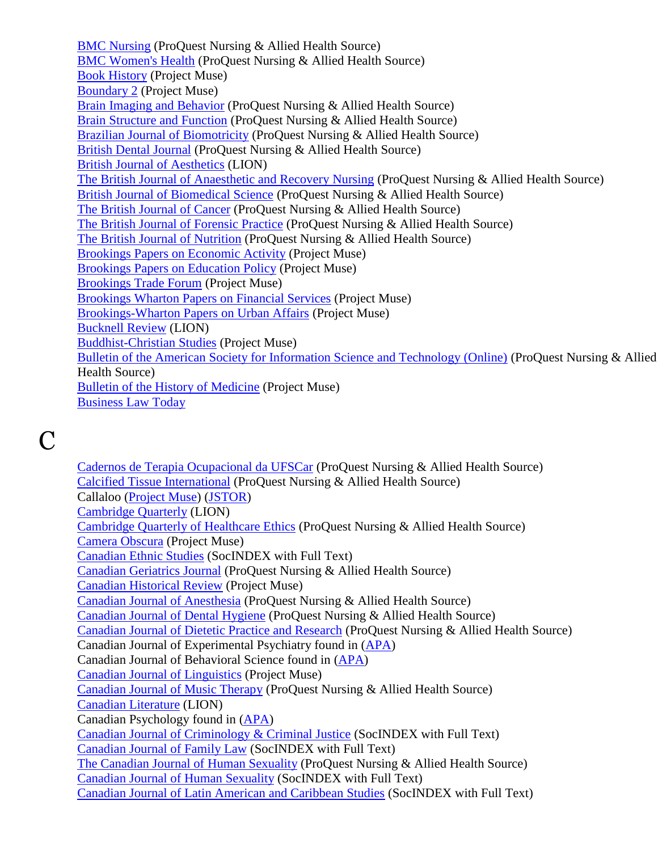[BMC Nursing](http://search.proquest.com/publication/44794/citation/13CEA27E75F739096A9/143?accountid=12291) (ProQuest Nursing & Allied Health Source) [BMC Women's Health](http://search.proquest.com/publication/42554/citation/13CEA27E75F739096A9/144?accountid=12291) (ProQuest Nursing & Allied Health Source) [Book History](http://muse.jhu.edu/journals/bh/) (Project Muse) [Boundary 2](http://muse.jhu.edu/journals/b2/) (Project Muse) [Brain Imaging and Behavior](http://search.proquest.com/publication/1486349/citation/13CEA27E75F739096A9/146?accountid=12291) (ProQuest Nursing & Allied Health Source) [Brain Structure and Function](http://search.proquest.com/publication/38983/citation/13CEA27E75F739096A9/147?accountid=12291) (ProQuest Nursing & Allied Health Source) [Brazilian Journal of Biomotricity](http://search.proquest.com/publication/136243/citation/13CEA27E75F739096A9/148?accountid=12291) (ProQuest Nursing & Allied Health Source) [British Dental Journal](http://search.proquest.com/publication/42423/citation/13CEA27E75F739096A9/152?accountid=12291) (ProQuest Nursing & Allied Health Source) [British Journal of Aesthetics](http://lion.chadwyck.com/showPage.do?TEMPLATE=/contents/abl_toc/BritishJournalofAestheticsOxfor/issues.htm) (LION) [The British Journal of Anaesthetic and Recovery Nursing](http://search.proquest.com/publication/28911/citation/13CEA27E75F739096A9/153?accountid=12291) (ProQuest Nursing & Allied Health Source) [British Journal of Biomedical Science](http://search.proquest.com/publication/4969/citation/13CEA27E75F739096A9/155?accountid=12291) (ProQuest Nursing & Allied Health Source) [The British Journal of Cancer](http://search.proquest.com/publication/41855/citation/13CEA27E75F739096A9/156?accountid=12291) (ProQuest Nursing & Allied Health Source) [The British Journal of Forensic Practice](http://search.proquest.com/publication/44508/citation/13CEA27E75F739096A9/158?accountid=12291) (ProQuest Nursing & Allied Health Source) [The British Journal of Nutrition](http://search.proquest.com/publication/5629/citation/13CEA27E75F739096A9/161?accountid=12291) (ProQuest Nursing & Allied Health Source) [Brookings Papers on Economic Activity](http://muse.jhu.edu/journals/brookings_papers_on_economic_activity/) (Project Muse) [Brookings Papers on Education Policy](http://muse.jhu.edu/journals/brookings_papers_on_education_policy/) (Project Muse) [Brookings Trade Forum](http://muse.jhu.edu/journals/btf/) (Project Muse) [Brookings Wharton Papers on Financial Services](http://muse.jhu.edu/journals/brookings-wharton_papers_on_financial_services/) (Project Muse) [Brookings-Wharton Papers on Urban Affairs](http://muse.jhu.edu/journals/brookings-wharton_papers_on_urban_affairs/) (Project Muse) [Bucknell Review](http://lion.chadwyck.com/contents/abl_toc/BucknellReviewBucknellUnivLewis/issues.jsp) (LION) [Buddhist-Christian Studies](http://muse.jhu.edu/journals/bcs/) (Project Muse) [Bulletin of the American Society for Information Science and Technology \(Online\)](http://search.proquest.com/publication/38835/citation/13CEA27E75F739096A9/168?accountid=12291) (ProQuest Nursing & Allied Health Source) [Bulletin of the History of Medicine](http://muse.jhu.edu/journals/bulletin_of_the_history_of_medicine/) (Project Muse) [Business Law Today](http://www.abanet.org/buslaw/blt/index.html)

## $\mathbf C$

[Cadernos de Terapia Ocupacional da UFSCar](http://search.proquest.com/publication/1156344/citation/13CEA27E75F739096A9/169?accountid=12291) (ProQuest Nursing & Allied Health Source) [Calcified Tissue International](http://search.proquest.com/publication/48445/citation/13CEA27E75F739096A9/170?accountid=12291) (ProQuest Nursing & Allied Health Source) Callaloo [\(Project Muse\)](http://muse.jhu.edu/journals/callaloo/) [\(JSTOR\)](http://www.jstor.org/journals/01612492.html) [Cambridge Quarterly](http://lion.chadwyck.com/contents/abl_toc/CambridgeQuarterlyCambridgeQuar/issues.jsp) (LION) [Cambridge Quarterly of Healthcare Ethics](http://search.proquest.com/publication/33811/citation/13CEA27E75F739096A9/171?accountid=12291) (ProQuest Nursing & Allied Health Source) [Camera Obscura](http://muse.jhu.edu/journals/co/) (Project Muse) [Canadian Ethnic Studies](http://web.ebscohost.com/ehost/detail?sid=fe19922c-3112-46d0-85a1-e5b27295fc8e%40sessionmgr4&vid=5&hid=11&bdata=JnNpdGU9ZWhvc3QtbGl2ZQ%3d%3d#db=sih&jid=CES) (SocINDEX with Full Text) [Canadian Geriatrics Journal](http://search.proquest.com/publication/1246350/citation/13CEA27E75F739096A9/173?accountid=12291) (ProQuest Nursing & Allied Health Source) [Canadian Historical Review](http://muse.jhu.edu/journals/canadian_historical_review/) (Project Muse) [Canadian Journal of Anesthesia](http://search.proquest.com/publication/326357/citation/13CEA27E75F739096A9/174?accountid=12291) (ProQuest Nursing & Allied Health Source) [Canadian Journal of Dental Hygiene](http://search.proquest.com/publication/39590/citation/13CEA27E75F739096A9/175?accountid=12291) (ProQuest Nursing & Allied Health Source) [Canadian Journal of Dietetic Practice and Research](http://search.proquest.com/publication/38184/citation/13CEA27E75F739096A9/176?accountid=12291) (ProQuest Nursing & Allied Health Source) Canadian Journal of Experimental Psychiatry found in [\(APA\)](http://online.psycinfo.com/library/search) Canadian Journal of Behavioral Science found in [\(APA\)](http://online.psycinfo.com/library/search) [Canadian Journal of Linguistics](http://muse.jhu.edu/journals/canadian_journal_of_linguistics/) (Project Muse) [Canadian Journal of Music Therapy](http://search.proquest.com/publication/29370/citation/13CEA27E75F739096A9/180?accountid=12291) (ProQuest Nursing & Allied Health Source) [Canadian Literature](http://lion.chadwyck.com/showPage.do?TEMPLATE=/contents/abl_toc/CanadianLiteratureLittraturecan/issues.htm) (LION) Canadian Psychology found in [\(APA\)](http://online.psycinfo.com/library/search) [Canadian Journal of Criminology & Criminal Justice](http://web.ebscohost.com/ehost/detail?sid=fe19922c-311246d085a1e5b27295fc8e%40sessionmgr4&vid=5&hid=11&bdata=JnNpdGU9ZWhvc3QtbGl2ZQ%3d%3d#db=sih&jid=U3F) (SocINDEX with Full Text) [Canadian Journal of Family Law](http://web.ebscohost.com/ehost/detail?sid=fe19922c-3112-46d0-85a1-e5b27295fc8e%40sessionmgr4&vid=5&hid=11&bdata=JnNpdGU9ZWhvc3QtbGl2ZQ%3d%3d#db=sih&jid=9E0) (SocINDEX with Full Text) [The Canadian Journal of Human Sexuality](http://search.proquest.com/publication/33400/citation/13CEA27E75F739096A9/177?accountid=12291) (ProQuest Nursing & Allied Health Source) [Canadian Journal of Human Sexuality](http://web.ebscohost.com/ehost/detail?sid=fe19922c-3112-46d0-85a1-e5b27295fc8e%40sessionmgr4&vid=5&hid=11&bdata=JnNpdGU9ZWhvc3QtbGl2ZQ%3d%3d#db=sih&jid=1QX) (SocINDEX with Full Text) [Canadian Journal of Latin American and Caribbean Studies](http://web.ebscohost.com/ehost/detail?sid=fe19922c-311246d085a1e5b27295fc8e%40sessionmgr4&vid=5&hid=11&bdata=JnNpdGU9ZWhvc3QtbGl2ZQ%3d%3d#db=sih&jid=2R0Z) (SocINDEX with Full Text)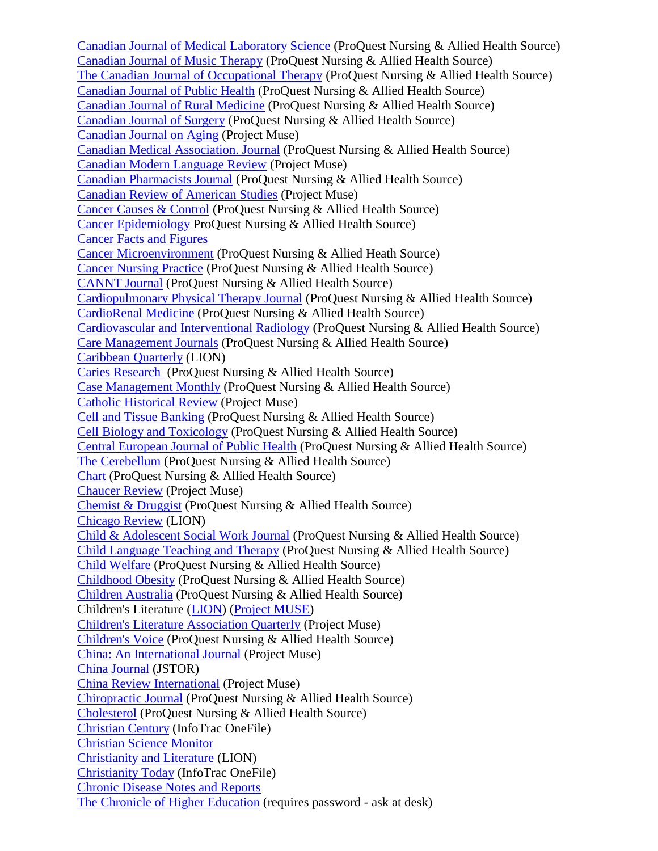[Canadian Journal of Medical Laboratory Science](http://search.proquest.com/publication/32671/citation/13CEA27E75F739096A9/178?accountid=12291) (ProQuest Nursing & Allied Health Source) [Canadian Journal of Music Therapy](http://search.proquest.com/publication/29370/citation/13D0E23541258D8015C/180?accountid=12291) (ProQuest Nursing & Allied Health Source) [The Canadian Journal of Occupational Therapy](http://search.proquest.com/publication/37339/citation/13D0E23541258D8015C/181?accountid=12291) (ProQuest Nursing & Allied Health Source) [Canadian Journal of Public Health](http://search.proquest.com/publication/47649/citation/13D0E23541258D8015C/183?accountid=12291) (ProQuest Nursing & Allied Health Source) [Canadian Journal of Rural Medicine](http://search.proquest.com/publication/45825/citation/13D0E23541258D8015C/185?accountid=12291) (ProQuest Nursing & Allied Health Source) [Canadian Journal of Surgery](http://search.proquest.com/publication/41665/citation/13D0E23541258D8015C/186?accountid=12291) (ProQuest Nursing & Allied Health Source) [Canadian Journal on Aging](http://muse.jhu.edu/journals/canadian_journal_on_aging/) (Project Muse) [Canadian Medical Association. Journal](http://search.proquest.com/publication/41339/citation/13D0E23541258D8015C/187?accountid=12291) (ProQuest Nursing & Allied Health Source) [Canadian Modern Language Review](http://muse.jhu.edu/journals/canadian_modern_language_review/) (Project Muse) [Canadian Pharmacists Journal](http://search.proquest.com/publication/28466/citation/13D0E23541258D8015C/189?accountid=12291) (ProQuest Nursing & Allied Health Source) [Canadian Review of American Studies](http://muse.jhu.edu/journals/canadian_review_of_american_studies/) (Project Muse) [Cancer Causes & Control](http://search.proquest.com/publication/31057/citation/13D0E23541258D8015C/191?accountid=12291) (ProQuest Nursing & Allied Health Source) [Cancer Epidemiology](http://search.proquest.com/publication/1226362/citation/13D0E23541258D8015C/192?accountid=12291) ProQuest Nursing & Allied Health Source) [Cancer Facts and Figures](http://www.cancer.org/docroot/stt/stt_0.asp) [Cancer Microenvironment](http://search.proquest.com/publication/1496337/citation/13D0E23541258D8015C/195?accountid=12291) (ProQuest Nursing & Allied Heath Source) [Cancer Nursing Practice](http://search.proquest.com/publication/44391/citation/13D32338A7D1FD5185D/203?accountid=12291) (ProQuest Nursing & Allied Health Source) [CANNT Journal](http://search.proquest.com/publication/28198/citation/13D32338A7D1FD5185D/205?accountid=12291) (ProQuest Nursing & Allied Health Source) [Cardiopulmonary Physical Therapy Journal](http://search.proquest.com/publication/32821/citation/13D32338A7D1FD5185D/206?accountid=12291) (ProQuest Nursing & Allied Health Source) [CardioRenal Medicine](http://search.proquest.com/publication/1356342/citation/13D32338A7D1FD5185D/207?accountid=12291) (ProQuest Nursing & Allied Health Source) [Cardiovascular and Interventional Radiology](http://search.proquest.com/publication/54058/citation/13D32338A7D1FD5185D/208?accountid=12291) (ProQuest Nursing & Allied Health Source) [Care Management Journals](http://search.proquest.com/publication/28724/citation/13D32338A7D1FD5185D/209?accountid=12291) (ProQuest Nursing & Allied Health Source) [Caribbean Quarterly](http://lion.chadwyck.com/contents/abl_toc/CaribbeanQuarterly/issues.jsp) (LION) [Caries Research](http://search.proquest.com/publication/34578/citation/13D32338A7D1FD5185D/211?accountid=12291) (ProQuest Nursing & Allied Health Source) [Case Management Monthly](http://search.proquest.com/publication/50798/citation/13D32338A7D1FD5185D/215?accountid=12291) (ProQuest Nursing & Allied Health Source) [Catholic Historical Review](http://muse.jhu.edu/journals/catholic_historical_review/) (Project Muse) [Cell and Tissue Banking](http://search.proquest.com/publication/42947/citation/13D32338A7D1FD5185D/216?accountid=12291) (ProQuest Nursing & Allied Health Source) [Cell Biology and Toxicology](http://search.proquest.com/publication/54105/citation/13D32338A7D1FD5185D/218?accountid=12291) (ProQuest Nursing & Allied Health Source) [Central European Journal of Public Health](http://search.proquest.com/publication/54116/citation/13D32338A7D1FD5185D/219?accountid=12291) (ProQuest Nursing & Allied Health Source) [The Cerebellum](http://search.proquest.com/publication/1456356/citation/13D32338A7D1FD5185D/220?accountid=12291) (ProQuest Nursing & Allied Health Source) [Chart](http://search.proquest.com/publication/36908/citation/13D32338A7D1FD5185D/221?accountid=12291) (ProQuest Nursing & Allied Health Source) [Chaucer Review](http://muse.jhu.edu/journals/cr/) (Project Muse) [Chemist & Druggist](http://search.proquest.com/publication/37636/citation/13D32338A7D1FD5185D/222?accountid=12291) (ProQuest Nursing & Allied Health Source) [Chicago Review](http://lion.chadwyck.com/showPage.do?TEMPLATE=/contents/abl_toc/ChicagoReviewUnivofChicago/issues.htm) (LION) [Child & Adolescent Social Work Journal](http://search.proquest.com/publication/37911/citation/13D5649D2917DA76EA/224?accountid=12291) (ProQuest Nursing & Allied Health Source) [Child Language Teaching and Therapy](http://search.proquest.com/publication/32208/citation/13D5649D2917DA76EA/225?accountid=12291) (ProQuest Nursing & Allied Health Source) [Child Welfare](http://search.proquest.com/publication/40853/citation/13D5649D2917DA76EA/226?accountid=12291) (ProQuest Nursing & Allied Health Source) [Childhood Obesity](http://search.proquest.com/publication/29212/citation/13D5649D2917DA76EA/227?accountid=12291) (ProQuest Nursing & Allied Health Source) [Children Australia](http://search.proquest.com/publication/1586358/citation/13D5649D2917DA76EA/228?accountid=12291) (ProQuest Nursing & Allied Health Source) Children's Literature [\(LION\)](http://lion.chadwyck.com/showPage.do?TEMPLATE=/contents/abl_toc/ChildrensLiteratureannualoftheM/issues.htm) [\(Project MUSE\)](http://muse.jhu.edu/journals/childrens_literature/) [Children's Literature Association Quarterly](http://muse.jhu.edu/journals/childrens_literature_association_quarterly/) (Project Muse) [Children's Voice](http://search.proquest.com/publication/30208/citation/13D5649D2917DA76EA/230?accountid=12291) (ProQuest Nursing & Allied Health Source) [China: An International Journal](http://muse.jhu.edu/journals/china/) (Project Muse) [China Journal](http://www.jstor.org/journals/13249347.html) (JSTOR) [China Review International](http://muse.jhu.edu/journals/cri/) (Project Muse) [Chiropractic Journal](http://search.proquest.com/publication/32667/citation/13D5649D2917DA76EA/231?accountid=12291) (ProQuest Nursing & Allied Health Source) [Cholesterol](http://search.proquest.com/publication/237306/citation/13D5649D2917DA76EA/233?accountid=12291) (ProQuest Nursing & Allied Health Source) [Christian Century](http://find.galegroup.com/itx/start.do?prodId=ITOF&userGroupName=tel_a_mmcwml) (InfoTrac OneFile) [Christian Science Monitor](http://www.csmonitor.com/) [Christianity and Literature](http://lion.chadwyck.com/contents/abl_toc/ChristianityandLiterature/issues.jsp) (LION) [Christianity Today](http://find.galegroup.com/itx/start.do?prodId=ITOF&userGroupName=tel_a_mmcwml) (InfoTrac OneFile) [Chronic Disease Notes and Reports](http://www.cdc.gov/nccdphp/publications/cdnr/) [The Chronicle of Higher Education](http://chronicle.com/) (requires password - ask at desk)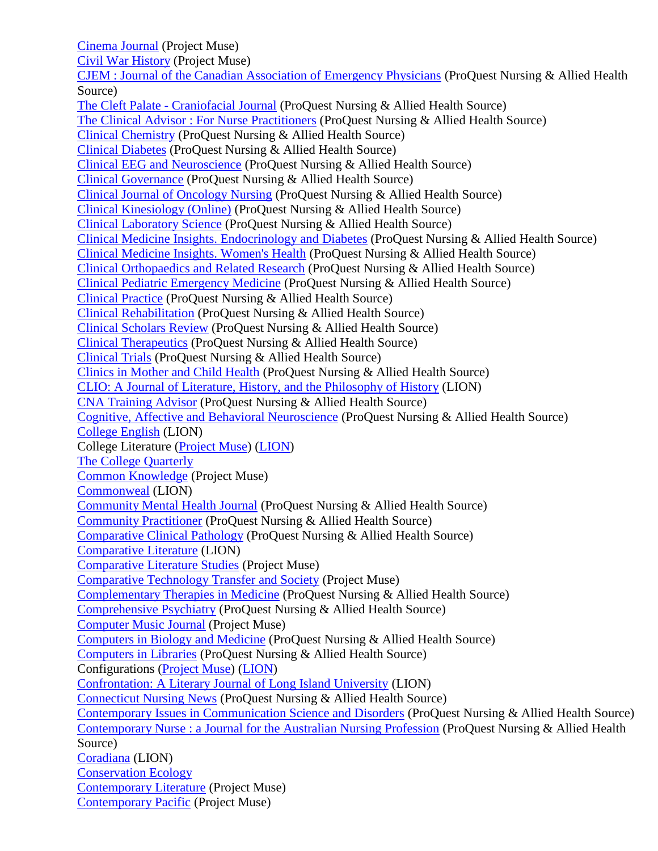[Cinema Journal](http://muse.jhu.edu/journals/cj/) (Project Muse)

[Civil War History](http://muse.jhu.edu/journals/civil_war_history/) (Project Muse)

[CJEM : Journal of the Canadian Association of Emergency Physicians](http://search.proquest.com/publication/45787/citation/13D5649D2917DA76EA/234?accountid=12291) (ProQuest Nursing & Allied Health Source)

The Cleft Palate - [Craniofacial Journal](http://search.proquest.com/publication/36255/citation/13D5649D2917DA76EA/235?accountid=12291) (ProQuest Nursing & Allied Health Source) [The Clinical Advisor : For Nurse Practitioners](http://search.proquest.com/publication/28419/citation/13D5649D2917DA76EA/236?accountid=12291) (ProQuest Nursing & Allied Health Source) [Clinical Chemistry](http://search.proquest.com/publication/47786/citation/13D5649D2917DA76EA/239?accountid=12291) (ProQuest Nursing & Allied Health Source) [Clinical Diabetes](http://search.proquest.com/publication/36783/citation/13D5649D2917DA76EA/241?accountid=12291) (ProQuest Nursing & Allied Health Source) [Clinical EEG and Neuroscience](http://search.proquest.com/publication/39840/citation/13D5649D2917DA76EA/242?accountid=12291) (ProQuest Nursing & Allied Health Source) [Clinical Governance](http://search.proquest.com/publication/44552/citation/13D5649D2917DA76EA/244?accountid=12291) (ProQuest Nursing & Allied Health Source) [Clinical Journal of Oncology Nursing](http://search.proquest.com/publication/33118/citation/13D5649D2917DA76EA/245?accountid=12291) (ProQuest Nursing & Allied Health Source) [Clinical Kinesiology \(Online\)](http://search.proquest.com/publication/29722/citation/13D5649D2917DA76EA/246?accountid=12291) (ProQuest Nursing & Allied Health Source) [Clinical Laboratory Science](http://search.proquest.com/publication/35972/citation/13D5649D2917DA76EA/247?accountid=12291) (ProQuest Nursing & Allied Health Source) [Clinical Medicine Insights. Endocrinology and](http://search.proquest.com/publication/1096340/citation/13D5649D2917DA76EA/248?accountid=12291) Diabetes (ProQuest Nursing & Allied Health Source) [Clinical Medicine Insights. Women's Health](http://search.proquest.com/publication/1006544/citation/13D5649D2917DA76EA/249?accountid=12291) (ProQuest Nursing & Allied Health Source) [Clinical Orthopaedics and Related Research](http://search.proquest.com/publication/54045/citation/13D5649D2917DA76EA/251?accountid=12291) (ProQuest Nursing & Allied Health Source) [Clinical Pediatric Emergency Medicine](http://search.proquest.com/publication/1226359/citation/13D5649D2917DA76EA/252?accountid=12291) (ProQuest Nursing & Allied Health Source) [Clinical Practice](http://search.proquest.com/publication/54584/citation/13D5649D2917DA76EA/254?accountid=12291) (ProQuest Nursing & Allied Health Source) [Clinical Rehabilitation](http://search.proquest.com/publication/32201/citation/13D5649D2917DA76EA/255?accountid=12291) (ProQuest Nursing & Allied Health Source) [Clinical Scholars Review](http://search.proquest.com/publication/1016349/citation/13D5649D2917DA76EA/257?accountid=12291) (ProQuest Nursing & Allied Health Source) [Clinical Therapeutics](http://search.proquest.com/publication/1226358/citation/13D5649D2917DA76EA/258?accountid=12291) (ProQuest Nursing & Allied Health Source) [Clinical Trials](http://search.proquest.com/publication/40366/citation/13D5649D2917DA76EA/259?accountid=12291) (ProQuest Nursing & Allied Health Source) [Clinics in Mother and Child Health](http://search.proquest.com/publication/726367/citation/13D7A7C602B51FD1A62/261?accountid=12291) (ProQuest Nursing & Allied Health Source) [CLIO: A Journal of Literature, History, and the Philosophy of History](http://lion.chadwyck.com/showPage.do?TEMPLATE=/contents/abl_toc/CLIOajournalofliteraturehistory/issues.htm) (LION) [CNA Training Advisor](http://search.proquest.com/publication/50799/citation/13D7A7C602B51FD1A62/263?accountid=12291) (ProQuest Nursing & Allied Health Source) [Cognitive, Affective and Behavioral Neuroscience](http://search.proquest.com/publication/976343/citation/13D7A7C602B51FD1A62/264?accountid=12291) (ProQuest Nursing & Allied Health Source) [College English](http://lion.chadwyck.com/contents/abl_toc/CollegeEnglish/issues.jsp) (LION) College Literature [\(Project Muse\)](http://muse.jhu.edu/journals/college_literature/) [\(LION\)](http://lion.chadwyck.com/showPage.do?TEMPLATE=/contents/abl_toc/CollegeLiteratureWestChesterUni/issues.htm) [The College Quarterly](http://www.senecac.on.ca/quarterly/index.html) [Common Knowledge](http://muse.jhu.edu/journals/common_knowledge/) (Project Muse) [Commonweal](http://lion.chadwyck.com/showPage.do?TEMPLATE=/contents/abl_toc/CollegeLiteratureWestChesterUni/issues.htm) (LION) [Community Mental Health Journal](http://search.proquest.com/publication/48521/citation/13D7A7C602B51FD1A62/268?accountid=12291) (ProQuest Nursing & Allied Health Source) [Community Practitioner](http://search.proquest.com/publication/47216/citation/13D7A7C602B51FD1A62/269?accountid=12291) (ProQuest Nursing & Allied Health Source) [Comparative Clinical Pathology](http://search.proquest.com/publication/1456361/citation/13D7A7C602B51FD1A62/270?accountid=12291) (ProQuest Nursing & Allied Health Source) [Comparative Literature](http://lion.chadwyck.com/showPage.do?TEMPLATE=/contents/abl_toc/ComparativeLiteratureUnivofOreg/issues.htm) (LION) [Comparative Literature Studies](http://muse.jhu.edu/journals/cls/) (Project Muse) [Comparative Technology Transfer and Society](http://muse.jhu.edu/journals/comparative_technology_transfer_and_society/) (Project Muse) [Complementary Therapies in Medicine](http://search.proquest.com/publication/1226357/citation/13D7A7C602B51FD1A62/271?accountid=12291) (ProQuest Nursing & Allied Health Source) [Comprehensive Psychiatry](http://search.proquest.com/publication/1226356/citation/13D7A7C602B51FD1A62/272?accountid=12291) (ProQuest Nursing & Allied Health Source) [Computer Music Journal](http://muse.jhu.edu/journals/computer_music_journal/) (Project Muse) [Computers in Biology and Medicine](http://search.proquest.com/publication/1226355/citation/13D7A7C602B51FD1A62/273?accountid=12291) (ProQuest Nursing & Allied Health Source) [Computers in Libraries](http://search.proquest.com/publication/36749/citation/13D7A7C602B51FD1A62/274?accountid=12291) (ProQuest Nursing & Allied Health Source) Configurations [\(Project Muse\)](http://muse.jhu.edu/journals/configurations/) [\(LION\)](http://lion.chadwyck.com/showPage.do?TEMPLATE=/contents/abl_toc/Configurationsajournalofliterat/issues.htm) [Confrontation: A Literary Journal of Long Island University](http://lion.chadwyck.com/showPage.do?TEMPLATE=/contents/abl_toc/Confrontationaliteraryjournalof/issues.htm) (LION) [Connecticut Nursing News](http://search.proquest.com/publication/48657/citation/13D7A7C602B51FD1A62/276?accountid=12291) (ProQuest Nursing & Allied Health Source) [Contemporary Issues in Communication Science and Disorders](http://search.proquest.com/publication/39601/citation/13D9E63EE7B1DA74EA/282?accountid=12291) (ProQuest Nursing & Allied Health Source) [Contemporary Nurse : a Journal for the Australian Nursing Profession](http://search.proquest.com/publication/32203/citation/13D9E63EE7B1DA74EA/283?accountid=12291) (ProQuest Nursing & Allied Health Source) [Coradiana](http://lion.chadwyck.com/contents/abl_toc/Conradiana/issues.jsp) (LION) [Conservation Ecology](http://www.ecologyandsociety.org/) [Contemporary Literature](http://muse.jhu.edu/journals/childrens_literature_association_quarterly/) (Project Muse) [Contemporary Pacific](http://muse.jhu.edu/journals/contemporary_literature/) (Project Muse)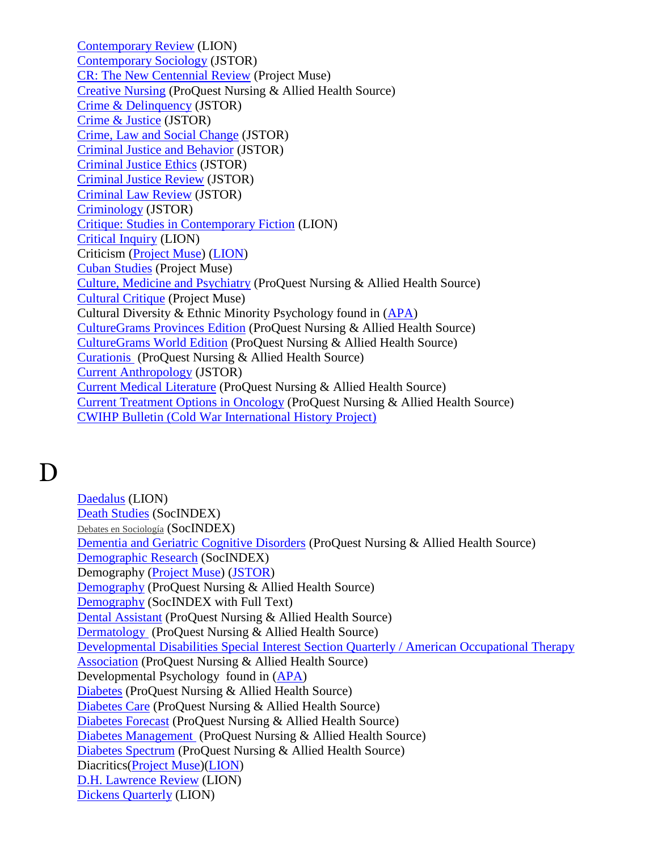[Contemporary Review](http://lion.chadwyck.com/showPage.do?TEMPLATE=/contents/abl_toc/ContemporaryReviewLondonIncorpo/issues.htm) (LION) [Contemporary Sociology](http://www.jstor.org/journals/00943061.html) (JSTOR) [CR: The New Centennial Review](http://muse.jhu.edu/journals/new_centennial_review/) (Project Muse) [Creative Nursing](http://search.proquest.com/publication/30045/citation/13D9E63EE7B1DA74EA/286?accountid=12291) (ProQuest Nursing & Allied Health Source) [Crime & Delinquency](http://find.galegroup.com/itx/publicationSearch.do?serQuery=Locale%28en%2C%2C%29%3AFQE%3D%28JX%2CNone%2C23%29%22Crime+and+Delinquency%22%24&inPS=true&type=getIssues&searchTerm=&prodId=EAIM¤tPosition=72&userGroupName=tel_a_mmcwml) (JSTOR) [Crime & Justice](http://find.galegroup.com/itx/publicationSearch.do?serQuery=Locale%28en%2C%2C%29%3AFQE%3D%28JX%2CNone%2C32%29%22Crime+%26+Justice+%28Chicago%2C+Ill%29%22%24&inPS=true&type=getIssues&searchTerm=&prodId=EAIM¤tPosition=72&userGroupName=tel_a_mmcwml) (JSTOR) [Crime, Law and Social Change](http://find.galegroup.com/itx/publicationSearch.do?serQuery=Locale%28en%2C%2C%29%3AFQE%3D%28JX%2CNone%2C30%29%22Crime%2C+Law+and+Social+Change%22%24&inPS=true&type=getIssues&searchTerm=&prodId=EAIM¤tPosition=72&userGroupName=tel_a_mmcwml) (JSTOR) [Criminal Justice and Behavior](http://find.galegroup.com/itx/publicationSearch.do?serQuery=Locale%28en%2C%2C%29%3AFQE%3D%28JX%2CNone%2C31%29%22Criminal+Justice+and+Behavior%22%24&inPS=true&type=getIssues&searchTerm=&prodId=EAIM¤tPosition=72&userGroupName=tel_a_mmcwml) (JSTOR) [Criminal Justice Ethics](http://find.galegroup.com/itx/publicationSearch.do?serQuery=Locale%28en%2C%2C%29%3AFQE%3D%28JX%2CNone%2C25%29%22Criminal+Justice+Ethics%22%24&inPS=true&type=getIssues&searchTerm=&prodId=EAIM¤tPosition=72&userGroupName=tel_a_mmcwml) (JSTOR) [Criminal Justice Review](http://find.galegroup.com/itx/publicationSearch.do?serQuery=Locale%28en%2C%2C%29%3AFQE%3D%28JX%2CNone%2C25%29%22Criminal+Justice+Review%22%24&inPS=true&type=getIssues&searchTerm=&prodId=EAIM¤tPosition=72&userGroupName=tel_a_mmcwml) (JSTOR) [Criminal Law Review](http://find.galegroup.com/itx/publicationSearch.do?serQuery=Locale%28en%2C%2C%29%3AFQE%3D%28JX%2CNone%2C21%29%22Criminal+Law+Review%22%24&inPS=true&type=getIssues&searchTerm=&prodId=EAIM¤tPosition=72&userGroupName=tel_a_mmcwml) (JSTOR) [Criminology](http://find.galegroup.com/itx/publicationSearch.do?serQuery=Locale%28en%2C%2C%29%3AFQE%3D%28JX%2CNone%2C13%29%22Criminology%22%24&inPS=true&type=getIssues&searchTerm=&prodId=EAIM¤tPosition=72&userGroupName=tel_a_mmcwml) (JSTOR) [Critique: Studies in Contemporary Fiction](http://lion.chadwyck.com/showPage.do?TEMPLATE=/contents/abl_toc/Critiquestudiesincontemporaryfi/issues.htm) (LION) [Critical Inquiry](http://lion.chadwyck.com/contents/abl_toc/CriticalInquiry/issues.jsp) (LION) Criticism [\(Project Muse\)](http://muse.jhu.edu/journals/crt/) [\(LION\)](http://lion.chadwyck.com/showPage.do?TEMPLATE=/contents/abl_toc/Criticismaquarterlyforliteratur/issues.htm) [Cuban Studies](http://muse.jhu.edu/journals/cuban_studies/) (Project Muse) [Culture, Medicine and Psychiatry](http://search.proquest.com/publication/36299/citation/13D9E63EE7B1DA74EA/300?accountid=12291) (ProQuest Nursing & Allied Health Source) [Cultural Critique](http://muse.jhu.edu/journals/cul/) (Project Muse) Cultural Diversity & Ethnic Minority Psychology found in [\(APA\)](http://online.psycinfo.com/library/search) [CultureGrams Provinces Edition](http://search.proquest.com/publication/2026823/citation/13D9E63EE7B1DA74EA/301?accountid=12291) (ProQuest Nursing & Allied Health Source) [CultureGrams World Edition](http://search.proquest.com/publication/2026824/citation/13D9E63EE7B1DA74EA/302?accountid=12291) (ProQuest Nursing & Allied Health Source) [Curationis](http://search.proquest.com/publication/1796359/citation/13D9E63EE7B1DA74EA/303?accountid=12291) (ProQuest Nursing & Allied Health Source) [Current Anthropology](http://www.jstor.org/journals/00113204.html) (JSTOR) [Current Medical Literature](http://search.proquest.com/publication/1396358/citation/13D9E63EE7B1DA74EA/304?accountid=12291) (ProQuest Nursing & Allied Health Source) [Current Treatment Options in Oncology](http://search.proquest.com/publication/1476369/citation/13D9E63EE7B1DA74EA/306?accountid=12291) (ProQuest Nursing & Allied Health Source) [CWIHP Bulletin \(Cold War International History Project\)](http://www.wilsoncenter.org/index.cfm?topic_id=1409&fuseaction=topics.home)

### D

[Daedalus](http://lion.chadwyck.com/contents/abl_toc/Daedalus/issues.jsp) (LION) [Death Studies](http://web.ebscohost.com/ehost/detail?sid=fe19922c-3112-46d0-85a1-e5b27295fc8e%40sessionmgr4&vid=6&hid=11&bdata=JnNpdGU9ZWhvc3QtbGl2ZQ%3d%3d#db=sih&jid=DEA) (SocINDEX) [Debates en Sociología](http://web.ebscohost.com/ehost/detail?sid=fe19922c-3112-46d0-85a1-e5b27295fc8e%40sessionmgr4&vid=6&hid=11&bdata=JnNpdGU9ZWhvc3QtbGl2ZQ%3d%3d#db=sih&jid=3AUQ) (SocINDEX) [Dementia and Geriatric Cognitive Disorders](http://search.proquest.com/publication/34042/citation/13F009524F27D464D60/336?accountid=12291) (ProQuest Nursing & Allied Health Source) [Demographic Research](http://web.ebscohost.com/ehost/detail?sid=fe19922c-3112-46d0-85a1-e5b27295fc8e%40sessionmgr4&vid=6&hid=11&bdata=JnNpdGU9ZWhvc3QtbGl2ZQ%3d%3d#db=sih&jid=EEY) (SocINDEX) Demography [\(Project Muse\)](http://muse.jhu.edu/journals/demography/) [\(JSTOR\)](http://www.jstor.org/journals/00703370.html) [Demography](http://search.proquest.com/publication/1596381/citation/13F009524F27D464D60/337?accountid=12291) (ProQuest Nursing & Allied Health Source) [Demography](http://web.ebscohost.com/ehost/detail?sid=fe19922c-3112-46d0-85a1-e5b27295fc8e%40sessionmgr4&vid=6&hid=11&bdata=JnNpdGU9ZWhvc3QtbGl2ZQ%3d%3d#db=sih&jid=DEM) (SocINDEX with Full Text) [Dental Assistant](http://search.proquest.com/publication/35851/citation/13F009524F27D464D60/338?accountid=12291) (ProQuest Nursing & Allied Health Source) [Dermatology](http://search.proquest.com/publication/40947/citation/13F009524F27D464D60/340?accountid=12291) (ProQuest Nursing & Allied Health Source) [Developmental Disabilities Special Interest Section Quarterly / American Occupational Therapy](http://search.proquest.com/publication/27571/citation/13F009524F27D464D60/342?accountid=12291)  [Association](http://search.proquest.com/publication/27571/citation/13F009524F27D464D60/342?accountid=12291) (ProQuest Nursing & Allied Health Source) Developmental Psychology found in [\(APA\)](http://online.psycinfo.com/library/search) [Diabetes](http://search.proquest.com/publication/34443/citation/13F009524F27D464D60/344?accountid=12291) (ProQuest Nursing & Allied Health Source) [Diabetes Care](http://search.proquest.com/publication/47715/citation/13F009524F27D464D60/345?accountid=12291) (ProQuest Nursing & Allied Health Source) [Diabetes Forecast](http://search.proquest.com/publication/30310/citation/13F009524F27D464D60/346?accountid=12291) (ProQuest Nursing & Allied Health Source) [Diabetes Management](http://search.proquest.com/publication/636389/citation/13F009524F27D464D60/347?accountid=12291) (ProQuest Nursing & Allied Health Source) [Diabetes Spectrum](http://search.proquest.com/publication/37012/citation/13F009524F27D464D60/348?accountid=12291) (ProQuest Nursing & Allied Health Source) Diacritics[\(Project Muse\)](http://muse.jhu.edu/journals/diacritics/)[\(LION\)](http://lion.chadwyck.com/showPage.do?TEMPLATE=/contents/abl_toc/Diacriticsareviewofcontemporary/issues.htm) [D.H. Lawrence Review](http://lion.chadwyck.com/showPage.do?TEMPLATE=/contents/abl_toc/DHLawrenceReviewSouthwestTexasS/issues.htm) (LION) [Dickens Quarterly](http://lion.chadwyck.com/showPage.do?TEMPLATE=/contents/abl_toc/DickensQuarterlyascholarlyjourn/issues.htm) (LION)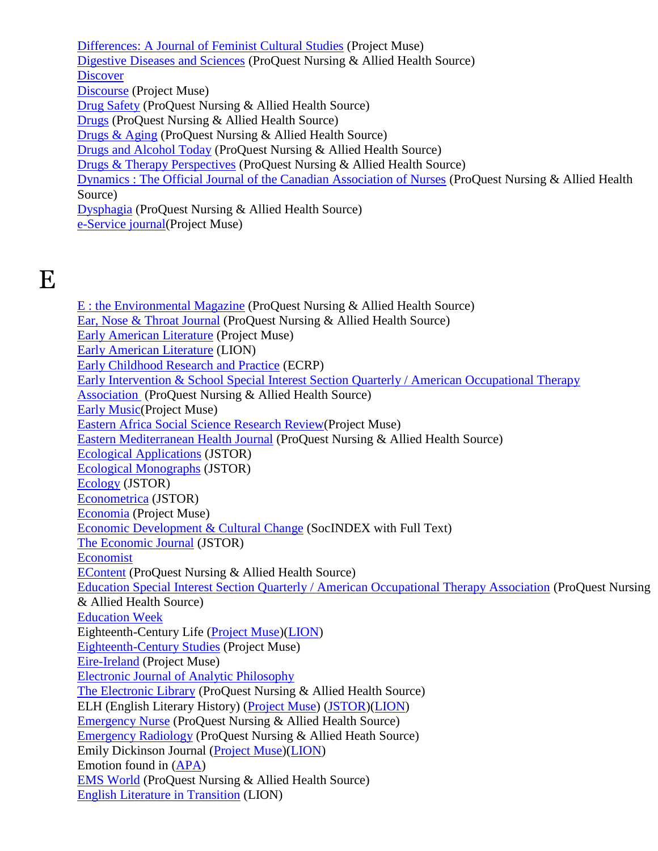[Differences: A Journal of Feminist Cultural Studies](http://muse.jhu.edu/journals/dif/) (Project Muse) [Digestive Diseases and Sciences](http://search.proquest.com/publication/41056/citation/13F009524F27D464D60/354?accountid=12291) (ProQuest Nursing & Allied Health Source) **[Discover](http://www.discover.com/)** [Discourse](http://muse.jhu.edu/journals/dis/) (Project Muse) [Drug Safety](http://search.proquest.com/publication/32187/citation/13F009524F27D464D60/359?accountid=12291) (ProQuest Nursing & Allied Health Source) [Drugs](http://search.proquest.com/publication/34797/citation/13F009524F27D464D60/360?accountid=12291) (ProQuest Nursing & Allied Health Source) [Drugs & Aging](http://search.proquest.com/publication/32188/citation/13F009524F27D464D60/361?accountid=12291) (ProQuest Nursing & Allied Health Source) [Drugs and Alcohol Today](http://search.proquest.com/publication/28228/citation/13F009524F27D464D60/362?accountid=12291) (ProQuest Nursing & Allied Health Source) [Drugs & Therapy Perspectives](http://search.proquest.com/publication/43700/citation/13F009524F27D464D60/363?accountid=12291) (ProQuest Nursing & Allied Health Source) [Dynamics : The Official Journal of the Canadian Association of Nurses](http://search.proquest.com/publication/996347/citation/13F009524F27D464D60/365?accountid=12291) (ProQuest Nursing & Allied Health Source) [Dysphagia](http://search.proquest.com/publication/31829/citation/13F009524F27D464D60/366?accountid=12291) (ProQuest Nursing & Allied Health Source) [e-Service journal\(](http://muse.jhu.edu/journals/eservice_journal/)Project Muse)

## E

[E : the Environmental Magazine](http://search.proquest.com/publication/31044/citation/13F009524F27D464D60/367?accountid=12291) (ProQuest Nursing & Allied Health Source) [Ear, Nose & Throat Journal](http://search.proquest.com/publication/47886/citation/13F009524F27D464D60/368?accountid=12291) (ProQuest Nursing & Allied Health Source) [Early American Literature](http://muse.jhu.edu/journals/early_american_literature/) (Project Muse) [Early American Literature](http://lion.chadwyck.com/showPage.do?TEMPLATE=/contents/abl_toc/EarlyAmericanLiteratureChapelHi/issues.htm) (LION) [Early Childhood Research and Practice](http://ecrp.uiuc.edu/) (ECRP) Early Intervention & School Special Interest Section Quarterly / American Occupational Therapy [Association](http://search.proquest.com/publication/52470/citation/13F009524F27D464D60/369?accountid=12291) (ProQuest Nursing & Allied Health Source) [Early Music\(](http://muse.jhu.edu/journals/early_music/)Project Muse) [Eastern Africa Social Science Research Review\(](http://muse.jhu.edu/journals/eastern_africa_social_science_research_review/)Project Muse) [Eastern Mediterranean Health Journal](http://search.proquest.com/publication/105605/citation/13F009524F27D464D60/370?accountid=12291) (ProQuest Nursing & Allied Health Source) [Ecological Applications](http://www.jstor.org/journals/10510761.html) (JSTOR) [Ecological Monographs](http://www.jstor.org/journals/00129615.html) (JSTOR) [Ecology](http://www.jstor.org/journals/00129658.html) (JSTOR) [Econometrica](http://www.jstor.org/journals/00129682.html) (JSTOR) [Economia](http://muse.jhu.edu/journals/economia/) (Project Muse) [Economic Development & Cultural Change](http://web.ebscohost.com/ehost/detail?sid=fe19922c-3112-46d0-85a1e5b27295fc8e%40sessionmgr4&vid=7&hid=11&bdata=JnNpdGU9ZWhvc3QtbGl2ZQ%3d%3d#db=sih&jid=EDC) (SocINDEX with Full Text) [The Economic Journal](http://www.jstor.org/journals/00130133.html) (JSTOR) [Economist](http://www.economist.com/) [EContent](http://search.proquest.com/publication/17460/citation/13F009524F27D464D60/371?accountid=12291) (ProQuest Nursing & Allied Health Source) [Education Special Interest Section Quarterly / American Occupational Therapy Association](http://search.proquest.com/publication/28976/citation/13F009524F27D464D60/375?accountid=12291) (ProQuest Nursing & Allied Health Source) [Education Week](http://www.edweek.org/ew/index.html) Eighteenth-Century Life [\(Project Muse\)](http://muse.jhu.edu/journals/eighteenth-century_life/)[\(LION\)](http://lion.chadwyck.com/showPage.do?TEMPLATE=/contents/abl_toc/EighteenthCenturyStudiesAmerica/issues.htm) [Eighteenth-Century Studies](http://muse.jhu.edu/journals/eighteenth-century_studies/) (Project Muse) [Eire-Ireland](http://muse.jhu.edu/journals/eire-ireland/) (Project Muse) [Electronic Journal of Analytic Philosophy](http://ejap.louisiana.edu/) [The Electronic Library](http://search.proquest.com/publication/32127/citation/13F009524F27D464D60/376?accountid=12291) (ProQuest Nursing & Allied Health Source) ELH (English Literary History) [\(Project Muse\)](http://muse.jhu.edu/journals/elh/) [\(JSTOR\)](http://www.jstor.org/journals/00138304.html)[\(LION\)](http://lion.chadwyck.com/showPage.do?TEMPLATE=/contents/abl_toc/ELHjournalofEnglishliteraryhist/issues.htm) [Emergency Nurse](http://search.proquest.com/publication/32664/citation/13F009524F27D464D60/379?accountid=12291) (ProQuest Nursing & Allied Health Source) [Emergency Radiology](http://search.proquest.com/publication/55417/citation/13F009524F27D464D60/380?accountid=12291) (ProQuest Nursing & Allied Heath Source) Emily Dickinson Journal [\(Project Muse\)](http://muse.jhu.edu/journals/emily_dickinson_journal/)[\(LION\)](http://lion.chadwyck.com/showPage.do?TEMPLATE=/contents/abl_toc/EmilyDickinsonJournalEmilyDicki/issues.htm) Emotion found in [\(APA\)](http://online.psycinfo.com/library/search) [EMS World](http://search.proquest.com/publication/39832/citation/13F009524F27D464D60/382?accountid=12291) (ProQuest Nursing & Allied Health Source) [English Literature in Transition](http://lion.chadwyck.com/showPage.do?TEMPLATE=/contents/abl_toc/EnglishLiteratureinTransition18/issues.htm) (LION)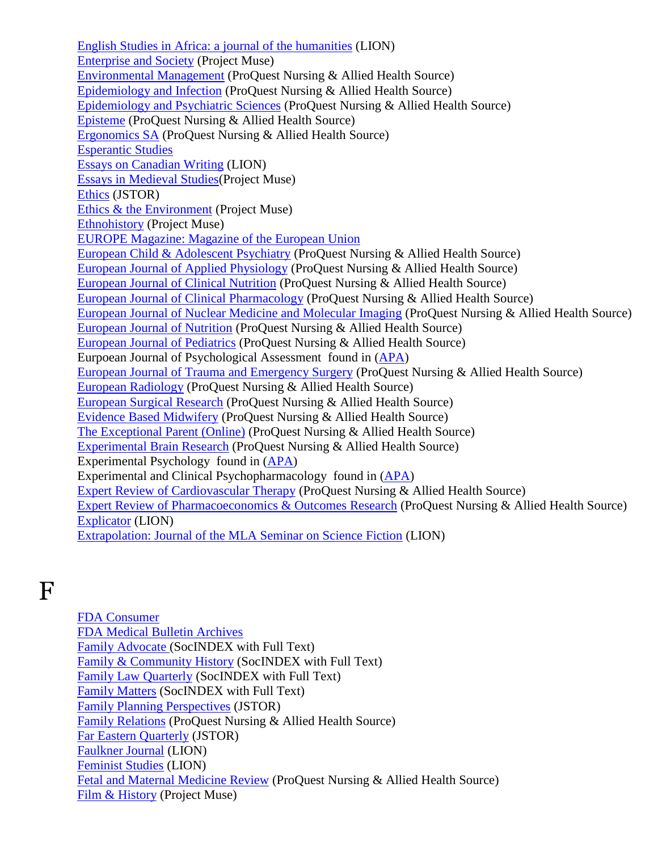[English Studies in Africa: a journal of the humanities](http://lion.chadwyck.com/showPage.do?TEMPLATE=/contents/abl_toc/EnglishStudiesinAfricaajournalo/issues.htm) (LION) [Enterprise and Society](http://muse.jhu.edu/journals/enterprise_and_society/) (Project Muse) [Environmental Management](http://search.proquest.com/publication/54064/citation/13F009524F27D464D60/386?accountid=12291) (ProQuest Nursing & Allied Health Source) [Epidemiology and Infection](http://search.proquest.com/publication/6286/citation/13F011442C97F2B79BF/21?accountid=12291) (ProQuest Nursing & Allied Health Source) [Epidemiology and Psychiatric Sciences](http://search.proquest.com/publication/1586337/citation/13F011442C97F2B79BF/22?accountid=12291) (ProQuest Nursing & Allied Health Source) [Episteme](http://search.proquest.com/publication/1586353/citation/13F011442C97F2B79BF/23?accountid=12291) (ProQuest Nursing & Allied Health Source) [Ergonomics SA](http://search.proquest.com/publication/39579/citation/13F242EA78A478D6DF1/24?accountid=12291) (ProQuest Nursing & Allied Health Source) [Esperantic Studies](http://www.esperantic.org/esf/es.htm) [Essays on Canadian Writing](http://lion.chadwyck.com/showPage.do?TEMPLATE=/contents/abl_toc/EssaysonCanadianWritingSocialSc/issues.htm) (LION) [Essays in Medieval Studies\(](http://muse.jhu.edu/journals/essays_in_medieval_studies/)Project Muse) [Ethics](http://www.jstor.org/journals/00141704.html) (JSTOR) [Ethics & the Environment](http://muse.jhu.edu/journals/een/) (Project Muse) [Ethnohistory](http://muse.jhu.edu/journals/eth/) (Project Muse) EUROPE Magazine: [Magazine of the European Union](http://www.eurunion.org/) [European Child & Adolescent Psychiatry](http://search.proquest.com/publication/32987/citation/13F242EA78A478D6DF1/28?accountid=12291) (ProQuest Nursing & Allied Health Source) [European Journal of Applied Physiology](http://search.proquest.com/publication/55471/citation/13F242EA78A478D6DF1/29?accountid=12291) (ProQuest Nursing & Allied Health Source) [European Journal of Clinical Nutrition](http://search.proquest.com/publication/33883/citation/13F242EA78A478D6DF1/30?accountid=12291) (ProQuest Nursing & Allied Health Source) [European Journal of Clinical Pharmacology](http://search.proquest.com/publication/47171/citation/13F242EA78A478D6DF1/31?accountid=12291) (ProQuest Nursing & Allied Health Source) [European Journal of Nuclear Medicine and Molecular Imaging](http://search.proquest.com/publication/42802/citation/13F242EA78A478D6DF1/32?accountid=12291) (ProQuest Nursing & Allied Health Source) [European Journal of Nutrition](http://search.proquest.com/publication/34175/citation/13F242EA78A478D6DF1/33?accountid=12291) (ProQuest Nursing & Allied Health Source) [European Journal of Pediatrics](http://search.proquest.com/publication/47173/citation/13F242EA78A478D6DF1/34?accountid=12291) (ProQuest Nursing & Allied Health Source) Eurpoean Journal of Psychological Assessment found in [\(APA\)](http://online.psycinfo.com/library/search) [European Journal of Trauma and Emergency Surgery](http://search.proquest.com/publication/38837/citation/13F242EA78A478D6DF1/35?accountid=12291) (ProQuest Nursing & Allied Health Source) European [Radiology](http://search.proquest.com/publication/54162/citation/13F242EA78A478D6DF1/36?accountid=12291) (ProQuest Nursing & Allied Health Source) [European Surgical Research](http://search.proquest.com/publication/1356341/citation/13F242EA78A478D6DF1/37?accountid=12291) (ProQuest Nursing & Allied Health Source) [Evidence Based Midwifery](http://search.proquest.com/publication/506296/citation/13F242EA78A478D6DF1/50?accountid=12291) (ProQuest Nursing & Allied Health Source) [The Exceptional Parent \(Online\)](http://search.proquest.com/publication/426721/citation/13F242EA78A478D6DF1/59?accountid=12291) (ProQuest Nursing & Allied Health Source) [Experimental Brain Research](http://search.proquest.com/publication/47176/citation/13F242EA78A478D6DF1/61?accountid=12291) (ProQuest Nursing & Allied Health Source) Experimental Psychology found in [\(APA\)](http://online.psycinfo.com/library/search) Experimental and Clinical Psychopharmacology found in [\(APA\)](http://online.psycinfo.com/library/search) [Expert Review of Cardiovascular Therapy](http://search.proquest.com/publication/54581/citation/13F242EA78A478D6DF1/62?accountid=12291) (ProQuest Nursing & Allied Health Source) [Expert Review of Pharmacoeconomics & Outcomes Research](http://search.proquest.com/publication/54579/citation/13F242EA78A478D6DF1/63?accountid=12291) (ProQuest Nursing & Allied Health Source) [Explicator](http://lion.chadwyck.com/showPage.do?TEMPLATE=/contents/abl_toc/ExplicatorHelenDwightReidEducat/issues.htm) (LION) [Extrapolation: Journal of the MLA Seminar on Science Fiction](http://lion.chadwyck.com/showPage.do?TEMPLATE=/contents/abl_toc/ExtrapolationKentStateUnivKentO/issues.htm) (LION)

#### F

[FDA Consumer](http://www.fda.gov/fdac/default.htm) [FDA Medical Bulletin Archives](http://www.fda.gov/medbull/mblistin.html) [Family Advocate \(](http://web.ebscohost.com/ehost/detail?sid=fe19922c-3112-46d0-85a1-e5b27295fc8e%40sessionmgr4&vid=8&hid=11&bdata=JnNpdGU9ZWhvc3QtbGl2ZQ%3d%3d#db=sih&jid=07O)SocINDEX with Full Text) [Family & Community History](http://web.ebscohost.com/ehost/detail?sid=fe19922c-3112-46d0-85a1-e5b27295fc8e%40sessionmgr4&vid=8&hid=11&bdata=JnNpdGU9ZWhvc3QtbGl2ZQ%3d%3d#db=sih&jid=LSQ) (SocINDEX with Full Text) [Family Law Quarterly](http://web.ebscohost.com/ehost/detail?sid=fe19922c-3112-46d0-85a1-e5b27295fc8e%40sessionmgr4&vid=8&hid=11&bdata=JnNpdGU9ZWhvc3QtbGl2ZQ%3d%3d#db=sih&jid=L9E) (SocINDEX with Full Text) [Family Matters](http://web.ebscohost.com/ehost/detail?sid=fe19922c-3112-46d0-85a1-e5b27295fc8e%40sessionmgr4&vid=8&hid=11&bdata=JnNpdGU9ZWhvc3QtbGl2ZQ%3d%3d#db=sih&jid=FMA) (SocINDEX with Full Text) [Family Planning Perspectives](http://www.jstor.org/journals/00147354.html) (JSTOR) [Family Relations](http://search.proquest.com/publication/41641/citation/13F255075DD6BB30F92/2?accountid=12291) (ProQuest Nursing & Allied Health Source) [Far Eastern Quarterly](http://www.jstor.org/journals/03636917.html) (JSTOR) [Faulkner Journal](http://lion.chadwyck.com/showPage.do?TEMPLATE=/contents/abl_toc/FaulknerJournalDeptofEnglishUni/issues.htm) (LION) [Feminist Studies](http://lion.chadwyck.com/showPage.do?TEMPLATE=/contents/abl_toc/FeministStudiesUnivofMarylandCo/issues.htm) (LION) [Fetal and Maternal Medicine Review](http://search.proquest.com/publication/32761/citation/13F255075DD6BB30F92/6?accountid=12291) (ProQuest Nursing & Allied Health Source) [Film & History](http://muse.jhu.edu/journals/film_and_history/) (Project Muse)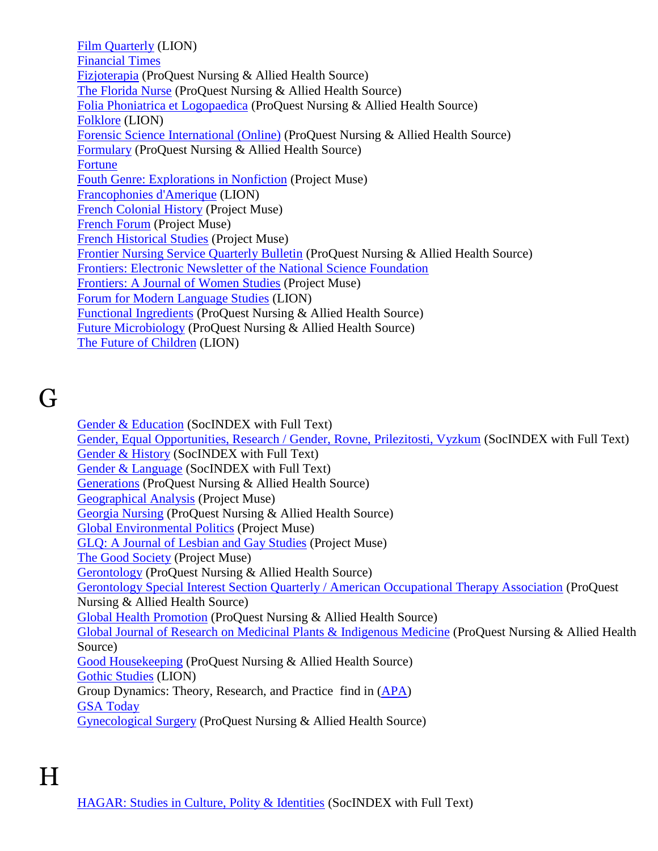[Film Quarterly](http://lion.chadwyck.com/contents/abl_toc/FilmQuarterly/issues.jsp) (LION) [Financial Times](http://news.ft.com/home/us) [Fizjoterapia](http://search.proquest.com/publication/2026484/citation/13F255075DD6BB30F92/8?accountid=12291) (ProQuest Nursing & Allied Health Source) [The Florida Nurse](http://search.proquest.com/publication/37323/citation/13F255075DD6BB30F92/9?accountid=12291) (ProQuest Nursing & Allied Health Source) [Folia Phoniatrica et Logopaedica](http://search.proquest.com/publication/40950/citation/13F255075DD6BB30F92/11?accountid=12291) (ProQuest Nursing & Allied Health Source) [Folklore](http://lion.chadwyck.com/showPage.do?TEMPLATE=/contents/abl_toc/FolkloreFolkloreSocUniversityCo/issues.htm) (LION) [Forensic Science International \(Online\)](http://search.proquest.com/publication/1226354/citation/13F255075DD6BB30F92/13?accountid=12291) (ProQuest Nursing & Allied Health Source) [Formulary](http://search.proquest.com/publication/24124/citation/13F255075DD6BB30F92/14?accountid=12291) (ProQuest Nursing & Allied Health Source) [Fortune](http://money.cnn.com/magazines/fortune/) [Fouth Genre: Explorations in Nonfiction](http://muse.jhu.edu/journals/fourth_genre_explorations_in_nonfiction/) (Project Muse) [Francophonies d'Amerique](http://muse.jhu.edu/journals/francophonies_damerique/) (LION) [French Colonial History](http://muse.jhu.edu/journals/french_colonial_history/) (Project Muse) [French Forum](http://muse.jhu.edu/journals/frf/) (Project Muse) [French Historical Studies](http://muse.jhu.edu/journals/fhs/) (Project Muse) [Frontier Nursing Service Quarterly Bulletin](http://search.proquest.com/publication/49051/citation/13F255075DD6BB30F92/15?accountid=12291) (ProQuest Nursing & Allied Health Source) [Frontiers: Electronic Newsletter of the National Science Foundation](http://www.nsf.gov/) [Frontiers: A Journal of Women Studies](http://muse.jhu.edu/journals/fro/) (Project Muse) [Forum for Modern Language Studies](http://lion.chadwyck.com/contents/abl_toc/ForumforModernLanguageStudiesUn/issues.jsp) (LION) [Functional Ingredients](http://search.proquest.com/publication/38412/citation/13F255075DD6BB30F92/16?accountid=12291) (ProQuest Nursing & Allied Health Source) [Future Microbiology](http://search.proquest.com/publication/54596/citation/13F255075DD6BB30F92/17?accountid=12291) (ProQuest Nursing & Allied Health Source) [The Future of Children](http://muse.jhu.edu/journals/future_of_children/) (LION)

## G

Gender [& Education](http://web.ebscohost.com/ehost/detail?sid=fe19922c-3112-46d0-85a1-e5b27295fc8e%40sessionmgr4&vid=9&hid=11&bdata=JnNpdGU9ZWhvc3QtbGl2ZQ%3d%3d#db=sih&jid=GAE) (SocINDEX with Full Text) [Gender, Equal Opportunities, Research /](http://web.ebscohost.com/ehost/detail?sid=fe19922c-3112-46d0-85a1-e5b27295fc8e%40sessionmgr4&vid=9&hid=11&bdata=JnNpdGU9ZWhvc3QtbGl2ZQ%3d%3d#db=sih&jid=7800) Gender, Rovne, Prilezitosti, Vyzkum (SocINDEX with Full Text) [Gender & History](http://web.ebscohost.com/ehost/detail?sid=fe19922c-3112-46d0-85a1-e5b27295fc8e%40sessionmgr4&vid=9&hid=11&bdata=JnNpdGU9ZWhvc3QtbGl2ZQ%3d%3d#db=sih&jid=BPJ) (SocINDEX with Full Text) [Gender & Language](http://web.ebscohost.com/ehost/detail?sid=fe19922c-3112-46d0-85a1-e5b27295fc8e%40sessionmgr4&vid=9&hid=11&bdata=JnNpdGU9ZWhvc3QtbGl2ZQ%3d%3d#db=sih&jid=1H5Y) (SocINDEX with Full Text) [Generations](http://search.proquest.com/publication/30306/citation/13F256E535241D08F71/1?accountid=12291) (ProQuest Nursing & Allied Health Source) [Geographical Analysis](http://muse.jhu.edu/journals/geographical_analysis/) (Project Muse) [Georgia Nursing](http://search.proquest.com/publication/36743/citation/13F256E535241D08F71/2?accountid=12291) (ProQuest Nursing & Allied Health Source) [Global Environmental Politics](http://muse.jhu.edu/journals/global_environmental_politics/) (Project Muse) [GLQ: A Journal of Lesbian and Gay Studies](http://muse.jhu.edu/journals/journal_of_lesbian_and_gay_studies/) (Project Muse) [The Good Society](http://muse.jhu.edu/journals/good_society/) (Project Muse) [Gerontology](http://search.proquest.com/publication/33168/citation/13F256E535241D08F71/5?accountid=12291) (ProQuest Nursing & Allied Health Source) [Gerontology Special Interest Section Quarterly / American Occupational Therapy Association](http://search.proquest.com/publication/27573/citation/13F256E535241D08F71/6?accountid=12291) (ProQuest Nursing & Allied Health Source) [Global Health Promotion](http://search.proquest.com/publication/30778/citation/13F256E535241D08F71/7?accountid=12291) (ProQuest Nursing & Allied Health Source) [Global Journal of Research on Medicinal Plants & Indigenous Medicine](http://search.proquest.com/publication/2026661/citation/13F256E535241D08F71/8?accountid=12291) (ProQuest Nursing & Allied Health Source) [Good Housekeeping](http://search.proquest.com/publication/22180/citation/13F256E535241D08F71/9?accountid=12291) (ProQuest Nursing & Allied Health Source) [Gothic Studies](http://lion.chadwyck.com/contents/abl_toc/GothicStudies/issues.jsp) (LION) Group Dynamics: Theory, Research, and Practice find in [\(APA\)](http://online.psycinfo.com/library/search) [GSA Today](http://www.geosociety.org/pubs/gsatoday/) [Gynecological Surgery](http://search.proquest.com/publication/1476367/citation/13F256E535241D08F71/10?accountid=12291) (ProQuest Nursing & Allied Health Source)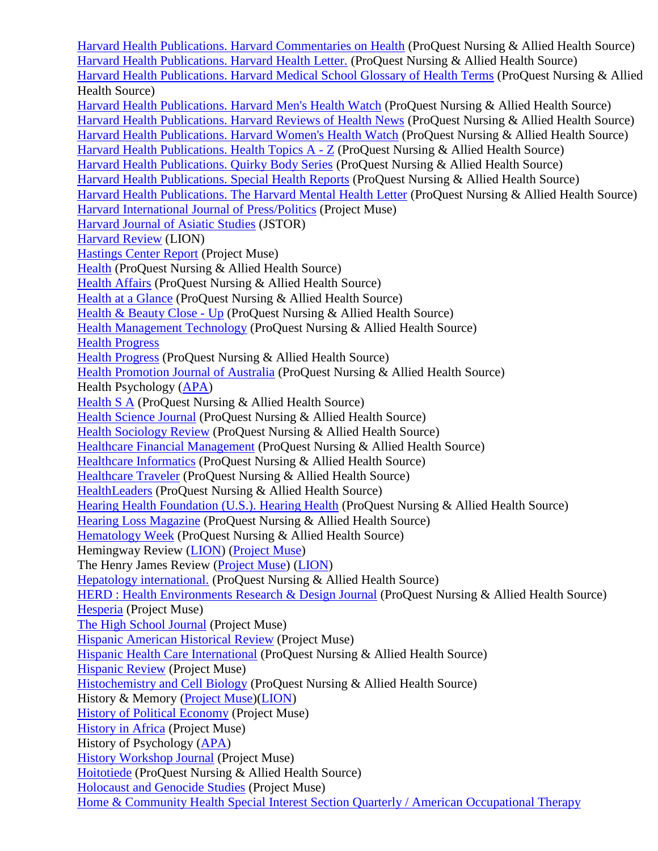[Harvard Health Publications. Harvard Commentaries on Health](http://search.proquest.com/publication/2026501/citation/13F52411E005EBA6416/3?accountid=12291) (ProQuest Nursing & Allied Health Source) [Harvard Health Publications. Harvard Health Letter.](http://search.proquest.com/publication/30385/citation/13F52411E005EBA6416/4?accountid=12291) (ProQuest Nursing & Allied Health Source) [Harvard Health Publications. Harvard Medical School Glossary of Health Terms](http://search.proquest.com/publication/2026502/citation/13F52411E005EBA6416/6?accountid=12291) (ProQuest Nursing & Allied Health Source) Harvard Health Publications. [Harvard Men's Health Watch](http://search.proquest.com/publication/2026470/citation/13F52411E005EBA6416/7?accountid=12291) (ProQuest Nursing & Allied Health Source) [Harvard Health Publications. Harvard Reviews of Health News](http://search.proquest.com/publication/2026465/citation/13F52411E005EBA6416/8?accountid=12291) (ProQuest Nursing & Allied Health Source) [Harvard Health Publications. Harvard Women's Health Watch](http://search.proquest.com/publication/2026472/citation/13F52411E005EBA6416/9?accountid=12291) (ProQuest Nursing & Allied Health Source) [Harvard Health Publications. Health Topics A -](http://search.proquest.com/publication/2026466/citation/13F52411E005EBA6416/10?accountid=12291) Z (ProQuest Nursing & Allied Health Source) [Harvard Health Publications. Quirky Body Series](http://search.proquest.com/publication/2026503/citation/13F52411E005EBA6416/11?accountid=12291) (ProQuest Nursing & Allied Health Source) [Harvard Health Publications. Special Health Reports](http://search.proquest.com/publication/2026464/citation/13F52411E005EBA6416/12?accountid=12291) (ProQuest Nursing & Allied Health Source) [Harvard Health Publications. The Harvard Mental Health Letter](http://search.proquest.com/publication/2026471/citation/13F52411E005EBA6416/13?accountid=12291) (ProQuest Nursing & Allied Health Source) [Harvard International Journal of Press/Politics](http://muse.jhu.edu/journals/prp/) (Project Muse) [Harvard Journal of Asiatic Studies](http://www.jstor.org/journals/00730548.html) (JSTOR) [Harvard Review](http://lion.chadwyck.com/contents/abl_toc/HarvardReview/issues.jsp) (LION) [Hastings Center Report](http://muse.jhu.edu/journals/hastings_center_report/) (Project Muse) [Health](http://search.proquest.com/publication/75756/citation/13F52411E005EBA6416/16?accountid=12291) (ProQuest Nursing & Allied Health Source) [Health Affairs](http://search.proquest.com/publication/36027/citation/13F52411E005EBA6416/17?accountid=12291) (ProQuest Nursing & Allied Health Source) [Health at a Glance](http://search.proquest.com/publication/2026424/citation/13F52411E005EBA6416/18?accountid=12291) (ProQuest Nursing & Allied Health Source) [Health & Beauty Close -](http://search.proquest.com/publication/226447/citation/13F52411E005EBA6416/19?accountid=12291) Up (ProQuest Nursing & Allied Health Source) [Health Management Technology](http://search.proquest.com/publication/37862/citation/13F52411E005EBA6416/23?accountid=12291) (ProQuest Nursing & Allied Health Source) [Health Progress](http://www.chausa.org/PUBS/HPINDX.ASP) [Health Progress](http://search.proquest.com/publication/40695/citation/13F52411E005EBA6416/26?accountid=12291) (ProQuest Nursing & Allied Health Source) [Health Promotion Journal of Australia](http://search.proquest.com/publication/28650/citation/13F52411E005EBA6416/27?accountid=12291) (ProQuest Nursing & Allied Health Source) Health Psychology [\(APA\)](http://online.psycinfo.com/library/search) [Health S A](http://search.proquest.com/publication/39604/citation/13F52411E005EBA6416/28?accountid=12291) (ProQuest Nursing & Allied Health Source) [Health Science Journal](http://search.proquest.com/publication/237822/citation/13F52411E005EBA6416/29?accountid=12291) (ProQuest Nursing & Allied Health Source) [Health Sociology Review](http://search.proquest.com/publication/29657/citation/13F52411E005EBA6416/32?accountid=12291) (ProQuest Nursing & Allied Health Source) [Healthcare Financial Management](http://search.proquest.com/publication/37738/citation/13F538D65C3576004EB/34?accountid=12291) (ProQuest Nursing & Allied Health Source) [Healthcare Informatics](http://search.proquest.com/publication/30317/citation/13F538D65C3576004EB/35?accountid=12291) (ProQuest Nursing & Allied Health Source) [Healthcare Traveler](http://search.proquest.com/publication/43774/citation/13F538D65C3576004EB/37?accountid=12291) (ProQuest Nursing & Allied Health Source) [HealthLeaders](http://search.proquest.com/publication/51398/citation/13F538D65C3576004EB/39?accountid=12291) (ProQuest Nursing & Allied Health Source) [Hearing Health Foundation \(U.S.\). Hearing Health](http://search.proquest.com/publication/39593/citation/13F538D65C3576004EB/40?accountid=12291) (ProQuest Nursing & Allied Health Source) [Hearing Loss Magazine](http://search.proquest.com/publication/39592/citation/13F538D65C3576004EB/41?accountid=12291) (ProQuest Nursing & Allied Health Source) [Hematology Week](http://search.proquest.com/publication/44565/citation/13F538D65C3576004EB/44?accountid=12291) (ProQuest Nursing & Allied Health Source) Hemingway Review [\(LION\)](http://lion.chadwyck.com/showPage.do?TEMPLATE=/contents/abl_toc/HemingwayReviewHemingwaySocUniv/issues.htm) [\(Project Muse\)](http://muse.jhu.edu/journals/hemingway_review/) The Henry James Review [\(Project Muse\)](http://muse.jhu.edu/journals/henry_james_review/) [\(LION\)](http://lion.chadwyck.com/showPage.do?TEMPLATE=/contents/abl_toc/HenryJamesReviewHenryJamesSocUn/issues.htm) [Hepatology international.](http://search.proquest.com/publication/1486344/citation/13F538D65C3576004EB/45?accountid=12291) (ProQuest Nursing & Allied Health Source) [HERD : Health Environments Research & Design Journal](http://search.proquest.com/publication/38754/citation/13F538D65C3576004EB/46?accountid=12291) (ProQuest Nursing & Allied Health Source) [Hesperia](http://muse.jhu.edu/journals/hesperia/) (Project Muse) [The High School Journal](http://muse.jhu.edu/journals/high_school_journal/) (Project Muse) [Hispanic American Historical Review](http://muse.jhu.edu/journals/hispanic_american_historical_review/) (Project Muse) [Hispanic Health Care International](http://search.proquest.com/publication/28861/citation/13F538D65C3576004EB/47?accountid=12291) (ProQuest Nursing & Allied Health Source) [Hispanic Review](http://muse.jhu.edu/journals/hispanic_review/) (Project Muse) [Histochemistry and Cell Biology](http://search.proquest.com/publication/48619/citation/13F538D65C3576004EB/48?accountid=12291) (ProQuest Nursing & Allied Health Source) History & Memory [\(Project Muse\)](http://muse.jhu.edu/journals/ham/)[\(LION\)](http://lion.chadwyck.com/showPage.do?TEMPLATE=/contents/abl_toc/HistoryandMemoryIndianaUniversi/issues.htm) [History of Political Economy](http://muse.jhu.edu/journals/hpe/) (Project Muse) [History in Africa](http://muse.jhu.edu/journals/history_in_africa/) (Project Muse) History of Psychology [\(APA\)](http://online.psycinfo.com/library/search) [History Workshop Journal](http://muse.jhu.edu/journals/history_workshop_journal/) (Project Muse) [Hoitotiede](http://search.proquest.com/publication/406341/citation/13F538D65C3576004EB/49?accountid=12291) (ProQuest Nursing & Allied Health Source) [Holocaust and Genocide Studies](http://muse.jhu.edu/journals/holocaust_and_genocide_studies/) (Project Muse) [Home & Community Health Special Interest Section Quarterly / American Occupational Therapy](http://search.proquest.com/publication/28484/citation/13F538D65C3576004EB/50?accountid=12291)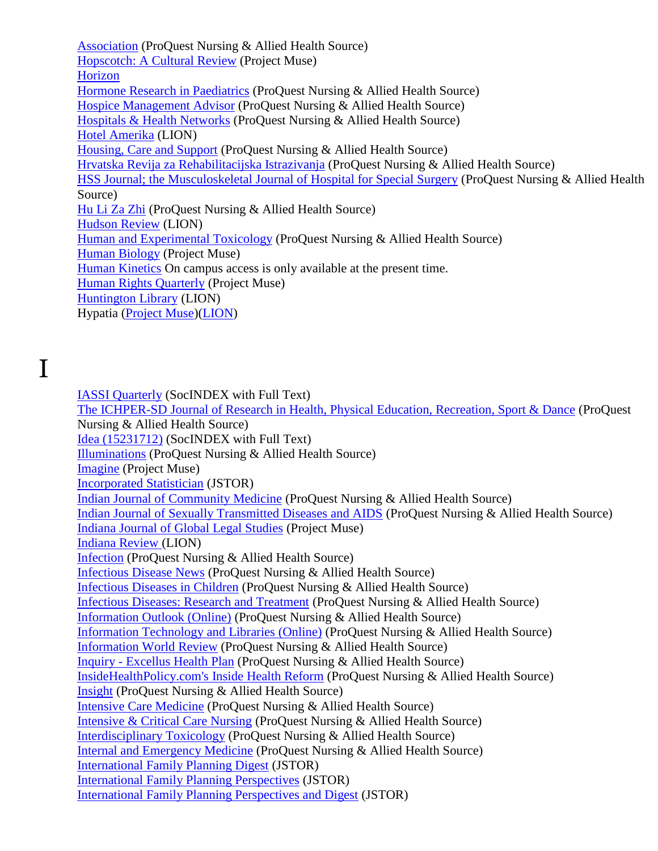[Association](http://search.proquest.com/publication/28484/citation/13F538D65C3576004EB/50?accountid=12291) (ProQuest Nursing & Allied Health Source) Hopscotch: A [Cultural Review](http://muse.jhu.edu/journals/hop/) (Project Muse) [Horizon](http://horizon.unc.edu/) [Hormone Research in Paediatrics](http://search.proquest.com/publication/1356340/citation/13F538D65C3576004EB/51?accountid=12291) (ProQuest Nursing & Allied Health Source) [Hospice Management Advisor](http://search.proquest.com/publication/136166/citation/13F538D65C3576004EB/52?accountid=12291) (ProQuest Nursing & Allied Health Source) [Hospitals & Health Networks](http://search.proquest.com/publication/40795/citation/13F538D65C3576004EB/62?accountid=12291) (ProQuest Nursing & Allied Health Source) [Hotel Amerika](http://lion.chadwyck.com/contents/abl_toc/HotelAmerikaOhioUniversityAthen/issues.jsp) (LION) [Housing, Care and Support](http://search.proquest.com/publication/44511/citation/13F538D65C3576004EB/63?accountid=12291) (ProQuest Nursing & Allied Health Source) [Hrvatska Revija za Rehabilitacijska Istrazivanja](http://search.proquest.com/publication/2027548/citation/13F538D65C3576004EB/64?accountid=12291) (ProQuest Nursing & Allied Health Source) [HSS Journal; the Musculoskeletal Journal of Hospital for Special Surgery](http://search.proquest.com/publication/326320/citation/13F5C9E59B677050AC2/65?accountid=12291) (ProQuest Nursing & Allied Health Source) [Hu Li Za Zhi](http://search.proquest.com/publication/866377/citation/13F5C9E59B677050AC2/66?accountid=12291) (ProQuest Nursing & Allied Health Source) [Hudson Review](http://lion.chadwyck.com/contents/abl_toc/HudsonReview/issues.jsp) (LION) [Human and Experimental Toxicology](http://search.proquest.com/publication/38121/citation/13F5C9E59B677050AC2/67?accountid=12291) (ProQuest Nursing & Allied Health Source) [Human Biology](http://muse.jhu.edu/journals/hub/) (Project Muse) [Human Kinetics](http://www.humankinetics.com/products/journals/) On campus access is only available at the present time. [Human Rights Quarterly](http://muse.jhu.edu/journals/human_rights_quarterly/) (Project Muse) [Huntington Library](http://lion.chadwyck.com/contents/abl_toc/HuntingtonLibraryQuarterly/issues.jsp) (LION) Hypatia [\(Project Muse\)](http://muse.jhu.edu/journals/hyp/)[\(LION\)](http://lion.chadwyck.com/showPage.do?TEMPLATE=/contents/abl_toc/Hypatiaajournaloffeministphilos/issues.htm)

I

[IASSI Quarterly](http://web.ebscohost.com/ehost/detail?sid=fe19922c-3112-46d0-85a1-e5b27295fc8e%40sessionmgr4&vid=11&hid=11&bdata=JnNpdGU9ZWhvc3QtbGl2ZQ%3d%3d#db=sih&jid=8OR9) (SocINDEX with Full Text) [The ICHPER-SD Journal of Research in Health, Physical Education, Recreation, Sport & Dance](http://search.proquest.com/publication/276233/citation/13F5CA590DD606B3B2D/1?accountid=12291) (ProQuest Nursing & Allied Health Source) [Idea \(15231712\)](http://web.ebscohost.com/ehost/detail?sid=fe19922c-3112-46d0-85a1-e5b27295fc8e%40sessionmgr4&vid=11&hid=11&bdata=JnNpdGU9ZWhvc3QtbGl2ZQ%3d%3d#db=sih&jid=F9I) (SocINDEX with Full Text) [Illuminations](http://search.proquest.com/publication/39885/citation/13F5CA590DD606B3B2D/2?accountid=12291) (ProQuest Nursing & Allied Health Source) [Imagine](http://muse.jhu.edu/journals/imagine/) (Project Muse) [Incorporated Statistician](http://www.jstor.org/journals/14669404.html) (JSTOR) [Indian Journal of Community Medicine](http://search.proquest.com/publication/226516/citation/13F5CA590DD606B3B2D/4?accountid=12291) (ProQuest Nursing & Allied Health Source) [Indian Journal of Sexually Transmitted Diseases and AIDS](http://search.proquest.com/publication/226503/citation/13F5CA590DD606B3B2D/5?accountid=12291) (ProQuest Nursing & Allied Health Source) [Indiana Journal of Global Legal Studies](http://muse.jhu.edu/journals/indiana_journal_of_global_legal_studies/) (Project Muse) [Indiana Review \(](http://lion.chadwyck.com/contents/abl_toc/IndianaReview/issues.jsp)LION) [Infection](http://search.proquest.com/publication/29907/citation/13F5CA590DD606B3B2D/6?accountid=12291) (ProQuest Nursing & Allied Health Source) [Infectious Disease News](http://search.proquest.com/publication/29326/citation/13F5CA590DD606B3B2D/8?accountid=12291) (ProQuest Nursing & Allied Health Source) [Infectious Diseases in Children](http://search.proquest.com/publication/29327/citation/13F5CA590DD606B3B2D/9?accountid=12291) (ProQuest Nursing & Allied Health Source) [Infectious Diseases: Research and Treatment](http://search.proquest.com/publication/1026392/citation/13F5CA590DD606B3B2D/10?accountid=12291) (ProQuest Nursing & Allied Health Source) [Information Outlook \(Online\)](http://search.proquest.com/publication/2028862/citation/13F5CA590DD606B3B2D/13?accountid=12291) (ProQuest Nursing & Allied Health Source) [Information Technology and Libraries \(Online\)](http://search.proquest.com/publication/1156335/citation/13F5CA590DD606B3B2D/15?accountid=12291) (ProQuest Nursing & Allied Health Source) [Information World Review](http://search.proquest.com/publication/32133/citation/13F5CA590DD606B3B2D/16?accountid=12291) (ProQuest Nursing & Allied Health Source) Inquiry - [Excellus Health Plan](http://search.proquest.com/publication/26910/citation/13F5CA590DD606B3B2D/18?accountid=12291) (ProQuest Nursing & Allied Health Source) [InsideHealthPolicy.com's Inside Health Reform](http://search.proquest.com/publication/796342/citation/13F5CA590DD606B3B2D/21?accountid=12291) (ProQuest Nursing & Allied Health Source) [Insight](http://search.proquest.com/publication/516296/citation/13F5CA590DD606B3B2D/22?accountid=12291) (ProQuest Nursing & Allied Health Source) [Intensive Care Medicine](http://search.proquest.com/publication/48752/citation/13F5CA590DD606B3B2D/24?accountid=12291) (ProQuest Nursing & Allied Health Source) [Intensive & Critical Care Nursing](http://search.proquest.com/publication/1226353/citation/13F5CA590DD606B3B2D/25?accountid=12291) (ProQuest Nursing & Allied Health Source) [Interdisciplinary Toxicology](http://search.proquest.com/publication/2026529/citation/13F5CA590DD606B3B2D/26?accountid=12291) (ProQuest Nursing & Allied Health Source) [Internal and Emergency Medicine](http://search.proquest.com/publication/326318/citation/13F5CA590DD606B3B2D/27?accountid=12291) (ProQuest Nursing & Allied Health Source) [International Family Planning Digest](http://www.jstor.org/journals/03624056.html) (JSTOR) [International Family Planning Perspectives](http://www.jstor.org/journals/01903187.html) (JSTOR) [International Family Planning Perspectives and Digest](http://www.jstor.org/journals/01622749.html) (JSTOR)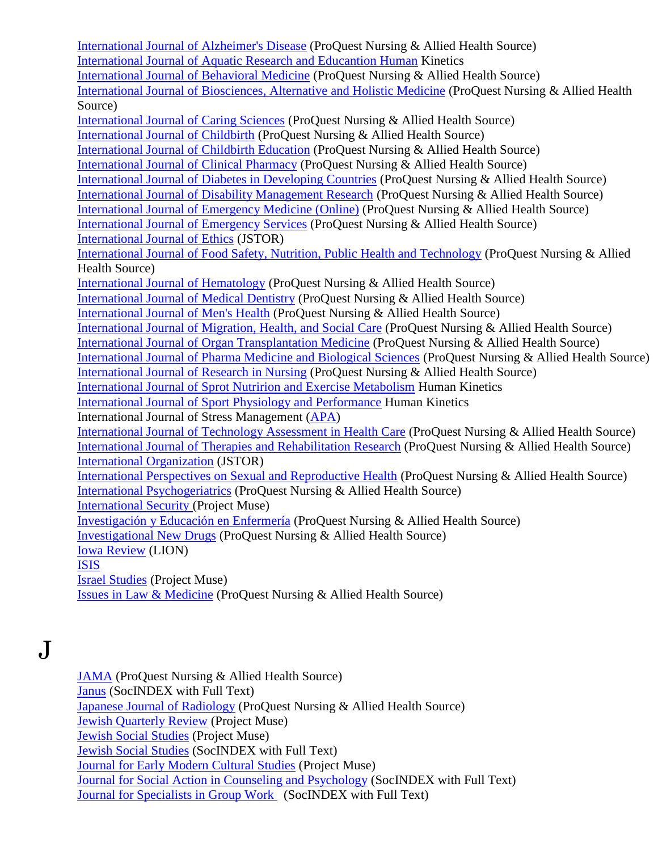[International Journal of Alzheimer's Disease](http://search.proquest.com/publication/1606376/citation/13F5CA590DD606B3B2D/30?accountid=12291) (ProQuest Nursing & Allied Health Source) [International Journal of Aquatic Research and Educantion Human](http://www.humankinetics.com/IJARE/journalAbout.cfm) Kinetics [International Journal of Behavioral Medicine](http://search.proquest.com/publication/46406/citation/13F5CA590DD606B3B2D/31?accountid=12291) (ProQuest Nursing & Allied Health Source) [International Journal of Biosciences, Alternative and Holistic Medicine](http://search.proquest.com/publication/1606345/citation/13F5CA590DD606B3B2D/32?accountid=12291) (ProQuest Nursing & Allied Health Source) [International Journal of Caring Sciences](http://search.proquest.com/publication/1606338/citation/13F5CA590DD606B3B2D/33?accountid=12291) (ProQuest Nursing & Allied Health Source) [International Journal of Childbirth](http://search.proquest.com/publication/646511/citation/13F5CA590DD606B3B2D/34?accountid=12291) (ProQuest Nursing & Allied Health Source) [International Journal of Childbirth Education](http://search.proquest.com/publication/32235/citation/13F5CA590DD606B3B2D/35?accountid=12291) (ProQuest Nursing & Allied Health Source) [International Journal of Clinical Pharmacy](http://search.proquest.com/publication/36458/citation/13F5CA590DD606B3B2D/36?accountid=12291) (ProQuest Nursing & Allied Health Source) [International Journal of Diabetes in Developing Countries](http://search.proquest.com/publication/226498/citation/13F5CA590DD606B3B2D/37?accountid=12291) (ProQuest Nursing & Allied Health Source) [International Journal of Disability Management Research](http://search.proquest.com/publication/1586357/citation/13F5CA590DD606B3B2D/38?accountid=12291) (ProQuest Nursing & Allied Health Source) [International Journal of Emergency Medicine \(Online\)](http://search.proquest.com/publication/426374/citation/13F5CA590DD606B3B2D/40?accountid=12291) (ProQuest Nursing & Allied Health Source) [International Journal of Emergency Services](http://search.proquest.com/publication/1396350/citation/13F5CA590DD606B3B2D/41?accountid=12291) (ProQuest Nursing & Allied Health Source) [International Journal of Ethics](http://www.jstor.org/journals/1526422x.html) (JSTOR) [International Journal of Food Safety, Nutrition, Public Health and Technology](http://search.proquest.com/publication/1606340/citation/13F5CA590DD606B3B2D/42?accountid=12291) (ProQuest Nursing & Allied Health Source) [International Journal of Hematology](http://search.proquest.com/publication/55446/citation/13F5CA590DD606B3B2D/43?accountid=12291) (ProQuest Nursing & Allied Health Source) [International Journal of Medical Dentistry](http://search.proquest.com/publication/1766368/citation/13F5CA590DD606B3B2D/44?accountid=12291) (ProQuest Nursing & Allied Health Source) [International Journal of Men's Health](http://search.proquest.com/publication/25645/citation/13F5CA590DD606B3B2D/45?accountid=12291) (ProQuest Nursing & Allied Health Source) [International Journal of Migration, Health, and Social Care](http://search.proquest.com/publication/1046390/citation/13F5CA590DD606B3B2D/46?accountid=12291) (ProQuest Nursing & Allied Health Source) [International Journal of Organ Transplantation Medicine](http://search.proquest.com/publication/2028842/citation/13F5CA590DD606B3B2D/48?accountid=12291) (ProQuest Nursing & Allied Health Source) [International Journal of Pharma Medicine and Biological Sciences](http://search.proquest.com/publication/1606363/citation/13F5CA590DD606B3B2D/49?accountid=12291) (ProQuest Nursing & Allied Health Source) [International Journal of Research in Nursing](http://search.proquest.com/publication/1246341/citation/13F713F6047138A307D/52?accountid=12291) (ProQuest Nursing & Allied Health Source) [International Journal of Sprot Nutririon and Exercise Metabolism](http://www.humankinetics.com/IJSNEM/journalAbout.cfm) Human Kinetics [International Journal of Sport Physiology and Performance](http://www.humankinetics.com/IJSPP/journalAbout.cfm) Human Kinetics International Journal of Stress Management [\(APA\)](http://online.psycinfo.com/library/search) [International Journal of Technology Assessment in Health Care](http://search.proquest.com/publication/36708/citation/13F713F6047138A307D/54?accountid=12291) (ProQuest Nursing & Allied Health Source) [International Journal of Therapies and Rehabilitation Research](http://search.proquest.com/publication/2026575/citation/13F713F6047138A307D/55?accountid=12291) (ProQuest Nursing & Allied Health Source) [International Organization](http://www.jstor.org/journals/00208183.html) (JSTOR) [International Perspectives on Sexual and Reproductive Health](http://search.proquest.com/publication/51907/citation/13F713F6047138A307D/57?accountid=12291) (ProQuest Nursing & Allied Health Source) [International Psychogeriatrics](http://search.proquest.com/publication/31252/citation/13F713F6047138A307D/58?accountid=12291) (ProQuest Nursing & Allied Health Source) [International Security \(](http://muse.jhu.edu/journals/ins/)Project Muse) [Investigación y Educación en Enfermería](http://search.proquest.com/publication/1806354/citation/13F713F6047138A307D/61?accountid=12291) (ProQuest Nursing & Allied Health Source) [Investigational New Drugs](http://search.proquest.com/publication/37283/citation/13F713F6047138A307D/62?accountid=12291) (ProQuest Nursing & Allied Health Source) [Iowa Review](http://lion.chadwyck.com/showPage.do?TEMPLATE=/contents/abl_toc/IowaReviewUnivofIowaIowaCity/issues.htm) (LION) [ISIS](http://www.journals.uchicago.edu/Isis/toc.html) [Israel Studies](http://muse.jhu.edu/journals/is/) (Project Muse) [Issues in Law & Medicine](http://search.proquest.com/publication/29990/citation/13F713F6047138A307D/65?accountid=12291) (ProQuest Nursing & Allied Health Source)

J

[JAMA](http://search.proquest.com/publication/42339/citation/13F72B3371061156717/1?accountid=12291) (ProQuest Nursing & Allied Health Source) [Janus](http://web.ebscohost.com/ehost/detail?sid=fe19922c-3112-46d0-85a1-e5b27295fc8e%40sessionmgr4&vid=12&hid=11&bdata=JnNpdGU9ZWhvc3QtbGl2ZQ%3d%3d#db=sih&jid=D6K) (SocINDEX with Full Text) [Japanese Journal of](http://search.proquest.com/publication/54542/citation/13F72B3371061156717/2?accountid=12291) Radiology (ProQuest Nursing & Allied Health Source) [Jewish Quarterly Review](http://muse.jhu.edu/journals/jewish_quarterly_review/) (Project Muse) [Jewish Social Studies](http://muse.jhu.edu/journals/jss/) (Project Muse) [Jewish Social Studies](http://web.ebscohost.com/ehost/detail?sid=fe19922c-3112-46d0-85a1-e5b27295fc8e%40sessionmgr4&vid=12&hid=11&bdata=JnNpdGU9ZWhvc3QtbGl2ZQ%3d%3d#db=sih&jid=JWS) (SocINDEX with Full Text) [Journal for Early Modern Cultural Studies](http://muse.jhu.edu/journals/journal_for_early_modern_cultural_studies/) (Project Muse) [Journal for Social Action in Counseling and Psychology](http://web.ebscohost.com/ehost/detail?sid=fe19922c-311246d085a1e5b27295fc8e%40sessionmgr4&vid=12&hid=11&bdata=JnNpdGU9ZWhvc3QtbGl2ZQ%3d%3d#db=sih&jid=2Z0N) (SocINDEX with Full Text) [Journal for Specialists in Group Work](http://web.ebscohost.com/ehost/detail?sid=fe19922c-3112-46d0-85a1-e5b27295fc8e%40sessionmgr4&vid=12&hid=11&bdata=JnNpdGU9ZWhvc3QtbGl2ZQ%3d%3d#db=sih&jid=JGW) (SocINDEX with Full Text)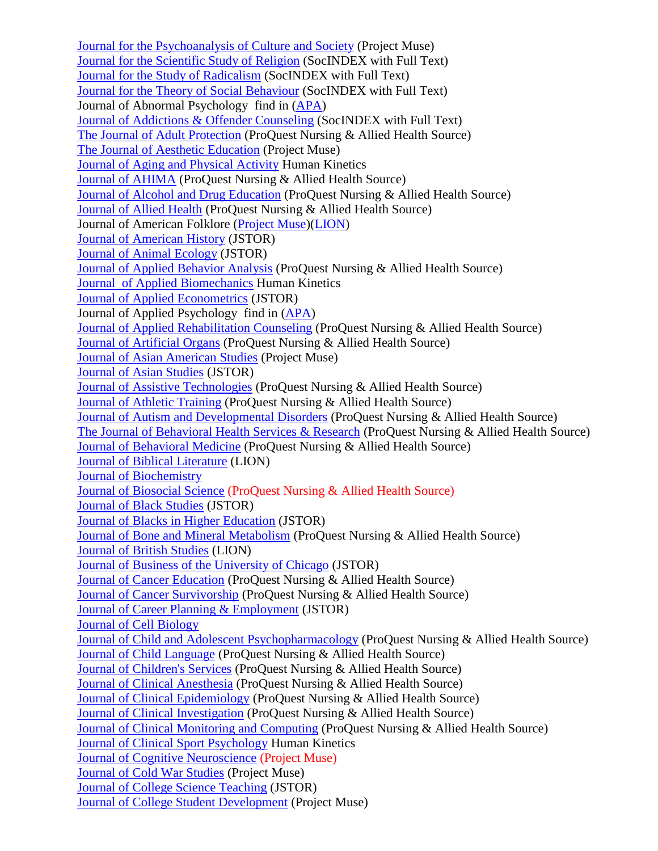Journal for [the Psychoanalysis of Culture and Society](http://muse.jhu.edu/journals/journal_for_the_psychoanalysis_of_culture_and_society/) (Project Muse) [Journal for the Scientific Study of Religion](http://web.ebscohost.com/ehost/detail?sid=fe19922c-3112-46d0-85a1e5b27295fc8e%40sessionmgr4&vid=12&hid=11&bdata=JnNpdGU9ZWhvc3QtbGl2ZQ%3d%3d#db=sih&jid=SSN) (SocINDEX with Full Text) [Journal for the Study of Radicalism](http://web.ebscohost.com/ehost/detail?sid=fe19922c-3112-46d0-85a1-e5b27295fc8e%40sessionmgr4&vid=12&hid=11&bdata=JnNpdGU9ZWhvc3QtbGl2ZQ%3d%3d#db=sih&jid=2YTT) (SocINDEX with Full Text) [Journal for the Theory of Social Behaviour](http://web.ebscohost.com/ehost/detail?sid=fe19922c-3112-46d0-85a1e5b27295fc8e%40sessionmgr4&vid=12&hid=11&bdata=JnNpdGU9ZWhvc3QtbGl2ZQ%3d%3d#db=sih&jid=BPZ) (SocINDEX with Full Text) Journal of Abnormal Psychology find in [\(APA\)](http://online.psycinfo.com/library/search) [Journal of Addictions & Offender Counseling](http://web.ebscohost.com/ehost/detail?sid=fe19922c-3112-46d0-85a1e5b27295fc8e%40sessionmgr4&vid=12&hid=11&bdata=JnNpdGU9ZWhvc3QtbGl2ZQ%3d%3d#db=sih&jid=JDD) (SocINDEX with Full Text) [The Journal of Adult Protection](http://search.proquest.com/publication/44507/citation/13F72B3371061156717/4?accountid=12291) (ProQuest Nursing & Allied Health Source) [The Journal of Aesthetic Education](http://muse.jhu.edu/journals/the_journal_of_aesthetic_education/) (Project Muse) [Journal of Aging and Physical Activity](http://www.humankinetics.com/JAPA/journalAbout.cfm) Human Kinetics [Journal of AHIMA](http://search.proquest.com/publication/33093/citation/13F72B3371061156717/5?accountid=12291) (ProQuest Nursing & Allied Health Source) [Journal of Alcohol and Drug Education](http://search.proquest.com/publication/48458/citation/13F72B3371061156717/6?accountid=12291) (ProQuest Nursing & Allied Health Source) [Journal of Allied Health](http://search.proquest.com/publication/47699/citation/13F72B3371061156717/7?accountid=12291) (ProQuest Nursing & Allied Health Source) Journal of American Folklore [\(Project Muse\)](http://muse.jhu.edu/journals/journal_of_american_folklore/)[\(LION\)](http://lion.chadwyck.com/showPage.do?TEMPLATE=/contents/abl_toc/JournalofAmericanFolklorejourna/issues.htm) [Journal of American History](http://www.jstor.org/journals/00218723.html) (JSTOR) [Journal of Animal Ecology](http://www.jstor.org/journals/00218790.html) (JSTOR) [Journal of Applied Behavior Analysis](http://search.proquest.com/publication/36654/citation/13F72B3371061156717/9?accountid=12291) (ProQuest Nursing & Allied Health Source) Journal [of Applied Biomechanics](http://www.humankinetics.com/JAB/journalAbout.cfm) Human Kinetics [Journal of Applied Econometrics](http://www.jstor.org/journals/08837252.html) (JSTOR) Journal of Applied Psychology find in [\(APA\)](http://online.psycinfo.com/library/search) [Journal of Applied Rehabilitation Counseling](http://search.proquest.com/publication/35933/citation/13F72B3371061156717/10?accountid=12291) (ProQuest Nursing & Allied Health Source) [Journal of Artificial Organs](http://search.proquest.com/publication/1456335/citation/13F72B3371061156717/11?accountid=12291) (ProQuest Nursing & Allied Health Source) [Journal of Asian American Studies](http://muse.jhu.edu/journals/journal_of_asian_american_studies/) (Project Muse) [Journal of Asian Studies](http://www.jstor.org/journals/00219118.html) (JSTOR) [Journal of Assistive Technologies](http://search.proquest.com/publication/1006510/citation/13F72B3371061156717/12?accountid=12291) (ProQuest Nursing & Allied Health Source) [Journal of Athletic Training](http://search.proquest.com/publication/47878/citation/13F72B3371061156717/13?accountid=12291) (ProQuest Nursing & Allied Health Source) [Journal of Autism and Developmental Disorders](http://search.proquest.com/publication/48401/citation/13F72B3371061156717/14?accountid=12291) (ProQuest Nursing & Allied Health Source) [The Journal of Behavioral Health Services & Research](http://search.proquest.com/publication/30572/citation/13F72B3371061156717/15?accountid=12291) (ProQuest Nursing & Allied Health Source) [Journal of Behavioral Medicine](http://search.proquest.com/publication/37571/citation/13F72B3371061156717/16?accountid=12291) (ProQuest Nursing & Allied Health Source) [Journal of Biblical](http://lion.chadwyck.com/showPage.do?TEMPLATE=/contents/abl_toc/JournalofBiblicalLiteratureAtla/issues.htm) Literature (LION) [Journal of Biochemistry](http://jb.oxfordjournals.org/) [Journal of Biosocial Science](http://search.proquest.com/publication/34392/citation/13F72B3371061156717/17?accountid=12291) (ProQuest Nursing & Allied Health Source) [Journal of Black Studies](http://www.jstor.org/journals/00219347.html) (JSTOR) [Journal of Blacks in Higher Education](http://www.jstor.org/journals/10773711.html) (JSTOR) [Journal of Bone and Mineral Metabolism](http://search.proquest.com/publication/1456336/citation/13F72B3371061156717/19?accountid=12291) (ProQuest Nursing & Allied Health Source) [Journal of British Studies](http://lion.chadwyck.com/contents/abl_toc/JournalofBritishStudies/issues.jsp) (LION) [Journal of Business of the University of Chicago](http://www.jstor.org/journals/07409168.html) (JSTOR) [Journal of Cancer Education](http://search.proquest.com/publication/30493/citation/13F72B3371061156717/20?accountid=12291) (ProQuest Nursing & Allied Health Source) [Journal of Cancer Survivorship](http://search.proquest.com/publication/54423/citation/13F72B3371061156717/21?accountid=12291) (ProQuest Nursing & Allied Health Source) [Journal of Career Planning & Employment](http://find.galegroup.com/itx/publicationSearch.do?serQuery=Locale%28en%2C%2C%29%3AFQE%3D%28JX%2CNone%2C41%29%22Journal+of+Career+Planning+%26+Employment%22%24&inPS=true&type=getIssues&searchTerm=&prodId=SPJ.SP00¤tPosition=14&userGroupName=tel_a_mmcwml) (JSTOR) [Journal of Cell Biology](http://www.jcb.org/) [Journal of Child and Adolescent Psychopharmacology](http://search.proquest.com/publication/46504/citation/13F72B3371061156717/24?accountid=12291) (ProQuest Nursing & Allied Health Source) [Journal of Child Language](http://search.proquest.com/publication/49003/citation/13F72B3371061156717/25?accountid=12291) (ProQuest Nursing & Allied Health Source) [Journal of Children's Services](http://search.proquest.com/publication/1006509/citation/13F72B3371061156717/27?accountid=12291) (ProQuest Nursing & Allied Health Source) [Journal of Clinical Anesthesia](http://search.proquest.com/publication/1226344/citation/13F72B3371061156717/28?accountid=12291) (ProQuest Nursing & Allied Health Source) [Journal of Clinical Epidemiology](http://search.proquest.com/publication/105585/citation/13F7674EB5EE8FB175/29?accountid=12291) (ProQuest Nursing & Allied Health Source) [Journal of Clinical Investigation](http://search.proquest.com/publication/42166/citation/13F7674EB5EE8FB175/30?accountid=12291) (ProQuest Nursing & Allied Health Source) [Journal of Clinical Monitoring and Computing](http://search.proquest.com/publication/26276/citation/13F7674EB5EE8FB175/31?accountid=12291) (ProQuest Nursing & Allied Health Source) [Journal of Clinical Sport Psychology](http://www.humankinetics.com/JCSP/journalAbout.cfm) Human Kinetics [Journal of Cognitive Neuroscience](http://jocn.mitpress.org/) (Project Muse) [Journal of Cold War Studies](http://muse.jhu.edu/journals/cws/) (Project Muse) [Journal of College Science Teaching](http://find.galegroup.com/itx/publicationSearch.do?serQuery=Locale%28en%2C%2C%29%3AFQE%3D%28JX%2CNone%2C37%29%22Journal+of+College+Science+Teaching%22%24&inPS=true&type=getIssues&searchTerm=&prodId=SPJ.SP00¤tPosition=14&userGroupName=tel_a_mmcwml) (JSTOR) [Journal of College Student Development](http://muse.jhu.edu/journals/journal_of_college_student_development/) (Project Muse)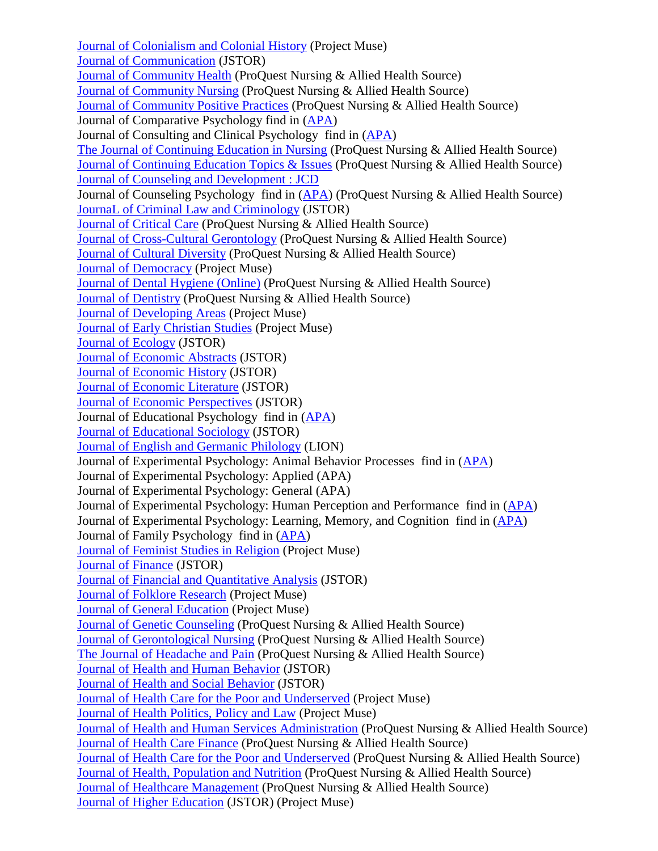[Journal of Colonialism and Colonial History](http://muse.jhu.edu/journals/journal_of_colonialism_and_colonial_history/) (Project Muse) [Journal of Communication](http://find.galegroup.com/itx/publicationSearch.do?serQuery=Locale%28en%2C%2C%29%3AFQE%3D%28JX%2CNone%2C26%29%22Journal+of+Communication%22%24&inPS=true&type=getIssues&searchTerm=&prodId=SPJ.SP00¤tPosition=14&userGroupName=tel_a_mmcwml) (JSTOR) [Journal of Community Health](http://search.proquest.com/publication/48530/citation/13F7674EB5EE8FB175/32?accountid=12291) (ProQuest Nursing & Allied Health Source) [Journal of Community Nursing](http://search.proquest.com/publication/42545/citation/13F7674EB5EE8FB175/33?accountid=12291) (ProQuest Nursing & Allied Health Source) [Journal of Community Positive Practices](http://search.proquest.com/publication/1416338/citation/13F7674EB5EE8FB175/34?accountid=12291) (ProQuest Nursing & Allied Health Source) Journal of Comparative Psychology find in [\(APA\)](http://online.psycinfo.com/library/search) Journal of Consulting and Clinical Psychology find in [\(APA\)](http://online.psycinfo.com/library/search) [The Journal of Continuing Education in Nursing](http://search.proquest.com/publication/35533/citation/13F7674EB5EE8FB175/35?accountid=12291) (ProQuest Nursing & Allied Health Source) [Journal of Continuing Education Topics & Issues](http://search.proquest.com/publication/136112/citation/13F7674EB5EE8FB175/37?accountid=12291) (ProQuest Nursing & Allied Health Source) [Journal of Counseling and Development : JCD](http://search.proquest.com/publication/25041/citation/13F7674EB5EE8FB175/38?accountid=12291) Journal of Counseling Psychology find in [\(APA\)](http://online.psycinfo.com/library/search) (ProQuest Nursing & Allied Health Source) [JournaL of Criminal Law and Criminology](http://find.galegroup.com/itx/publicationSearch.do?serQuery=Locale%28en%2C%2C%29%3AFQE%3D%28JX%2CNone%2C41%29%22Journal+of+Criminal+Law+and+Criminology%22%24&inPS=true&type=getIssues&searchTerm=&prodId=SPJ.SP00¤tPosition=14&userGroupName=tel_a_mmcwml) (JSTOR) [Journal of Critical Care](http://search.proquest.com/publication/1226342/citation/13F7674EB5EE8FB175/39?accountid=12291) (ProQuest Nursing & Allied Health Source) [Journal of Cross-Cultural Gerontology](http://search.proquest.com/publication/54159/citation/13F7674EB5EE8FB175/40?accountid=12291) (ProQuest Nursing & Allied Health Source) [Journal of Cultural Diversity](http://search.proquest.com/publication/34124/citation/13F7674EB5EE8FB175/41?accountid=12291) (ProQuest Nursing & Allied Health Source) [Journal of Democracy](http://muse.jhu.edu/journals/journal_of_democracy/) (Project Muse) [Journal of Dental Hygiene \(Online\)](http://search.proquest.com/publication/105356/citation/13F7674EB5EE8FB175/43?accountid=12291) (ProQuest Nursing & Allied Health Source) [Journal of Dentistry](http://search.proquest.com/publication/1226341/citation/13F7674EB5EE8FB175/45?accountid=12291) (ProQuest Nursing & Allied Health Source) [Journal of Developing Areas](http://muse.jhu.edu/journals/journal_of_developing_areas/) (Project Muse) [Journal of Early Christian Studies](http://muse.jhu.edu/journals/journal_of_early_christian_studies/) (Project Muse) [Journal of Ecology](http://www.jstor.org/journals/00220477.html) (JSTOR) [Journal of Economic Abstracts](http://www.jstor.org/journals/0364281x.html) (JSTOR) [Journal of Economic History](http://www.jstor.org/journals/00220507.html) (JSTOR) [Journal of Economic Literature](http://www.jstor.org/journals/00220515.html) (JSTOR) [Journal of Economic Perspectives](http://www.jstor.org/journals/08953309.html) (JSTOR) Journal of Educational Psychology find in [\(APA\)](http://online.psycinfo.com/library/search) [Journal of Educational Sociology](http://www.jstor.org/journals/08853525.html) (JSTOR) [Journal of English and Germanic Philology](http://lion.chadwyck.com/showPage.do?TEMPLATE=/contents/abl_toc/JournalofEnglishandGermanicPhil/issues.htm) (LION) Journal of Experimental Psychology: Animal Behavior Processes find in [\(APA\)](http://online.psycinfo.com/library/search) Journal of Experimental Psychology: Applied (APA) Journal of Experimental Psychology: General (APA) Journal of Experimental Psychology: Human Perception and Performance find in [\(APA\)](http://online.psycinfo.com/library/search) Journal of Experimental Psychology: Learning, Memory, and Cognition find in [\(APA\)](http://online.psycinfo.com/library/search) Journal of Family Psychology find in [\(APA\)](http://online.psycinfo.com/library/search) [Journal of Feminist Studies in Religion](http://muse.jhu.edu/journals/journal_of_feminist_studies_in_religion/) (Project Muse) [Journal of Finance](http://www.jstor.org/journals/00221082.html) (JSTOR) [Journal of Financial and Quantitative Analysis](http://www.jstor.org/journals/00221090.html) (JSTOR) [Journal of Folklore Research](http://muse.jhu.edu/journals/journal_of_folklore_research/) (Project Muse) [Journal of General Education](http://muse.jhu.edu/journals/jge/) (Project Muse) Journal of [Genetic Counseling](http://search.proquest.com/publication/31322/citation/13F715449B125EECD25/61?accountid=12291) (ProQuest Nursing & Allied Health Source) [Journal of Gerontological Nursing](http://search.proquest.com/publication/47810/citation/13F715449B125EECD25/63?accountid=12291) (ProQuest Nursing & Allied Health Source) [The Journal of Headache and Pain](http://search.proquest.com/publication/43392/citation/13F715449B125EECD25/66?accountid=12291) (ProQuest Nursing & Allied Health Source) [Journal of Health and Human Behavior](http://www.jstor.org/journals/00959006.html) (JSTOR) [Journal of Health and Social Behavior](http://www.jstor.org/journals/00221465.html) (JSTOR) [Journal of Health Care for the Poor and Underserved](http://muse.jhu.edu/journals/journal_of_health_care_for_the_poor_and_underserved/) (Project Muse) [Journal of Health Politics, Policy and Law](http://muse.jhu.edu/journals/jhp/) (Project Muse) [Journal of Health and Human Services Administration](http://search.proquest.com/publication/27394/citation/13F715449B125EECD25/67?accountid=12291) (ProQuest Nursing & Allied Health Source) [Journal of Health Care Finance](http://search.proquest.com/publication/48513/citation/13F715449B125EECD25/69?accountid=12291) (ProQuest Nursing & Allied Health Source) [Journal of Health Care for the Poor and Underserved](http://search.proquest.com/publication/30234/citation/13F715449B125EECD25/70?accountid=12291) (ProQuest Nursing & Allied Health Source) [Journal of Health, Population and Nutrition](http://search.proquest.com/publication/54891/citation/13F715449B125EECD25/72?accountid=12291) (ProQuest Nursing & Allied Health Source) [Journal of Healthcare Management](http://search.proquest.com/publication/7080/citation/13F715449B125EECD25/74?accountid=12291) (ProQuest Nursing & Allied Health Source) [Journal of Higher Education](http://www.jstor.org/journals/00221546.html) (JSTOR) (Project Muse)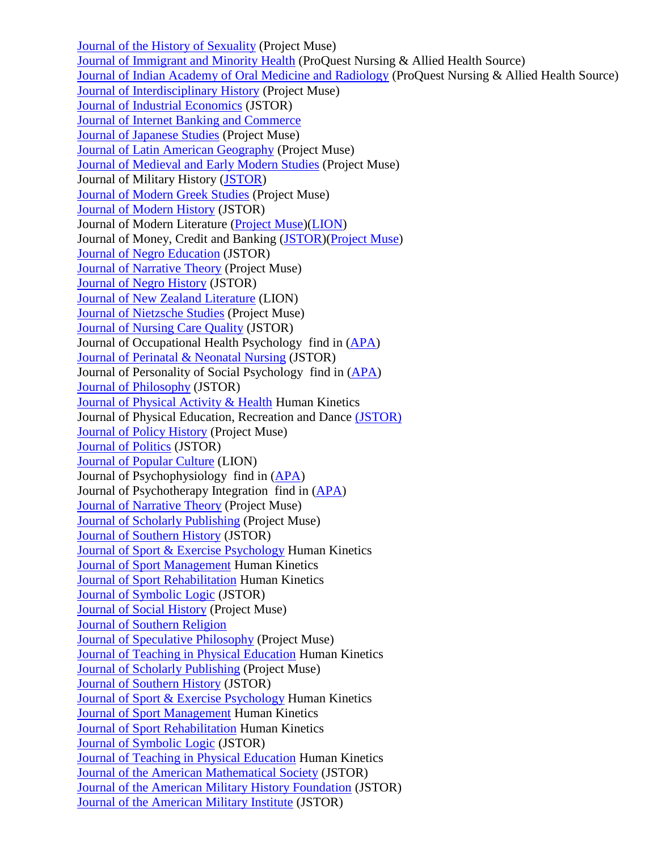[Journal of the History of Sexuality](http://muse.jhu.edu/journals/sex/) (Project Muse) [Journal of Immigrant and Minority Health](http://search.proquest.com/publication/39812/citation/13F715449B125EECD25/75?accountid=12291) (ProQuest Nursing & Allied Health Source) [Journal of Indian Academy of Oral Medicine and Radiology](http://search.proquest.com/publication/536318/citation/13F715449B125EECD25/76?accountid=12291) (ProQuest Nursing & Allied Health Source) [Journal of Interdisciplinary History](http://muse.jhu.edu/journals/jih/) (Project Muse) [Journal of Industrial Economics](http://www.jstor.org/journals/00221821.html) (JSTOR) [Journal of Internet Banking and Commerce](http://www.arraydev.com/commerce/jibc/) [Journal of Japanese Studies](http://muse.jhu.edu/journals/journal_of_japanese_studies/) (Project Muse) [Journal of Latin American Geography](http://muse.jhu.edu/journals/journal_of_latin_american_geography/) (Project Muse) [Journal of Medieval and Early Modern Studies](http://muse.jhu.edu/journals/jmems/) (Project Muse) Journal of Military History [\(JSTOR\)](http://www.jstor.org/journals/08993718.html) [Journal of Modern Greek Studies](http://muse.jhu.edu/journals/mgs/) (Project Muse) [Journal of Modern History](http://www.jstor.org/journals/00222801.html) (JSTOR) Journal of Modern Literature [\(Project Muse\)](http://muse.jhu.edu/journals/jml/)[\(LION\)](http://lion.chadwyck.com/showPage.do?TEMPLATE=/contents/abl_toc/JournalofModernLiteratureFounda/issues.htm) Journal of Money, Credit and Banking [\(JSTOR\)](http://www.jstor.org/journals/00222879.html)[\(Project Muse\)](http://muse.jhu.edu/journals/journal_of_modern_literature/) [Journal of Negro Education](http://www.jstor.org/journals/00222984.html) (JSTOR) [Journal of Narrative Theory](http://muse.jhu.edu/journals/journal_of_narrative_theory/) (Project Muse) [Journal of Negro History](http://www.jstor.org/journals/00222992.html) (JSTOR) [Journal of New Zealand Literature](http://lion.chadwyck.com/contents/abl_toc/JournalofNewZealandLiterature/issues.jsp) (LION) [Journal of Nietzsche Studies](http://muse.jhu.edu/journals/journal_of_nietzsche_studies/) (Project Muse) [Journal of Nursing Care Quality](http://find.galegroup.com/itx/publicationSearch.do?serQuery=Locale%28en%2C%2C%29%3AFQE%3D%28JX%2CNone%2C33%29%22Journal+of+Nursing+Care+Quality%22%24&inPS=true&type=getIssues&searchTerm=&prodId=SPJ.SP00¤tPosition=15&userGroupName=tel_a_mmcwml) (JSTOR) Journal of Occupational Health Psychology find in [\(APA\)](http://online.psycinfo.com/library/search) [Journal of Perinatal & Neonatal Nursing](http://find.galegroup.com/itx/publicationSearch.do?serQuery=Locale%28en%2C%2C%29%3AFQE%3D%28JX%2CNone%2C41%29%22Journal+of+Perinatal+%26+Neonatal+Nursing%22%24&inPS=true&type=getIssues&searchTerm=&prodId=SPJ.SP00¤tPosition=15&userGroupName=tel_a_mmcwml) (JSTOR) Journal of Personality of Social Psychology find in [\(APA\)](http://online.psycinfo.com/library/search) [Journal of Philosophy](http://www.jstor.org/journals/01609335.html) (JSTOR) [Journal of Physical Activity & Health](http://www.humankinetics.com/JPAH/journalAbout.cfm) Human Kinetics Journal of Physical Education, Recreation and Dance [\(JSTOR\)](http://www.find.galegroup.com/itx/publicationSearch.do?serQuery=Locale%28en%2C%2C%29%3AFQE%3D%28JX%2CNone%2C63%29%22JOPERD--the+Journal+of+Physical+Education%2C+Recreation+%26+Dance%22%24&inPS=true&type=getIssues&searchTerm=&prodId=SPJ.SP00¤tPosition=13&userGroupName=tel_a_mmcwml) [Journal of Policy History](http://muse.jhu.edu/journals/jph/) (Project Muse) [Journal of Politics](http://www.jstor.org/browse/00223816?frame=noframe&userID=4477657d@martinmethodist.edu/01cce4406600501bf54b2&dpi=3&config=jstor) (JSTOR) [Journal of Popular Culture](http://lion.chadwyck.com/showPage.do?TEMPLATE=/contents/abl_toc/JournalofPopularCulturePopularC/issues.htm) (LION) Journal of Psychophysiology find in [\(APA\)](http://online.psycinfo.com/library/search) Journal of Psychotherapy Integration find in [\(APA\)](http://online.psycinfo.com/library/search) [Journal of Narrative Theory](http://muse.jhu.edu/journals/journal_of_narrative_theory/) (Project Muse) [Journal of Scholarly Publishing](http://muse.jhu.edu/journals/journal_of_scholarly_publishing/) (Project Muse) [Journal of Southern History](http://www.jstor.org/journals/00224642.html) (JSTOR) [Journal of Sport & Exercise Psychology](http://www.humankinetics.com/JSEP/journalAbout.cfm) Human Kinetics [Journal of Sport Management](http://www.humankinetics.com/JSM/journalAbout.cfm) Human Kinetics [Journal of Sport Rehabilitation](http://www.humankinetics.com/JSR/journalAbout.cfm) Human Kinetics [Journal of Symbolic Logic](http://www.jstor.org/journals/00224812.html) (JSTOR) [Journal of Social History](http://muse.jhu.edu/journals/jsh/) (Project Muse) [Journal of Southern Religion](http://jsr.fsu.edu/) Journal of [Speculative Philosophy](http://muse.jhu.edu/journals/jsp/) (Project Muse) [Journal of Teaching in Physical Education](http://www.humankinetics.com/JTPE/journalAbout.cfm) Human Kinetics [Journal of Scholarly Publishing](http://muse.jhu.edu/journals/journal_of_scholarly_publishing/) (Project Muse) [Journal of Southern History](http://www.jstor.org/journals/00224642.html) (JSTOR) [Journal of Sport & Exercise Psychology](http://www.humankinetics.com/JSEP/journalAbout.cfm) Human Kinetics [Journal of Sport Management](http://www.humankinetics.com/JSM/journalAbout.cfm) Human Kinetics [Journal of Sport Rehabilitation](http://www.humankinetics.com/JSR/journalAbout.cfm) Human Kinetics [Journal of Symbolic Logic](http://www.jstor.org/journals/00224812.html) (JSTOR) [Journal of Teaching in Physical Education](http://www.humankinetics.com/JTPE/journalAbout.cfm) Human Kinetics [Journal of the American Mathematical Society](http://www.jstor.org/journals/00029947.html) (JSTOR) [Journal of the American Military History Foundation](http://www.jstor.org/journals/15208621.html) (JSTOR) [Journal of the American Military Institute](http://www.jstor.org/journals/15208613.html) (JSTOR)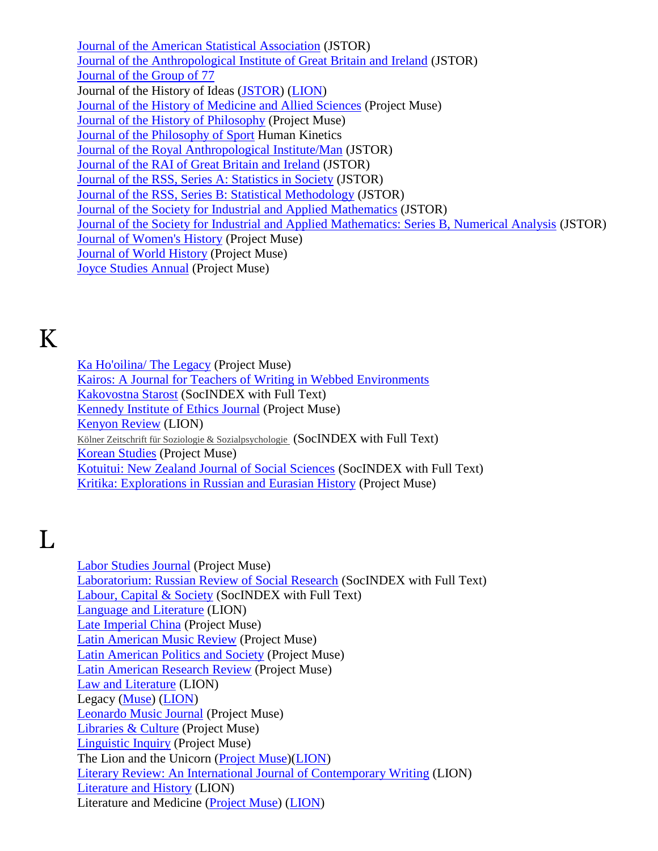[Journal of the American Statistical Association](http://www.jstor.org/journals/01621459.html) (JSTOR) [Journal of the Anthropological Institute of Great Britain and Ireland](http://www.jstor.org/journals/09595295.html) (JSTOR) [Journal of the Group of 77](http://www.g77.org/Journal/message.htm) Journal of the History of Ideas [\(JSTOR\)](http://www.jstor.org/journals/00225037.html) [\(LION\)](http://lion.chadwyck.com/showPage.do?TEMPLATE=/contents/abl_toc/JournaloftheHistoryofIdeasRutge/issues.htm) [Journal of the History of Medicine and Allied Sciences](http://muse.jhu.edu/journals/journal_of_the_history_of_medicine_and_allied_sciences/) (Project Muse) [Journal of the History of Philosophy](http://muse.jhu.edu/journals/journal_of_the_history_of_philosophy/) (Project Muse) [Journal of the Philosophy of Sport](http://www.humankinetics.com/JPS/journalAbout.cfm) Human Kinetics [Journal of the Royal Anthropological Institute/Man](http://www.jstor.org/journals/13590987.html) (JSTOR) [Journal of the RAI of Great Britain and Ireland](http://www.jstor.org/journals/03073114.html) (JSTOR) [Journal of the RSS, Series A: Statistics in Society](http://www.jstor.org/journals/09641998.html) (JSTOR) [Journal of the RSS, Series B: Statistical Methodology](http://www.jstor.org/journals/13697412.html) (JSTOR) [Journal of the Society for Industrial and Applied Mathematics](http://www.jstor.org/journals/03684245.html) (JSTOR) [Journal of the Society for Industrial and Applied Mathematics: Series B, Numerical Analysis](http://www.jstor.org/journals/0887459x.html) (JSTOR) [Journal of Women's History](http://muse.jhu.edu/journals/jowh/) (Project Muse) [Journal of World History](http://muse.jhu.edu/journals/jwh/) (Project Muse) [Joyce Studies Annual](http://muse.jhu.edu/journals/joyce_studies_annual/) (Project Muse)

K

L

[Ka Ho'oilina/ The Legacy](http://muse.jhu.edu/journals/ka_hooilina_the_legacy/) (Project Muse) Kairos: [A Journal for Teachers of Writing in Webbed Environments](http://english.ttu.edu/kairos/) [Kakovostna Starost](http://web.ebscohost.com/ehost/detail?sid=fe19922c-3112-46d0-85a1-e5b27295fc8e%40sessionmgr4&vid=13&hid=11&bdata=JnNpdGU9ZWhvc3QtbGl2ZQ%3d%3d#db=sih&jid=VIH) (SocINDEX with Full Text) [Kennedy Institute of Ethics Journal](http://muse.jhu.edu/journals/kennedy_institute_of_ethics_journal/) (Project Muse) [Kenyon Review](http://lion.chadwyck.com/showPage.do?TEMPLATE=/contents/abl_toc/KenyonReviewKenyonCollegeGambie/issues.htm) (LION) [Kölner Zeitschrift für Soziologie & Sozialpsychologie](http://web.ebscohost.com/ehost/detail?sid=fe19922c-3112-46d085a1e5b27295fc8e%40sessionmgr4&vid=13&hid=11&bdata=JnNpdGU9ZWhvc3QtbGl2ZQ%3d%3d#db=sih&jid=BK2) (SocINDEX with Full Text) [Korean Studies](http://muse.jhu.edu/journals/korean_studies/) (Project Muse) [Kotuitui: New Zealand Journal of Social Sciences](http://web.ebscohost.com/ehost/detail?sid=fe19922c-3112-46d085a1e5b27295fc8e%40sessionmgr4&vid=13&hid=11&bdata=JnNpdGU9ZWhvc3QtbGl2ZQ%3d%3d#db=sih&jid=1G9R) (SocINDEX with Full Text) [Kritika: Explorations in Russian and Eurasian History](http://muse.jhu.edu/journals/kritika/) (Project Muse)

[Labor Studies Journal](http://muse.jhu.edu/journals/labor_studies_journal/) (Project Muse) [Laboratorium: Russian Review of Social Research](http://web.ebscohost.com/ehost/detail?sid=fe19922c-3112-46d085a1e5b27295fc8e%40sessionmgr4&vid=14&hid=11&bdata=JnNpdGU9ZWhvc3QtbGl2ZQ%3d%3d#db=sih&jid=BDDJ) (SocINDEX with Full Text) [Labour, Capital &](http://web.ebscohost.com/ehost/detail?sid=fe19922c-3112-46d0-85a1-e5b27295fc8e%40sessionmgr4&vid=14&hid=11&bdata=JnNpdGU9ZWhvc3QtbGl2ZQ%3d%3d#db=sih&jid=3ZB) Society (SocINDEX with Full Text) [Language and Literature](http://lion.chadwyck.com/contents/abl_toc/LanguageandLiteratureUSA/issues.jsp) (LION) [Late Imperial China](http://muse.jhu.edu/journals/late_imperial_china/) (Project Muse) [Latin American Music Review](http://muse.jhu.edu/journals/lat/) (Project Muse) [Latin American Politics and Society](http://muse.jhu.edu/journals/latin_american_politics_and_society/) (Project Muse) [Latin American Research Review](http://muse.jhu.edu/journals/latin_american_research_review/) (Project Muse) [Law and Literature](http://lion.chadwyck.com/contents/abl_toc/LawandLiteratureYeshivaUnivNewY/issues.jsp) (LION) Legacy [\(Muse\)](http://muse.jhu.edu/journals/leg/) [\(LION\)](http://lion.chadwyck.com/contents/infopage/publ/legacy.jsp) [Leonardo Music Journal](http://muse.jhu.edu/journals/leonardo/) (Project Muse) [Libraries & Culture](http://muse.jhu.edu/journals/lac/) (Project Muse) [Linguistic Inquiry](http://muse.jhu.edu/journals/linguistic_inquiry/) (Project Muse) The Lion and the Unicorn [\(Project Muse\)](http://muse.jhu.edu/journals/lion_and_the_unicorn/)[\(LION\)](http://lion.chadwyck.com/showPage.do?TEMPLATE=/contents/abl_toc/LionandtheUnicornacriticaljourn/issues.htm) [Literary Review: An International Journal of Contemporary Writing](http://lion.chadwyck.com/showPage.do?TEMPLATE=/contents/abl_toc/LiteraryReviewaninternationaljo/issues.htm) (LION) [Literature and History](http://lion.chadwyck.com/contents/abl_toc/LiteratureandHistory/issues.jsp) (LION) Literature and Medicine [\(Project Muse\)](http://muse.jhu.edu/journals/literature_and_medicine/) [\(LION\)](http://lion.chadwyck.com/showPage.do?TEMPLATE=/contents/abl_toc/LiteratureandMedicineBaltimoreM/issues.htm)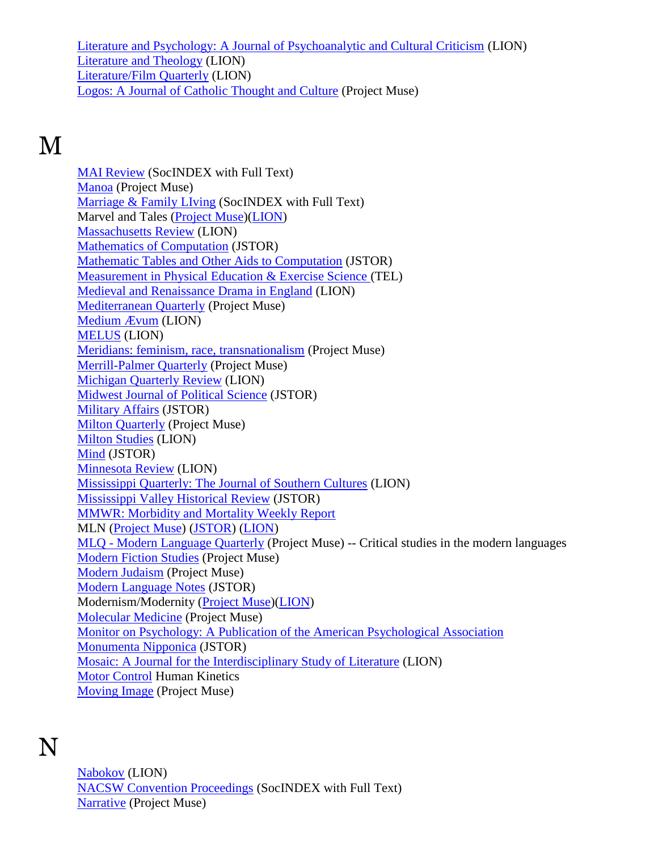[Literature and Psychology: A Journal of Psychoanalytic and Cultural Criticism](http://lion.chadwyck.com/showPage.do?TEMPLATE=/contents/abl_toc/LiteratureandPsychologyajournal/issues.htm) (LION) [Literature and Theology](http://lion.chadwyck.com/contents/abl_toc/LiteratureTheologyaninterdiscip/issues.jsp) (LION) [Literature/Film Quarterly](http://lion.chadwyck.com/showPage.do?TEMPLATE=/contents/abl_toc/LiteratureFilmQuarterlySalisbur/issues.htm) (LION) [Logos: A Journal of Catholic Thought and Culture](http://muse.jhu.edu/journals/logos/) (Project Muse)

## M

[MAI Review](http://web.ebscohost.com/ehost/detail?sid=fe19922c-3112-46d0-85a1-e5b27295fc8e%40sessionmgr4&vid=15&hid=11&bdata=JnNpdGU9ZWhvc3QtbGl2ZQ%3d%3d#db=sih&jid=787D) (SocINDEX with Full Text) [Manoa](http://muse.jhu.edu/journals/man/) (Project Muse) [Marriage & Family LIving](http://web.ebscohost.com/ehost/detail?sid=fe19922c-3112-46d0-85a1-e5b27295fc8e%40sessionmgr4&vid=15&hid=11&bdata=JnNpdGU9ZWhvc3QtbGl2ZQ%3d%3d#db=sih&jid=5OM) (SocINDEX with Full Text) Marvel and Tales [\(Project Muse\)](http://muse.jhu.edu/journals/marvels_and_tales/)[\(LION\)](http://lion.chadwyck.com/contents/abl_toc/MarvelsTales/issues.jsp) [Massachusetts Review](http://lion.chadwyck.com/showPage.do?TEMPLATE=/contents/abl_toc/MassachusettsReviewaquarterlyof/issues.htm) (LION) [Mathematics of Computation](http://www.jstor.org/journals/00255718.html) (JSTOR) [Mathematic Tables and Other Aids to Computation](http://www.jstor.org/journals/08916837.html) (JSTOR) [Measurement in Physical Education & Exercise Science \(](http://go.galegroup.com/ps/aboutJournal.do?actionString=DO_DISPLAY_ABOUT_PAGE&inPS=true&userGroupName=tel_a_mmcwml&prodId=GPS&searchType=PublicationSearchForm&docId=GALE%7C1AIB)TEL) [Medieval and Renaissance Drama in England](http://lion.chadwyck.com/showPage.do?TEMPLATE=/contents/abl_toc/MedievalandRenaissanceDramainEn/issues.htm) (LION) [Mediterranean Quarterly](http://muse.jhu.edu/journals/med/) (Project Muse) [Medium Ævum](http://lion.chadwyck.com/showPage.do?TEMPLATE=/contents/abl_toc/MediumvumSocfortheStudyofMediev/issues.htm) (LION) [MELUS](http://lion.chadwyck.com/showPage.do?TEMPLATE=/contents/abl_toc/MELUSUnivofSouthernCaliforniaLo/issues.htm) (LION) [Meridians: feminism, race, transnationalism](http://muse.jhu.edu/journals/meridians/) (Project Muse) [Merrill-Palmer Quarterly](http://muse.jhu.edu/journals/mpq/) (Project Muse) [Michigan Quarterly Review](http://lion.chadwyck.com/showPage.do?TEMPLATE=/contents/abl_toc/MichiganQuarterlyReviewUnivofMi/issues.htm) (LION) [Midwest Journal of Political Science](http://www.jstor.org/journals/00263397.html) (JSTOR) [Military Affairs](http://www.jstor.org/journals/00263931.html) (JSTOR) [Milton Quarterly](http://muse.jhu.edu/journals/milton_quarterly/) (Project Muse) [Milton Studies](http://lion.chadwyck.com/showPage.do?TEMPLATE=/contents/abl_toc/MiltonStudiesPittsburghPA/issues.htm) (LION) [Mind](http://www.jstor.org/journals/00264423.html) (JSTOR) [Minnesota Review](http://lion.chadwyck.com/contents/abl_toc/MinnesotaReview/issues.jsp) (LION) [Mississippi Quarterly: The Journal of Southern Cultures](http://lion.chadwyck.com/showPage.do?TEMPLATE=/contents/abl_toc/MississippiQuarterlythejournalo/issues.htm) (LION) [Mississippi Valley Historical Review](http://www.jstor.org/journals/0161391x.html) (JSTOR) [MMWR: Morbidity and Mortality Weekly Report](http://www.cdc.gov/mmwr/) MLN [\(Project Muse\)](http://muse.jhu.edu/journals/mln/) [\(JSTOR\)](http://www.jstor.org/journals/00267910.html) [\(LION\)](http://lion.chadwyck.com/showPage.do?TEMPLATE=/contents/abl_toc/MLNBaltimoreMD/issues.htm) MLQ - [Modern Language Quarterly](http://muse.jhu.edu/journals/mlq/) (Project Muse) -- Critical studies in the modern languages [Modern Fiction Studies](http://muse.jhu.edu/journals/modern_fiction_studies/) (Project Muse) [Modern Judaism](http://muse.jhu.edu/journals/modern_judaism/) (Project Muse) [Modern Language Notes](http://www.jstor.org/journals/01496611.html) (JSTOR) Modernism/Modernity [\(Project Muse\)](http://muse.jhu.edu/journals/modernism-modernity/)[\(LION\)](http://lion.chadwyck.com/showPage.do?TEMPLATE=/contents/abl_toc/ModernismModernityBaltimoreMD/issues.htm) [Molecular Medicine](http://muse.jhu.edu/journals/mm/) (Project Muse) Monitor on Psychology: [A Publication of the American Psychological Association](http://www.apa.org/monitor/) [Monumenta Nipponica](http://www.jstor.org/journals/00270741.html) (JSTOR) [Mosaic: A Journal for the Interdisciplinary Study of Literature](http://lion.chadwyck.com/showPage.do?TEMPLATE=/contents/abl_toc/Mosaicajournalfortheinterdiscip/issues.htm) (LION) [Motor Control](http://www.humankinetics.com/MC/journalAbout.cfm) Human Kinetics [Moving Image](http://muse.jhu.edu/journals/the_moving_image/) (Project Muse)

### N

[Nabokov](http://lion.chadwyck.com/showPage.do?TEMPLATE=/contents/abl_toc/NabokovStudiesDavidsonCollegeNo/issues.htm) (LION) [NACSW Convention Proceedings](http://web.ebscohost.com/ehost/detail?sid=fe19922c-3112-46d0-85a1-e5b27295fc8e%40sessionmgr4&vid=16&hid=11&bdata=JnNpdGU9ZWhvc3QtbGl2ZQ%3d%3d#db=sih&jid=U7J) (SocINDEX with Full Text) [Narrative](http://muse.jhu.edu/journals/narrative/) (Project Muse)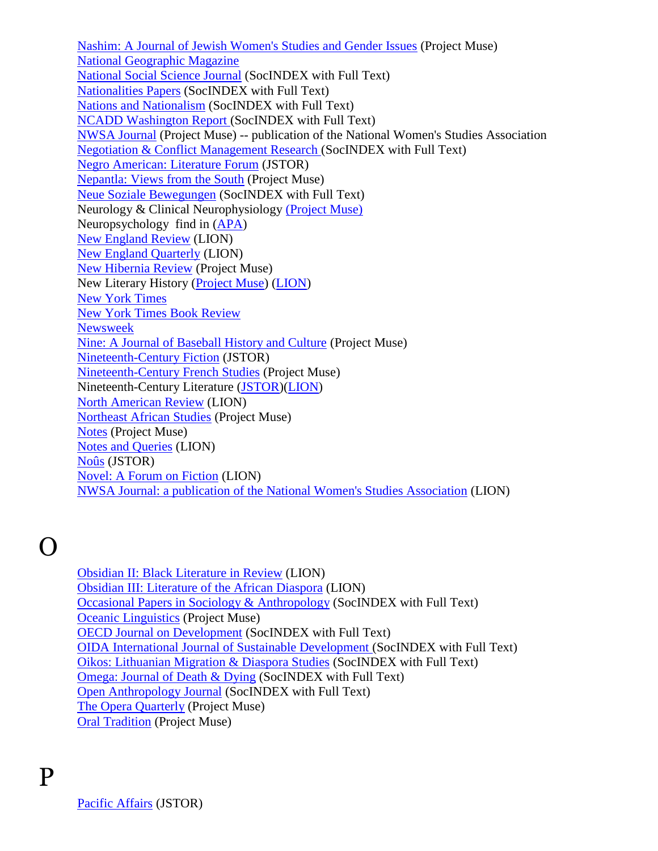[Nashim: A Journal of Jewish Women's Studies and Gender Issues](http://muse.jhu.edu/journals/nashim/) (Project Muse) [National Geographic Magazine](http://www.nationalgeographic.com/) [National Social Science Journal](http://web.ebscohost.com/ehost/detail?sid=fe19922c-3112-46d0-85a1-e5b27295fc8e%40sessionmgr4&vid=16&hid=11&bdata=JnNpdGU9ZWhvc3QtbGl2ZQ%3d%3d#db=sih&jid=B1E1) (SocINDEX with Full Text) [Nationalities Papers](http://web.ebscohost.com/ehost/detail?sid=fe19922c-3112-46d0-85a1-e5b27295fc8e%40sessionmgr4&vid=16&hid=11&bdata=JnNpdGU9ZWhvc3QtbGl2ZQ%3d%3d#db=sih&jid=55O) (SocINDEX with Full Text) [Nations and Nationalism](http://web.ebscohost.com/ehost/detail?sid=fe19922c-3112-46d0-85a1-e5b27295fc8e%40sessionmgr4&vid=16&hid=11&bdata=JnNpdGU9ZWhvc3QtbGl2ZQ%3d%3d#db=sih&jid=D8K) (SocINDEX with Full Text) [NCADD Washington Report \(](http://web.ebscohost.com/ehost/detail?sid=fe19922c-3112-46d0-85a1-e5b27295fc8e%40sessionmgr4&vid=16&hid=11&bdata=JnNpdGU9ZWhvc3QtbGl2ZQ%3d%3d#db=sih&jid=4Q1)SocINDEX with Full Text) [NWSA Journal](http://muse.jhu.edu/journals/nwsa_journal/) (Project Muse) -- publication of the National Women's Studies Association [Negotiation & Conflict Management Research \(](http://web.ebscohost.com/ehost/detail?sid=fe19922c-3112-46d085a1e5b27295fc8e%40sessionmgr4&vid=16&hid=11&bdata=JnNpdGU9ZWhvc3QtbGl2ZQ%3d%3d#db=sih&jid=55QM)SocINDEX with Full Text) [Negro American: Literature Forum](http://www.jstor.org/journals/00282480.html) (JSTOR) Nepantla: [Views from the South](http://muse.jhu.edu/journals/nep/) (Project Muse) [Neue Soziale Bewegungen](http://web.ebscohost.com/ehost/detail?sid=fe19922c-3112-46d0-85a1-e5b27295fc8e%40sessionmgr4&vid=16&hid=11&bdata=JnNpdGU9ZWhvc3QtbGl2ZQ%3d%3d#db=sih&jid=LKS) (SocINDEX with Full Text) Neurology & Clinical Neurophysiology [\(Project Muse\)](http://mitpress.mit.edu/e-journals/JCN/) Neuropsychology find in [\(APA\)](http://online.psycinfo.com/library/search) [New England Review](http://lion.chadwyck.com/showPage.do?TEMPLATE=/contents/abl_toc/NewEnglandReviewMiddleburyColle/issues.htm) (LION) [New England Quarterly](http://lion.chadwyck.com/showPage.do?TEMPLATE=/contents/abl_toc/NewEnglandQuarterlyahistoricalr/issues.htm) (LION) [New Hibernia Review](http://muse.jhu.edu/journals/nhr/) (Project Muse) New Literary History [\(Project Muse\)](http://muse.jhu.edu/journals/new_literary_history/) [\(LION\)](http://lion.chadwyck.com/showPage.do?TEMPLATE=/contents/abl_toc/NewLiteraryHistoryajournalofthe/issues.htm) [New York Times](http://www.nytimes.com/) [New York Times Book Review](http://www.nytimes.com/pages/books/review/index.html) [Newsweek](http://www.msnbc.msn.com/id/3032542/site/newsweek/) Nine: [A Journal of Baseball History and Culture](http://muse.jhu.edu/journals/nin/) (Project Muse) [Nineteenth-Century Fiction](http://www.jstor.org/journals/00290564.html) (JSTOR) [Nineteenth-Century French Studies](http://muse.jhu.edu/journals/nineteenth_century_french_studies/) (Project Muse) Nineteenth-Century Literature [\(JSTOR\)](http://www.jstor.org/journals/08919356.html)[\(LION\)](http://lion.chadwyck.com/contents/abl_toc/NineteenthCenturyLiterature/issues.jsp) [North American Review](http://lion.chadwyck.com/toc/NorthAmericanReviewUnivofNorthe/issues.htm) (LION) [Northeast African Studies](http://muse.jhu.edu/journals/nas/) (Project Muse) [Notes](http://muse.jhu.edu/journals/not/) (Project Muse) [Notes and Queries](http://lion.chadwyck.com/contents/abl_toc/NotesandQueriesforreadersandwri/issues.jsp) (LION) [Noûs](http://www.jstor.org/journals/00294624.html) (JSTOR) [Novel: A Forum on Fiction](http://lion.chadwyck.com/showPage.do?TEMPLATE=/contents/abl_toc/NovelaforumonfictionBrownUnivPr/issues.htm) (LION) [NWSA Journal: a publication of the National Women's Studies Association](http://lion.chadwyck.com/showPage.do?TEMPLATE=/contents/abl_toc/NWSAJournalapublicationoftheNat/issues.htm) (LION)

#### $\Omega$

P

[Obsidian II: Black Literature in Review](http://lion.chadwyck.com/showPage.do?TEMPLATE=/contents/abl_toc/ObsidianIIBlackliteratureinrevi/issues.htm) (LION) [Obsidian III: Literature of the African Diaspora](http://lion.chadwyck.com/showPage.do?TEMPLATE=/contents/abl_toc/ObsidianIIIliteratureintheAfric/issues.htm) (LION) [Occasional Papers in Sociology & Anthropology](http://web.ebscohost.com/ehost/detail?sid=fe19922c-3112-46d085a1e5b27295fc8e%40sessionmgr4&vid=17&hid=11&bdata=JnNpdGU9ZWhvc3QtbGl2ZQ%3d%3d#db=sih&jid=958W) (SocINDEX with Full Text) [Oceanic Linguistics](http://muse.jhu.edu/journals/ol/) (Project Muse) [OECD Journal on Development](http://web.ebscohost.com/ehost/detail?sid=fe19922c-3112-46d0-85a1-e5b27295fc8e%40sessionmgr4&vid=17&hid=11&bdata=JnNpdGU9ZWhvc3QtbGl2ZQ%3d%3d#db=sih&jid=8NOG) (SocINDEX with Full Text) [OIDA International Journal of Sustainable Development \(](http://web.ebscohost.com/ehost/detail?sid=fe19922c-311246d085a1e5b27295fc8e%40sessionmgr4&vid=17&hid=11&bdata=JnNpdGU9ZWhvc3QtbGl2ZQ%3d%3d#db=sih&jid=BDVD)SocINDEX with Full Text) [Oikos: Lithuanian Migration & Diaspora Studies](http://web.ebscohost.com/ehost/detail?sid=fe19922c-3112-46d085a1e5b27295fc8e%40sessionmgr4&vid=17&hid=11&bdata=JnNpdGU9ZWhvc3QtbGl2ZQ%3d%3d#db=sih&jid=2ZP3) (SocINDEX with Full Text) [Omega: Journal of Death & Dying](http://web.ebscohost.com/ehost/detail?sid=fe19922c-3112-46d0-85a1-e5b27295fc8e%40sessionmgr4&vid=17&hid=11&bdata=JnNpdGU9ZWhvc3QtbGl2ZQ%3d%3d#db=sih&jid=OME) (SocINDEX with Full Text) [Open Anthropology Journal](http://web.ebscohost.com/ehost/detail?sid=fe19922c-3112-46d0-85a1-e5b27295fc8e%40sessionmgr4&vid=17&hid=11&bdata=JnNpdGU9ZWhvc3QtbGl2ZQ%3d%3d#db=sih&jid=AZZ8) (SocINDEX with Full Text) [The Opera Quarterly](http://muse.jhu.edu/journals/opera_quarterly/) (Project Muse) [Oral Tradition](http://muse.jhu.edu/journals/oral_tradition/) (Project Muse)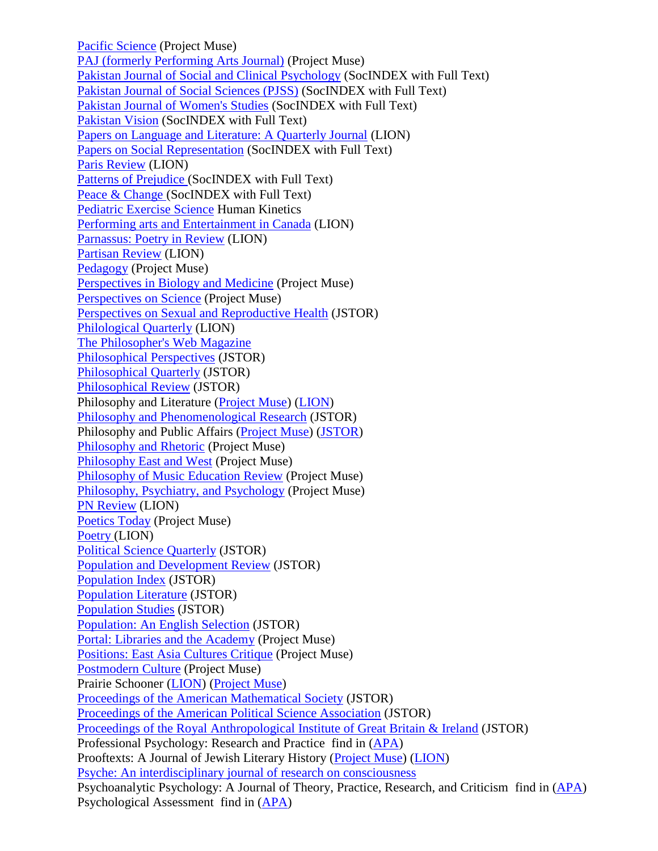[Pacific Science](http://muse.jhu.edu/journals/psc/) (Project Muse) [PAJ \(formerly Performing Arts Journal\)](http://muse.jhu.edu/journals/performing_arts_journal/) (Project Muse) [Pakistan Journal of Social and Clinical Psychology](http://web.ebscohost.com/ehost/detail?sid=48669c8f-2ca3-416ea4f27247a4b81057%40sessionmgr114&vid=5&hid=106&bdata=JnNpdGU9ZWhvc3QtbGl2ZQ%3d%3d#db=sih&jid=BJIX) (SocINDEX with Full Text) [Pakistan Journal of Social Sciences \(PJSS\)](http://web.ebscohost.com/ehost/detail?sid=48669c8f-2ca3-416e-a4f27247a4b81057%40sessionmgr114&vid=5&hid=106&bdata=JnNpdGU9ZWhvc3QtbGl2ZQ%3d%3d#db=sih&jid=92KQ) (SocINDEX with Full Text) [Pakistan Journal of Women's Studies](http://web.ebscohost.com/ehost/detail?sid=48669c8f-2ca3-416e-a4f2-7247a4b81057%40sessionmgr114&vid=5&hid=106&bdata=JnNpdGU9ZWhvc3QtbGl2ZQ%3d%3d#db=sih&jid=1DY2) (SocINDEX with Full Text) [Pakistan Vision](http://web.ebscohost.com/ehost/detail?sid=48669c8f-2ca3-416e-a4f2-7247a4b81057%40sessionmgr114&vid=5&hid=106&bdata=JnNpdGU9ZWhvc3QtbGl2ZQ%3d%3d#db=sih&jid=BJIW) (SocINDEX with Full Text) [Papers on Language and Literature: A Quarterly Journal](http://lion.chadwyck.com/showPage.do?TEMPLATE=/contents/abl_toc/PapersonLanguageLiteratureaquar/issues.htm) (LION) [Papers on Social Representation](http://web.ebscohost.com/ehost/detail?sid=48669c8f-2ca3-416e-a4f2-7247a4b81057%40sessionmgr114&vid=5&hid=106&bdata=JnNpdGU9ZWhvc3QtbGl2ZQ%3d%3d#db=sih&jid=1CZK) (SocINDEX with Full Text) [Paris Review](http://lion.chadwyck.com/showPage.do?TEMPLATE=/contents/abl_toc/ParisReviewFlushingNY/issues.htm) (LION) [Patterns of Prejudice \(](http://web.ebscohost.com/ehost/detail?sid=48669c8f-2ca3-416e-a4f2-7247a4b81057%40sessionmgr114&vid=5&hid=106&bdata=JnNpdGU9ZWhvc3QtbGl2ZQ%3d%3d#db=sih&jid=0SV)SocINDEX with Full Text) [Peace & Change \(](http://web.ebscohost.com/ehost/detail?sid=48669c8f-2ca3-416e-a4f2-7247a4b81057%40sessionmgr114&vid=5&hid=106&bdata=JnNpdGU9ZWhvc3QtbGl2ZQ%3d%3d#db=sih&jid=PNC)SocINDEX with Full Text) [Pediatric Exercise Science](http://www.humankinetics.com/PES/journalAbout.cfm) Human Kinetics [Performing arts and Entertainment in Canada](http://lion.chadwyck.com/showPage.do?TEMPLATE=/contents/abl_toc/PerformingArtsandEntertainmenti/issues.htm) (LION) [Parnassus: Poetry in Review](http://lion.chadwyck.com/showPage.do?TEMPLATE=/contents/abl_toc/ParnassuspoetryinreviewNewYork/issues.htm) (LION) [Partisan Review](http://lion.chadwyck.com/showPage.do?TEMPLATE=/contents/abl_toc/PartisanReviewBostonUnivMA/issues.htm) (LION) [Pedagogy](http://muse.jhu.edu/journals/pedagogy/) (Project Muse) [Perspectives in Biology and Medicine](http://muse.jhu.edu/journals/pbm/) (Project Muse) [Perspectives on Science](http://muse.jhu.edu/journals/posc/) (Project Muse) [Perspectives on Sexual and Reproductive Health](http://www.jstor.org/journals/15386341.html) (JSTOR) [Philological Quarterly](http://lion.chadwyck.com/showPage.do?TEMPLATE=/contents/abl_toc/PhilologicalQuarterlyUnivofIowa/issues.htm) (LION) [The Philosopher's Web Magazine](http://www.philosophersnet.com/) [Philosophical Perspectives](http://www.jstor.org/journals/15208583.html) (JSTOR) [Philosophical Quarterly](http://www.jstor.org/journals/00318094.html) (JSTOR) [Philosophical Review](http://www.jstor.org/journals/00318108.html) (JSTOR) Philosophy and Literature [\(Project Muse\)](http://muse.jhu.edu/journals/philosophy_and_literature/) [\(LION\)](http://lion.chadwyck.com/showPage.do?TEMPLATE=/contents/abl_toc/PhilosophyandLiteratureBaltimor/issues.htm) [Philosophy and Phenomenological Research](http://www.jstor.org/journals/00318205.html) (JSTOR) Philosophy and Public Affairs [\(Project Muse\)](http://muse.jhu.edu/journals/papa/) [\(JSTOR\)](http://www.jstor.org/journals/00483915.html) [Philosophy and Rhetoric](http://muse.jhu.edu/journals/par/) (Project Muse) [Philosophy East and West](http://muse.jhu.edu/journals/philosophy_east_and_west/) (Project Muse) [Philosophy of Music Education Review](http://muse.jhu.edu/journals/philosophy_of_music_education_review/) (Project Muse) [Philosophy, Psychiatry, and Psychology](http://muse.jhu.edu/journals/philosophy_psychiatry_and_psychology/) (Project Muse) [PN Review](http://lion.chadwyck.com/showPage.do?TEMPLATE=/contents/abl_toc/PNReviewManchester/issues.htm) (LION) [Poetics Today](http://muse.jhu.edu/journals/poet/) (Project Muse) [Poetry \(](http://lion.chadwyck.com/showPage.do?TEMPLATE=/contents/abl_toc/PoetryNewYorkChicago/issues.htm)LION) [Political Science Quarterly](http://www.jstor.org/journals/00323195.html) (JSTOR) [Population and Development Review](http://www.jstor.org/journals/00987921.html) (JSTOR) [Population Index](http://www.jstor.org/journals/00324701.html) (JSTOR) [Population Literature](http://www.jstor.org/journals/15238431.html) (JSTOR) [Population Studies](http://www.jstor.org/journals/00324728.html) (JSTOR) [Population: An English Selection](http://muse.jhu.edu/journals/portal_libraries_and_the_academy/toc/pla1.1.html) (JSTOR) Portal: [Libraries and the Academy](http://muse.jhu.edu/journals/portal_libraries_and_the_academy/toc/pla1.1.html) (Project Muse) [Positions: East Asia Cultures Critique](http://muse.jhu.edu/journals/pos/) (Project Muse) [Postmodern Culture](http://muse.jhu.edu/journals/postmodern_culture/) (Project Muse) Prairie Schooner [\(LION\)](http://lion.chadwyck.com/showPage.do?TEMPLATE=/contents/abl_toc/PrairieSchoonerUnivofNebraskaLi/issues.htm) [\(Project Muse\)](http://muse.jhu.edu/journals/prairie_schooner/) [Proceedings of the American Mathematical Society](http://www.jstor.org/journals/00029939.html) (JSTOR) [Proceedings of the American Political Science Association](http://www.jstor.org/journals/5786001j.html) (JSTOR) [Proceedings of the Royal Anthropological Institute of Great Britain & Ireland](http://www.jstor.org/journals/00804169.html) (JSTOR) Professional Psychology: Research and Practice find in [\(APA\)](http://online.psycinfo.com/library/search) Prooftexts: A Journal of Jewish Literary History [\(Project Muse\)](http://muse.jhu.edu/journals/ptx/) [\(LION\)](http://lion.chadwyck.com/showPage.do?TEMPLATE=/contents/abl_toc/ProoftextsajournalofJewishliter/issues.htm) [Psyche: An interdisciplinary journal of research on consciousness](http://psyche.cs.monash.edu.au/) Psychoanalytic Psychology: A Journal of Theory, Practice, Research, and Criticism find in [\(APA\)](http://online.psycinfo.com/library/search) Psychological Assessment find in [\(APA\)](http://online.psycinfo.com/library/search)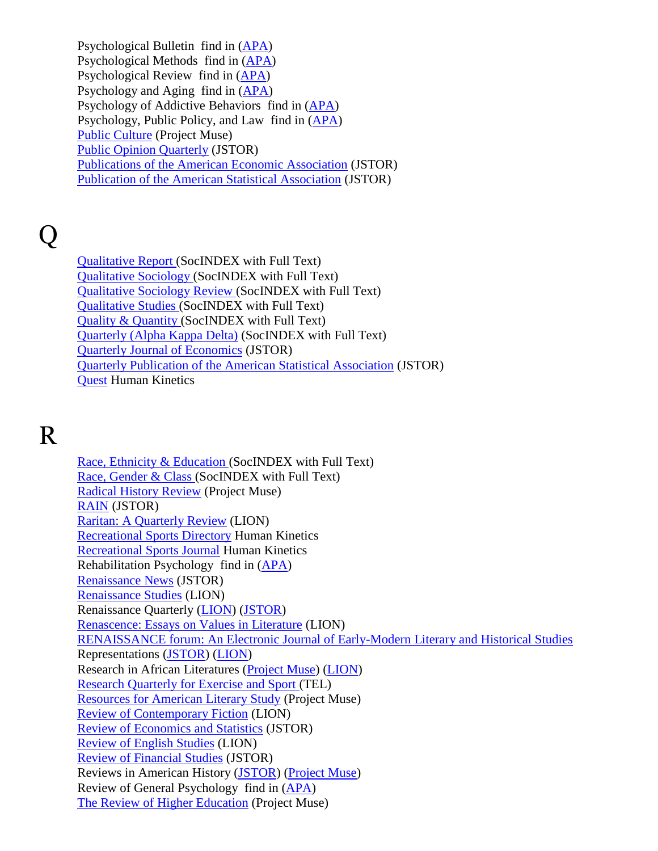Psychological Bulletin find in [\(APA\)](http://online.psycinfo.com/library/search) Psychological Methods find in [\(APA\)](http://online.psycinfo.com/library/search) Psychological Review find in [\(APA\)](http://online.psycinfo.com/library/search) Psychology and Aging find in [\(APA\)](http://online.psycinfo.com/library/search) Psychology of Addictive Behaviors find in [\(APA\)](http://online.psycinfo.com/library/search) Psychology, Public Policy, and Law find in [\(APA\)](http://online.psycinfo.com/library/search) [Public Culture](http://muse.jhu.edu/journals/pc/) (Project Muse) [Public Opinion Quarterly](http://www.jstor.org/journals/0033362X.html) (JSTOR) [Publications of the American Economic Association](http://www.jstor.org/journals/10497498.html) (JSTOR) [Publication of the American Statistical Association](http://www.jstor.org/journals/15225437.html) (JSTOR)

## Q

[Qualitative Report \(](http://web.ebscohost.com/ehost/detail?sid=48669c8f-2ca3-416e-a4f2-7247a4b81057%40sessionmgr114&vid=6&hid=106&bdata=JnNpdGU9ZWhvc3QtbGl2ZQ%3d%3d#db=sih&jid=ITY)SocINDEX with Full Text) [Qualitative Sociology \(](http://web.ebscohost.com/ehost/detail?sid=48669c8f-2ca3-416e-a4f2-7247a4b81057%40sessionmgr114&vid=6&hid=106&bdata=JnNpdGU9ZWhvc3QtbGl2ZQ%3d%3d#db=sih&jid=3WI)SocINDEX with Full Text) [Qualitative Sociology Review \(](http://web.ebscohost.com/ehost/detail?sid=48669c8f-2ca3-416e-a4f2-7247a4b81057%40sessionmgr114&vid=6&hid=106&bdata=JnNpdGU9ZWhvc3QtbGl2ZQ%3d%3d#db=sih&jid=1E3P)SocINDEX with Full Text) [Qualitative Studies \(](http://web.ebscohost.com/ehost/detail?sid=48669c8f-2ca3-416e-a4f2-7247a4b81057%40sessionmgr114&vid=6&hid=106&bdata=JnNpdGU9ZWhvc3QtbGl2ZQ%3d%3d#db=sih&jid=BNSN)SocINDEX with Full Text) [Quality & Quantity \(](http://web.ebscohost.com/ehost/detail?sid=48669c8f-2ca3-416e-a4f2-7247a4b81057%40sessionmgr114&vid=6&hid=106&bdata=JnNpdGU9ZWhvc3QtbGl2ZQ%3d%3d#db=sih&jid=3WJ)SocINDEX with Full Text) [Quarterly \(Alpha Kappa Delta\)](http://web.ebscohost.com/ehost/detail?sid=48669c8f-2ca3-416e-a4f2-7247a4b81057%40sessionmgr114&vid=6&hid=106&bdata=JnNpdGU9ZWhvc3QtbGl2ZQ%3d%3d#db=sih&jid=1E3Z) (SocINDEX with Full Text) [Quarterly Journal of Economics](http://www.jstor.org/journals/00335533.html) (JSTOR) [Quarterly Publication of the American Statistical Association](http://www.jstor.org/journals/15225445.html) (JSTOR) [Quest](http://www.humankinetics.com/QUEST/journalAbout.cfm) Human Kinetics

## R

[Race, Ethnicity & Education \(](http://web.ebscohost.com/ehost/detail?sid=48669c8f-2ca3-416e-a4f2-7247a4b81057%40sessionmgr114&vid=7&hid=106&bdata=JnNpdGU9ZWhvc3QtbGl2ZQ%3d%3d#db=sih&jid=36P)SocINDEX with Full Text) [Race, Gender & Class \(](http://web.ebscohost.com/ehost/detail?sid=48669c8f-2ca3-416e-a4f2-7247a4b81057%40sessionmgr114&vid=7&hid=106&bdata=JnNpdGU9ZWhvc3QtbGl2ZQ%3d%3d#db=sih&jid=7SQ)SocINDEX with Full Text) [Radical History Review](http://muse.jhu.edu/journals/radical_history_review/) (Project Muse) [RAIN](http://www.jstor.org/journals/03076776.html) (JSTOR) [Raritan: A Quarterly Review](http://lion.chadwyck.com/showPage.do?TEMPLATE=/contents/abl_toc/RaritanaquarterlyreviewRutgersU/issues.htm) (LION) [Recreational Sports Directory](http://www.humankinetics.com/QUEST/journalAbout.cfm) Human Kinetics [Recreational Sports Journal](http://www.humankinetics.com/QUEST/journalAbout.cfm) Human Kinetics Rehabilitation Psychology find in [\(APA\)](http://online.psycinfo.com/library/search) [Renaissance News](http://www.jstor.org/journals/0277903x.html) (JSTOR) [Renaissance Studies](http://lion.chadwyck.com/contents/abl_toc/RenaissanceStudiesjournaloftheS/issues.jsp) (LION) Renaissance Quarterly [\(LION\)](http://lion.chadwyck.com/showPage.do?TEMPLATE=/contents/abl_toc/RenaissanceQuarterlyRenaissance/issues.htm) [\(JSTOR\)](http://www.jstor.org/journals/00344338.html) [Renascence: Essays on Values in Literature](http://lion.chadwyck.com/showPage.do?TEMPLATE=/contents/abl_toc/Renascenceessaysonvaluesinliter/issues.htm) (LION) [RENAISSANCE forum: An Electronic Journal of Early-Modern Literary and Historical Studies](http://www.hull.ac.uk/Hull/EL_Web/renforum/) Representations [\(JSTOR\)](http://www.jstor.org/journals/07346018.html) [\(LION\)](http://lion.chadwyck.com/contents/abl_toc/Representations/issues.jsp) Research in African Literatures [\(Project Muse\)](http://muse.jhu.edu/journals/ral/) [\(LION\)](http://lion.chadwyck.com/showPage.do?TEMPLATE=/contents/abl_toc/ResearchinAfricanLiteraturesBlo/issues.htm) [Research Quarterly for Exercise and Sport \(](http://go.galegroup.com/ps/aboutJournal.do?actionString=DO_DISPLAY_ABOUT_PAGE&inPS=true&userGroupName=tel_a_mmcwml&prodId=GPS&searchType=PublicationSearchForm&docId=GALE%7C2834)TEL) [Resources for American Literary Study](http://muse.jhu.edu/journals/rals/) (Project Muse) [Review of Contemporary Fiction](http://lion.chadwyck.com/showPage.do?TEMPLATE=/contents/abl_toc/ReviewofContemporaryFictionIlli/issues.htm) (LION) [Review of Economics and Statistics](http://www.jstor.org/journals/00346535.html) (JSTOR) [Review of English Studies](http://lion.chadwyck.com/contents/abl_toc/ReviewofEnglishStudiesthequarte/issues.jsp) (LION) [Review of Financial Studies](http://www.jstor.org/journals/08939454.html) (JSTOR) Reviews in American History [\(JSTOR\)](http://www.jstor.org/journals/00487511.html) [\(Project Muse\)](http://muse.jhu.edu/journals/reviews_in_american_history/) Review of General Psychology find in [\(APA\)](http://online.psycinfo.com/library/search) [The Review of Higher Education](http://muse.jhu.edu/journals/review_of_higher_education/) (Project Muse)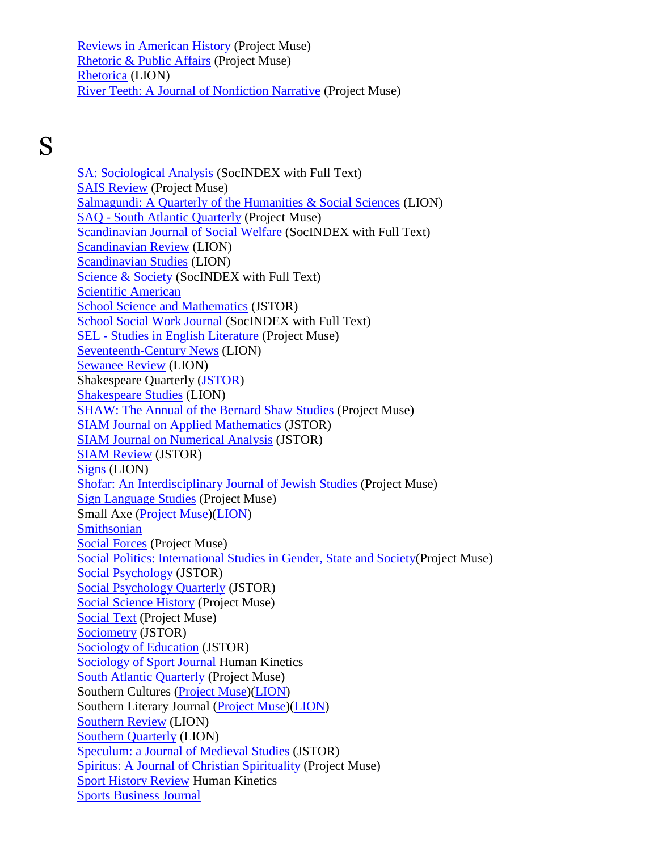[Reviews in American History](http://muse.jhu.edu/journals/reviews_in_american_history/) (Project Muse) [Rhetoric & Public Affairs](http://muse.jhu.edu/journals/rap/) (Project Muse) [Rhetorica](http://lion.chadwyck.com/contents/abl_toc/Rhetorica/issues.jsp) (LION) [River Teeth: A Journal of Nonfiction Narrative](http://muse.jhu.edu/journals/river_teeth/) (Project Muse)

## S

[SA: Sociological Analysis \(](http://web.ebscohost.com/ehost/detail?sid=48669c8f-2ca3-416e-a4f2-7247a4b81057%40sessionmgr114&vid=8&hid=106&bdata=JnNpdGU9ZWhvc3QtbGl2ZQ%3d%3d#db=sih&jid=31V)SocINDEX with Full Text) [SAIS Review](http://muse.jhu.edu/journals/sais_review/) (Project Muse) [Salmagundi: A Quarterly of the Humanities & Social Sciences](http://lion.chadwyck.com/showPage.do?TEMPLATE=/contents/abl_toc/Salmagundiaquarterlyofthehumani/issues.htm) (LION) SAQ - [South Atlantic Quarterly](http://muse.jhu.edu/journals/saq/) (Project Muse) [Scandinavian Journal of Social Welfare \(](http://web.ebscohost.com/ehost/detail?sid=48669c8f-2ca3-416e-a4f2-7247a4b81057%40sessionmgr114&vid=8&hid=106&bdata=JnNpdGU9ZWhvc3QtbGl2ZQ%3d%3d#db=sih&jid=MD0)SocINDEX with Full Text) [Scandinavian Review](http://lion.chadwyck.com/showPage.do?TEMPLATE=/contents/abl_toc/ScandinavianReviewNewYork/issues.htm) (LION) [Scandinavian Studies](http://lion.chadwyck.com/showPage.do?TEMPLATE=/contents/abl_toc/ScandinavianStudiesLawrenceKS/issues.htm) (LION) [Science & Society \(](http://web.ebscohost.com/ehost/detail?sid=48669c8f-2ca3-416e-a4f2-7247a4b81057%40sessionmgr114&vid=8&hid=106&bdata=JnNpdGU9ZWhvc3QtbGl2ZQ%3d%3d#db=sih&jid=SSO)SocINDEX with Full Text) [Scientific American](http://www.sciam.com/) [School Science and Mathematics](http://find.galegroup.com/itx/publicationSearch.do?serQuery=Locale%28en%2C%2C%29%3AFQE%3D%28JX%2CNone%2C32%29%22School+Science+and+Mathematics%22%24&inPS=true&type=getIssues&searchTerm=&prodId=SPJ.SP00¤tPosition=27&userGroupName=tel_a_mmcwml) (JSTOR) [School Social Work Journal \(](http://web.ebscohost.com/ehost/detail?sid=48669c8f-2ca3-416e-a4f2-7247a4b81057%40sessionmgr114&vid=8&hid=106&bdata=JnNpdGU9ZWhvc3QtbGl2ZQ%3d%3d#db=sih&jid=7K5)SocINDEX with Full Text) SEL - [Studies in English Literature](http://muse.jhu.edu/journals/sel/) (Project Muse) [Seventeenth-Century News](http://lion.chadwyck.com/contents/abl_toc/SeventeenthCenturyNews/issues.jsp) (LION) [Sewanee Review](http://lion.chadwyck.com/showPage.do?TEMPLATE=/contents/abl_toc/SewaneeReviewUnivoftheSouthSewa/issues.htm) (LION) Shakespeare Quarterly [\(JSTOR\)](http://www.jstor.org/journals/00373222.html) [Shakespeare Studies](http://lion.chadwyck.com/showPage.do?TEMPLATE=/contents/abl_toc/ShakespeareStudiesMadisonNJ/issues.htm) (LION) [SHAW: The Annual of the Bernard Shaw Studies](http://muse.jhu.edu/journals/shaw/) (Project Muse) [SIAM Journal on Applied Mathematics](http://www.jstor.org/journals/00361399.html) (JSTOR) [SIAM Journal on Numerical Analysis](http://www.jstor.org/journals/00361429.html) (JSTOR) [SIAM Review](http://www.jstor.org/journals/00361445.html) (JSTOR) [Signs](http://lion.chadwyck.com/contents/abl_toc/Signs/issues.jsp) (LION) [Shofar: An Interdisciplinary Journal of Jewish Studies](http://muse.jhu.edu/journals/sho/) (Project Muse) [Sign Language Studies](http://muse.jhu.edu/journals/sign_language_studies/) (Project Muse) Small Axe [\(Project Muse\)](http://muse.jhu.edu/journals/smx/)[\(LION\)](http://lion.chadwyck.com/showPage.do?TEMPLATE=/contents/abl_toc/SmallAxeIndianaUnivBloomington/issues.htm) **[Smithsonian](http://www.smithsonianmagazine.com/)** [Social Forces](http://muse.jhu.edu/journals/sof/) (Project Muse) [Social Politics: International Studies in Gender, State and Society\(](http://muse.jhu.edu/journals/social_politics/)Project Muse) [Social Psychology](http://www.jstor.org/journals/0147829x.html) (JSTOR) [Social Psychology Quarterly](http://www.jstor.org/journals/01902725.html) (JSTOR) [Social Science History](http://muse.jhu.edu/journals/ssh/) (Project Muse) [Social Text](http://muse.jhu.edu/journals/soc/) (Project Muse) [Sociometry](http://www.jstor.org/journals/00380431.html) (JSTOR) [Sociology of Education](http://www.jstor.org/journals/00380407.html) (JSTOR) [Sociology of Sport Journal](http://www.humankinetics.com/QUEST/journalAbout.cfm) Human Kinetics [South Atlantic Quarterly](http://muse.jhu.edu/journals/south_atlantic_quarterly/) (Project Muse) Southern Cultures [\(Project Muse\)](http://muse.jhu.edu/journals/scu/)[\(LION\)](http://lion.chadwyck.com/showPage.do?TEMPLATE=/contents/abl_toc/SouthernCulturesCenterfortheStu/issues.htm) Southern Literary Journal [\(Project Muse\)](http://muse.jhu.edu/journals/southern_literary_journal/)[\(LION\)](http://lion.chadwyck.com/showPage.do?TEMPLATE=/contents/abl_toc/SouthernLiteraryJournalDeptofEn/issues.htm) [Southern Review](http://lion.chadwyck.com/showPage.do?TEMPLATE=/contents/abl_toc/SouthernReviewStateUnivofLouisi/issues.htm) (LION) [Southern Quarterly](http://lion.chadwyck.com/contents/abl_toc/SouthernQuarterlyUnivofSouthern/issues.jsp) (LION) [Speculum: a Journal of Medieval Studies](http://www.jstor.org/journals/00387134.html) (JSTOR) [Spiritus: A Journal of Christian Spirituality](http://muse.jhu.edu/journals/scs/) (Project Muse) [Sport History Review](http://www.humankinetics.com/SHR/journalAbout.cfm) Human Kinetics [Sports Business Journal](http://www.sportsbusinessjournal.com/)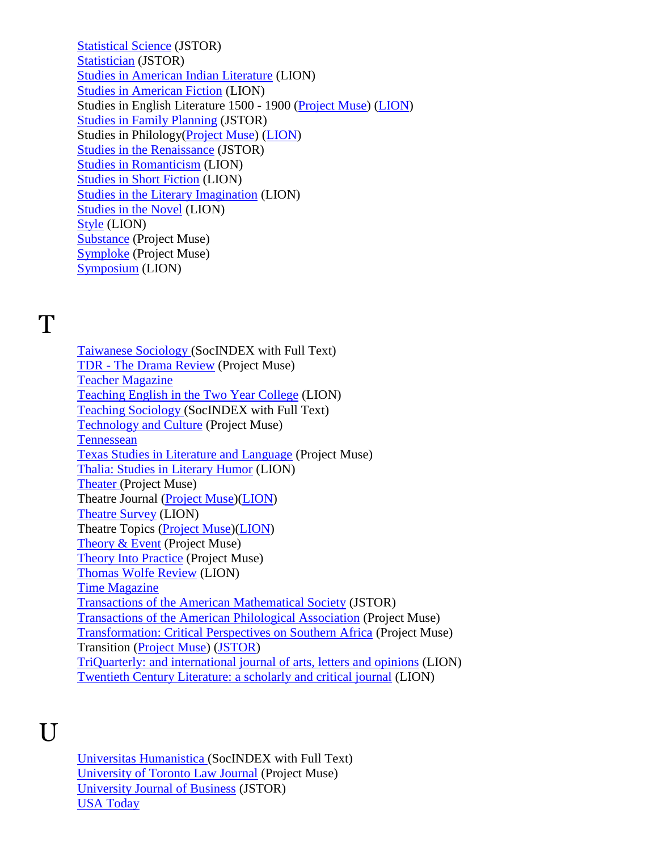[Statistical Science](http://www.jstor.org/journals/08834237.html) (JSTOR) [Statistician](http://www.jstor.org/journals/00390526.html) (JSTOR) [Studies in American Indian Literature](http://lion.chadwyck.com/contents/abl_toc/StudiesinAmericanIndianLiteratu/issues.jsp) (LION) [Studies in American Fiction](http://lion.chadwyck.com/showPage.do?TEMPLATE=/contents/abl_toc/StudiesinAmericanFictionDeptofE/issues.htm) (LION) Studies in English Literature 1500 - 1900 [\(Project Muse\)](http://muse.jhu.edu/journals/studies_in_english_literature/) [\(LION\)](http://lion.chadwyck.com/showPage.do?TEMPLATE=/contents/abl_toc/StudiesinEnglishLiterature15001/issues.htm) [Studies in Family Planning](http://www.jstor.org/journals/00393665.html) (JSTOR) Studies in Philology[\(Project Muse\)](http://muse.jhu.edu/journals/studies_in_philology/) [\(LION\)](http://lion.chadwyck.com/showPage.do?TEMPLATE=/contents/abl_toc/StudiesinPhilologyChapelHillNC/issues.htm) [Studies in the Renaissance](http://www.jstor.org/journals/00818658.html) (JSTOR) [Studies in Romanticism](http://lion.chadwyck.com/showPage.do?TEMPLATE=/contents/abl_toc/StudiesinRomanticismBostonUnivM/issues.htm) (LION) [Studies in Short Fiction](http://lion.chadwyck.com/showPage.do?TEMPLATE=/contents/abl_toc/StudiesinShortFictionNewberryCo/issues.htm) (LION) [Studies in the Literary Imagination](http://lion.chadwyck.com/showPage.do?TEMPLATE=/contents/abl_toc/StudiesintheLiteraryImagination/issues.htm) (LION) [Studies in the Novel](http://lion.chadwyck.com/showPage.do?TEMPLATE=/contents/abl_toc/StudiesintheNovelUnivofNorthTex/issues.htm) (LION) [Style](http://lion.chadwyck.com/showPage.do?TEMPLATE=/contents/abl_toc/StyleNorthernIllinoisUnivDeKalb/issues.htm) (LION) [Substance](http://muse.jhu.edu/journals/sub/) (Project Muse) [Symploke](http://muse.jhu.edu/journals/symploke/) (Project Muse) [Symposium](http://lion.chadwyck.com/showPage.do?TEMPLATE=/contents/abl_toc/Symposiumaquarterlyjournalinmod/issues.htm) (LION)

#### T

[Taiwanese Sociology \(](http://web.ebscohost.com/ehost/detail?sid=48669c8f-2ca3-416e-a4f2-7247a4b81057%40sessionmgr114&vid=9&hid=106&bdata=JnNpdGU9ZWhvc3QtbGl2ZQ%3d%3d#db=sih&jid=130M)SocINDEX with Full Text) TDR - [The Drama Review](http://muse.jhu.edu/journals/tdr/) (Project Muse) [Teacher Magazine](http://www.edweek.org/tm/) [Teaching English in the Two Year College](http://lion.chadwyck.com/contents/abl_toc/TeachingEnglishintheTwoYearColl/issues.jsp) (LION) [Teaching Sociology \(](http://web.ebscohost.com/ehost/detail?sid=48669c8f-2ca3-416e-a4f2-7247a4b81057%40sessionmgr114&vid=9&hid=106&bdata=JnNpdGU9ZWhvc3QtbGl2ZQ%3d%3d#db=sih&jid=TSO)SocINDEX with Full Text) [Technology and Culture](http://muse.jhu.edu/journals/technology_and_culture/) (Project Muse) **[Tennessean](http://www.tennessean.com/apps/pbcs.dll/frontpage)** [Texas Studies in Literature and Language](http://muse.jhu.edu/journals/tsl/) (Project Muse) [Thalia: Studies in Literary Humor](http://lion.chadwyck.com/showPage.do?TEMPLATE=/contents/abl_toc/ThaliastudiesinliteraryhumorUni/issues.htm) (LION) [Theater \(](http://muse.jhu.edu/journals/the/)Project Muse) Theatre Journal [\(Project Muse\)](http://muse.jhu.edu/journals/theatre_journal/)[\(LION\)](http://lion.chadwyck.com/showPage.do?TEMPLATE=/contents/abl_toc/TheatreJournalAssnforTheatreinH/issues.htm) [Theatre Survey](http://lion.chadwyck.com/contents/abl_toc/TheatreSurvey/issues.jsp) (LION) Theatre Topics [\(Project Muse\)](http://muse.jhu.edu/journals/theatre_topics/)[\(LION\)](http://lion.chadwyck.com/showPage.do?TEMPLATE=/contents/abl_toc/TheatreTopicsBaltimoreMD/issues.htm) [Theory & Event](http://muse.jhu.edu/journals/theory_&_event/) (Project Muse) [Theory Into Practice](http://muse.jhu.edu/journals/theory_into_practice/) (Project Muse) [Thomas Wolfe Review](http://lion.chadwyck.com/showPage.do?TEMPLATE=/contents/abl_toc/ThomasWolfeReviewThomasWolfeSoc/issues.htm) (LION) [Time Magazine](http://lion.chadwyck.com/showPage.do?TEMPLATE=/contents/abl_toc/ThomasWolfeReviewThomasWolfeSoc/issues.htm) [Transactions of the American Mathematical Society](http://www.jstor.org/journals/00029947.html) (JSTOR) [Transactions of the American Philological Association](http://muse.jhu.edu/journals/apa/) (Project Muse) [Transformation: Critical Perspectives on Southern Africa](http://muse.jhu.edu/journals/transformation/) (Project Muse) Transition [\(Project Muse\)](http://muse.jhu.edu/journals/tra/) [\(JSTOR\)](http://www.jstor.org/journals/00411191.html) [TriQuarterly: and international journal of arts, letters and opinions](http://lion.chadwyck.com/showPage.do?TEMPLATE=/contents/abl_toc/TriQuarterlyaninternationaljour/issues.htm) (LION) [Twentieth Century Literature: a scholarly and critical journal](http://lion.chadwyck.com/showPage.do?TEMPLATE=/contents/abl_toc/TwentiethCenturyLiteratureascho/issues.htm) (LION)

## $\overline{U}$

[Universitas Humanistica \(](http://web.ebscohost.com/ehost/detail?sid=48669c8f-2ca3-416e-a4f2-7247a4b81057%40sessionmgr114&vid=10&hid=106&bdata=JnNpdGU9ZWhvc3QtbGl2ZQ%3d%3d#db=sih&jid=2QA2)SocINDEX with Full Text) [University of Toronto Law Journal](http://muse.jhu.edu/journals/university_of_toronto_law_journal/) (Project Muse) [University Journal of Business](http://www.jstor.org/journals/15256979.html) (JSTOR) [USA Today](http://www.usatoday.com/)